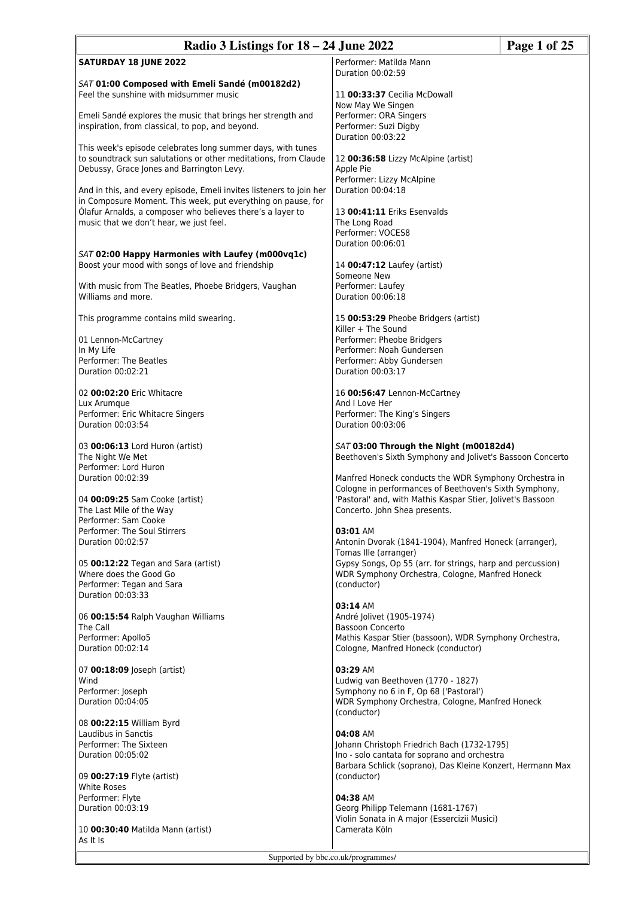| Radio 3 Listings for 18 – 24 June 2022<br>Page 1 of 25                                                                                                                                                                                       |                                                                                                                                                                                                                 |  |
|----------------------------------------------------------------------------------------------------------------------------------------------------------------------------------------------------------------------------------------------|-----------------------------------------------------------------------------------------------------------------------------------------------------------------------------------------------------------------|--|
| <b>SATURDAY 18 JUNE 2022</b>                                                                                                                                                                                                                 | Performer: Matilda Mann<br>Duration 00:02:59                                                                                                                                                                    |  |
| SAT 01:00 Composed with Emeli Sandé (m00182d2)<br>Feel the sunshine with midsummer music                                                                                                                                                     | 11 00:33:37 Cecilia McDowall<br>Now May We Singen                                                                                                                                                               |  |
| Emeli Sandé explores the music that brings her strength and<br>inspiration, from classical, to pop, and beyond.                                                                                                                              | Performer: ORA Singers<br>Performer: Suzi Digby<br>Duration 00:03:22                                                                                                                                            |  |
| This week's episode celebrates long summer days, with tunes<br>to soundtrack sun salutations or other meditations, from Claude<br>Debussy, Grace Jones and Barrington Levy.                                                                  | 12 00:36:58 Lizzy McAlpine (artist)<br>Apple Pie<br>Performer: Lizzy McAlpine                                                                                                                                   |  |
| And in this, and every episode, Emeli invites listeners to join her<br>in Composure Moment. This week, put everything on pause, for<br>Ólafur Arnalds, a composer who believes there's a layer to<br>music that we don't hear, we just feel. | Duration 00:04:18<br>13 00:41:11 Eriks Esenvalds<br>The Long Road<br>Performer: VOCES8<br>Duration 00:06:01                                                                                                     |  |
| SAT 02:00 Happy Harmonies with Laufey (m000vq1c)<br>Boost your mood with songs of love and friendship                                                                                                                                        | 14 00:47:12 Laufey (artist)<br>Someone New                                                                                                                                                                      |  |
| With music from The Beatles, Phoebe Bridgers, Vaughan<br>Williams and more.                                                                                                                                                                  | Performer: Laufev<br>Duration 00:06:18                                                                                                                                                                          |  |
| This programme contains mild swearing.                                                                                                                                                                                                       | 15 00:53:29 Pheobe Bridgers (artist)<br>Killer + The Sound<br>Performer: Pheobe Bridgers                                                                                                                        |  |
| 01 Lennon-McCartney<br>In My Life<br>Performer: The Beatles<br>Duration 00:02:21                                                                                                                                                             | Performer: Noah Gundersen<br>Performer: Abby Gundersen<br>Duration 00:03:17                                                                                                                                     |  |
| 02 00:02:20 Eric Whitacre<br>Lux Arumque                                                                                                                                                                                                     | 16 00:56:47 Lennon-McCartney<br>And I Love Her                                                                                                                                                                  |  |
| Performer: Eric Whitacre Singers<br>Duration 00:03:54                                                                                                                                                                                        | Performer: The King's Singers<br>Duration 00:03:06                                                                                                                                                              |  |
| 03 00:06:13 Lord Huron (artist)<br>The Night We Met<br>Performer: Lord Huron                                                                                                                                                                 | SAT 03:00 Through the Night (m00182d4)<br>Beethoven's Sixth Symphony and Jolivet's Bassoon Concerto                                                                                                             |  |
| Duration 00:02:39<br>04 00:09:25 Sam Cooke (artist)<br>The Last Mile of the Way                                                                                                                                                              | Manfred Honeck conducts the WDR Symphony Orchestra in<br>Cologne in performances of Beethoven's Sixth Symphony,<br>'Pastoral' and, with Mathis Kaspar Stier, Jolivet's Bassoon<br>Concerto. John Shea presents. |  |
| Performer: Sam Cooke<br>Performer: The Soul Stirrers<br>Duration 00:02:57                                                                                                                                                                    | 03:01 AM<br>Antonin Dvorak (1841-1904), Manfred Honeck (arranger),<br>Tomas Ille (arranger)                                                                                                                     |  |
| 05 00:12:22 Tegan and Sara (artist)<br>Where does the Good Go<br>Performer: Tegan and Sara<br>Duration 00:03:33                                                                                                                              | Gypsy Songs, Op 55 (arr. for strings, harp and percussion)<br>WDR Symphony Orchestra, Cologne, Manfred Honeck<br>(conductor)                                                                                    |  |
| 06 00:15:54 Ralph Vaughan Williams<br>The Call<br>Performer: Apollo5<br>Duration 00:02:14                                                                                                                                                    | 03:14 AM<br>André Jolivet (1905-1974)<br><b>Bassoon Concerto</b><br>Mathis Kaspar Stier (bassoon), WDR Symphony Orchestra,<br>Cologne, Manfred Honeck (conductor)                                               |  |
| 07 00:18:09 Joseph (artist)<br>Wind<br>Performer: Joseph<br>Duration 00:04:05                                                                                                                                                                | 03:29 AM<br>Ludwig van Beethoven (1770 - 1827)<br>Symphony no 6 in F, Op 68 ('Pastoral')<br>WDR Symphony Orchestra, Cologne, Manfred Honeck<br>(conductor)                                                      |  |
| 08 00:22:15 William Byrd<br>Laudibus in Sanctis<br>Performer: The Sixteen<br>Duration 00:05:02<br>09 <b>00:27:19</b> Flyte (artist)<br><b>White Roses</b>                                                                                    | 04:08 AM<br>Johann Christoph Friedrich Bach (1732-1795)<br>Ino - solo cantata for soprano and orchestra<br>Barbara Schlick (soprano), Das Kleine Konzert, Hermann Max<br>(conductor)                            |  |
| Performer: Flyte<br>Duration 00:03:19<br>10 00:30:40 Matilda Mann (artist)<br>As It Is                                                                                                                                                       | 04:38 AM<br>Georg Philipp Telemann (1681-1767)<br>Violin Sonata in A major (Essercizii Musici)<br>Camerata Köln                                                                                                 |  |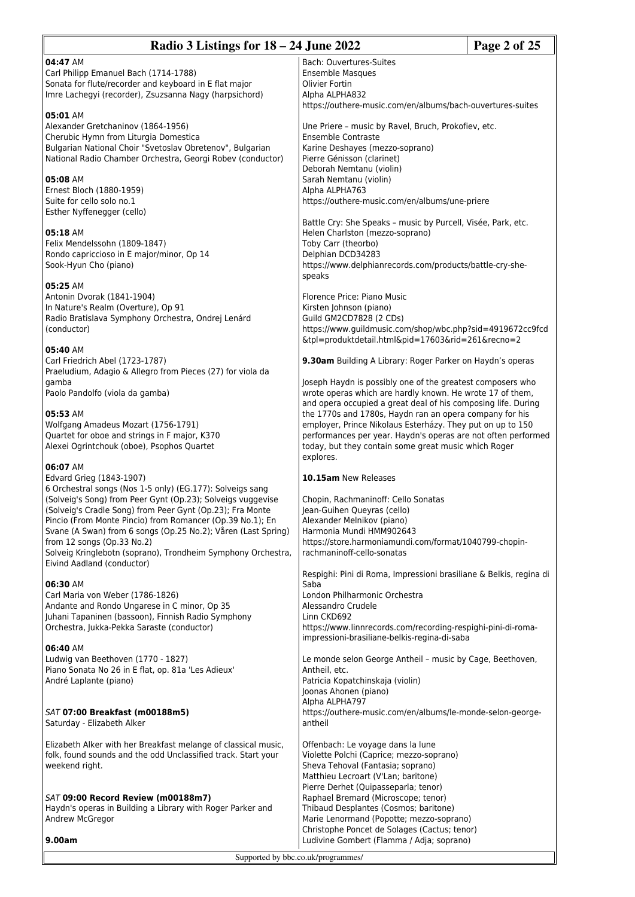| Radio 3 Listings for 18 – 24 June 2022<br>Page 2 of 25                                                                  |                                                                                                                       |  |
|-------------------------------------------------------------------------------------------------------------------------|-----------------------------------------------------------------------------------------------------------------------|--|
| 04:47 AM                                                                                                                | Bach: Ouvertures-Suites                                                                                               |  |
| Carl Philipp Emanuel Bach (1714-1788)                                                                                   | <b>Ensemble Masques</b>                                                                                               |  |
| Sonata for flute/recorder and keyboard in E flat major                                                                  | <b>Olivier Fortin</b>                                                                                                 |  |
| Imre Lachegyi (recorder), Zsuzsanna Nagy (harpsichord)                                                                  | Alpha ALPHA832<br>https://outhere-music.com/en/albums/bach-ouvertures-suites                                          |  |
| 05:01 AM                                                                                                                |                                                                                                                       |  |
| Alexander Gretchaninov (1864-1956)                                                                                      | Une Priere - music by Ravel, Bruch, Prokofiev, etc.                                                                   |  |
| Cherubic Hymn from Liturgia Domestica                                                                                   | Ensemble Contraste                                                                                                    |  |
| Bulgarian National Choir "Svetoslav Obretenov", Bulgarian<br>National Radio Chamber Orchestra, Georgi Robev (conductor) | Karine Deshayes (mezzo-soprano)<br>Pierre Génisson (clarinet)                                                         |  |
|                                                                                                                         | Deborah Nemtanu (violin)                                                                                              |  |
| 05:08 AM                                                                                                                | Sarah Nemtanu (violin)                                                                                                |  |
| Ernest Bloch (1880-1959)                                                                                                | Alpha ALPHA763                                                                                                        |  |
| Suite for cello solo no.1<br>Esther Nyffenegger (cello)                                                                 | https://outhere-music.com/en/albums/une-priere                                                                        |  |
|                                                                                                                         | Battle Cry: She Speaks - music by Purcell, Visée, Park, etc.                                                          |  |
| 05:18 AM                                                                                                                | Helen Charlston (mezzo-soprano)                                                                                       |  |
| Felix Mendelssohn (1809-1847)                                                                                           | Toby Carr (theorbo)                                                                                                   |  |
| Rondo capriccioso in E major/minor, Op 14<br>Sook-Hyun Cho (piano)                                                      | Delphian DCD34283<br>https://www.delphianrecords.com/products/battle-cry-she-                                         |  |
|                                                                                                                         | speaks                                                                                                                |  |
| 05:25 AM                                                                                                                |                                                                                                                       |  |
| Antonin Dvorak (1841-1904)                                                                                              | Florence Price: Piano Music                                                                                           |  |
| In Nature's Realm (Overture), Op 91<br>Radio Bratislava Symphony Orchestra, Ondrej Lenárd                               | Kirsten Johnson (piano)<br>Guild GM2CD7828 (2 CDs)                                                                    |  |
| (conductor)                                                                                                             | https://www.guildmusic.com/shop/wbc.php?sid=4919672cc9fcd                                                             |  |
|                                                                                                                         | &tpl=produktdetail.html&pid=17603&rid=261&recno=2                                                                     |  |
| 05:40 AM                                                                                                                |                                                                                                                       |  |
| Carl Friedrich Abel (1723-1787)<br>Praeludium, Adagio & Allegro from Pieces (27) for viola da                           | 9.30am Building A Library: Roger Parker on Haydn's operas                                                             |  |
| gamba                                                                                                                   | Joseph Haydn is possibly one of the greatest composers who                                                            |  |
| Paolo Pandolfo (viola da gamba)                                                                                         | wrote operas which are hardly known. He wrote 17 of them,                                                             |  |
|                                                                                                                         | and opera occupied a great deal of his composing life. During                                                         |  |
| 05:53 AM<br>Wolfgang Amadeus Mozart (1756-1791)                                                                         | the 1770s and 1780s, Haydn ran an opera company for his<br>employer, Prince Nikolaus Esterházy. They put on up to 150 |  |
| Quartet for oboe and strings in F major, K370                                                                           | performances per year. Haydn's operas are not often performed                                                         |  |
| Alexei Ogrintchouk (oboe), Psophos Quartet                                                                              | today, but they contain some great music which Roger                                                                  |  |
| 06:07 AM                                                                                                                | explores.                                                                                                             |  |
| Edvard Grieg (1843-1907)                                                                                                | 10.15am New Releases                                                                                                  |  |
| 6 Orchestral songs (Nos 1-5 only) (EG.177): Solveigs sang                                                               |                                                                                                                       |  |
| (Solveig's Song) from Peer Gynt (Op.23); Solveigs vuggevise                                                             | Chopin, Rachmaninoff: Cello Sonatas                                                                                   |  |
| (Solveig's Cradle Song) from Peer Gynt (Op.23); Fra Monte<br>Pincio (From Monte Pincio) from Romancer (Op.39 No.1); En  | Jean-Guihen Queyras (cello)<br>Alexander Melnikov (piano)                                                             |  |
| Svane (A Swan) from 6 songs (Op.25 No.2); Våren (Last Spring)                                                           | Harmonia Mundi HMM902643                                                                                              |  |
| from 12 songs (Op.33 No.2)                                                                                              | https://store.harmoniamundi.com/format/1040799-chopin-                                                                |  |
| Solveig Kringlebotn (soprano), Trondheim Symphony Orchestra,                                                            | rachmaninoff-cello-sonatas                                                                                            |  |
| Eivind Aadland (conductor)                                                                                              | Respighi: Pini di Roma, Impressioni brasiliane & Belkis, regina di                                                    |  |
| 06:30 AM                                                                                                                | Saba                                                                                                                  |  |
| Carl Maria von Weber (1786-1826)                                                                                        | London Philharmonic Orchestra                                                                                         |  |
| Andante and Rondo Ungarese in C minor, Op 35<br>Juhani Tapaninen (bassoon), Finnish Radio Symphony                      | Alessandro Crudele<br>Linn CKD692                                                                                     |  |
| Orchestra, Jukka-Pekka Saraste (conductor)                                                                              | https://www.linnrecords.com/recording-respighi-pini-di-roma-                                                          |  |
|                                                                                                                         | impressioni-brasiliane-belkis-regina-di-saba                                                                          |  |
| 06:40 AM                                                                                                                |                                                                                                                       |  |
| Ludwig van Beethoven (1770 - 1827)<br>Piano Sonata No 26 in E flat, op. 81a 'Les Adieux'                                | Le monde selon George Antheil - music by Cage, Beethoven,<br>Antheil, etc.                                            |  |
| André Laplante (piano)                                                                                                  | Patricia Kopatchinskaja (violin)                                                                                      |  |
|                                                                                                                         | Joonas Ahonen (piano)                                                                                                 |  |
|                                                                                                                         | Alpha ALPHA797                                                                                                        |  |
| SAT 07:00 Breakfast (m00188m5)<br>Saturday - Elizabeth Alker                                                            | https://outhere-music.com/en/albums/le-monde-selon-george-<br>antheil                                                 |  |
|                                                                                                                         |                                                                                                                       |  |
| Elizabeth Alker with her Breakfast melange of classical music,                                                          | Offenbach: Le voyage dans la lune                                                                                     |  |
| folk, found sounds and the odd Unclassified track. Start your                                                           | Violette Polchi (Caprice; mezzo-soprano)                                                                              |  |
| weekend right.                                                                                                          | Sheva Tehoval (Fantasia; soprano)<br>Matthieu Lecroart (V'Lan; baritone)                                              |  |
|                                                                                                                         | Pierre Derhet (Quipasseparla; tenor)                                                                                  |  |
| SAT 09:00 Record Review (m00188m7)                                                                                      | Raphael Bremard (Microscope; tenor)                                                                                   |  |
| Haydn's operas in Building a Library with Roger Parker and                                                              | Thibaud Desplantes (Cosmos; baritone)                                                                                 |  |
| Andrew McGregor                                                                                                         | Marie Lenormand (Popotte; mezzo-soprano)<br>Christophe Poncet de Solages (Cactus; tenor)                              |  |
| 9.00am                                                                                                                  | Ludivine Gombert (Flamma / Adja; soprano)                                                                             |  |
|                                                                                                                         | Supported by bbc.co.uk/programmes/                                                                                    |  |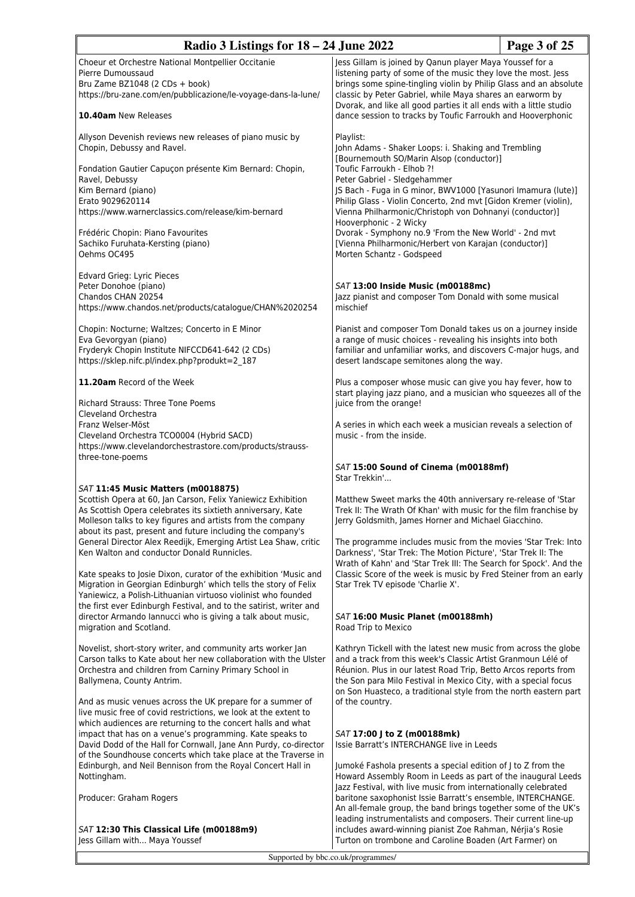| Radio 3 Listings for $18 - 24$ June 2022                                                                                                                                                                                                                                                                                                                                                                       |                                                                                                                                                                                                                                                                                                                                           | Page 3 of 25 |
|----------------------------------------------------------------------------------------------------------------------------------------------------------------------------------------------------------------------------------------------------------------------------------------------------------------------------------------------------------------------------------------------------------------|-------------------------------------------------------------------------------------------------------------------------------------------------------------------------------------------------------------------------------------------------------------------------------------------------------------------------------------------|--------------|
| Choeur et Orchestre National Montpellier Occitanie<br>Pierre Dumoussaud<br>Bru Zame BZ1048 (2 CDs + book)<br>https://bru-zane.com/en/pubblicazione/le-voyage-dans-la-lune/                                                                                                                                                                                                                                     | Jess Gillam is joined by Qanun player Maya Youssef for a<br>listening party of some of the music they love the most. Jess<br>brings some spine-tingling violin by Philip Glass and an absolute<br>classic by Peter Gabriel, while Maya shares an earworm by<br>Dvorak, and like all good parties it all ends with a little studio         |              |
| 10.40am New Releases                                                                                                                                                                                                                                                                                                                                                                                           | dance session to tracks by Toufic Farroukh and Hooverphonic                                                                                                                                                                                                                                                                               |              |
| Allyson Devenish reviews new releases of piano music by<br>Chopin, Debussy and Ravel.                                                                                                                                                                                                                                                                                                                          | Playlist:<br>John Adams - Shaker Loops: i. Shaking and Trembling<br>[Bournemouth SO/Marin Alsop (conductor)]                                                                                                                                                                                                                              |              |
| Fondation Gautier Capuçon présente Kim Bernard: Chopin,<br>Ravel, Debussy<br>Kim Bernard (piano)<br>Erato 9029620114                                                                                                                                                                                                                                                                                           | Toufic Farroukh - Elhob ?!<br>Peter Gabriel - Sledgehammer<br>JS Bach - Fuga in G minor, BWV1000 [Yasunori Imamura (lute)]<br>Philip Glass - Violin Concerto, 2nd mvt [Gidon Kremer (violin),                                                                                                                                             |              |
| https://www.warnerclassics.com/release/kim-bernard                                                                                                                                                                                                                                                                                                                                                             | Vienna Philharmonic/Christoph von Dohnanyi (conductor)]<br>Hooverphonic - 2 Wicky                                                                                                                                                                                                                                                         |              |
| Frédéric Chopin: Piano Favourites<br>Sachiko Furuhata-Kersting (piano)<br>Oehms OC495                                                                                                                                                                                                                                                                                                                          | Dvorak - Symphony no.9 'From the New World' - 2nd mvt<br>[Vienna Philharmonic/Herbert von Karajan (conductor)]<br>Morten Schantz - Godspeed                                                                                                                                                                                               |              |
| Edvard Grieg: Lyric Pieces<br>Peter Donohoe (piano)<br>Chandos CHAN 20254<br>https://www.chandos.net/products/catalogue/CHAN%2020254                                                                                                                                                                                                                                                                           | SAT 13:00 Inside Music (m00188mc)<br>Jazz pianist and composer Tom Donald with some musical<br>mischief                                                                                                                                                                                                                                   |              |
| Chopin: Nocturne; Waltzes; Concerto in E Minor<br>Eva Gevorgyan (piano)<br>Fryderyk Chopin Institute NIFCCD641-642 (2 CDs)<br>https://sklep.nifc.pl/index.php?produkt=2_187                                                                                                                                                                                                                                    | Pianist and composer Tom Donald takes us on a journey inside<br>a range of music choices - revealing his insights into both<br>familiar and unfamiliar works, and discovers C-major hugs, and<br>desert landscape semitones along the way.                                                                                                |              |
| 11.20am Record of the Week                                                                                                                                                                                                                                                                                                                                                                                     | Plus a composer whose music can give you hay fever, how to<br>start playing jazz piano, and a musician who squeezes all of the                                                                                                                                                                                                            |              |
| <b>Richard Strauss: Three Tone Poems</b><br>Cleveland Orchestra<br>Franz Welser-Möst<br>Cleveland Orchestra TCO0004 (Hybrid SACD)<br>https://www.clevelandorchestrastore.com/products/strauss-                                                                                                                                                                                                                 | juice from the orange!<br>A series in which each week a musician reveals a selection of<br>music - from the inside.                                                                                                                                                                                                                       |              |
| three-tone-poems                                                                                                                                                                                                                                                                                                                                                                                               | SAT 15:00 Sound of Cinema (m00188mf)<br>Star Trekkin'                                                                                                                                                                                                                                                                                     |              |
| SAT 11:45 Music Matters (m0018875)<br>Scottish Opera at 60, Jan Carson, Felix Yaniewicz Exhibition<br>As Scottish Opera celebrates its sixtieth anniversary, Kate<br>Molleson talks to key figures and artists from the company<br>about its past, present and future including the company's<br>General Director Alex Reedijk, Emerging Artist Lea Shaw, critic<br>Ken Walton and conductor Donald Runnicles. | Matthew Sweet marks the 40th anniversary re-release of 'Star<br>Trek II: The Wrath Of Khan' with music for the film franchise by<br>Jerry Goldsmith, James Horner and Michael Giacchino.<br>The programme includes music from the movies 'Star Trek: Into<br>Darkness', 'Star Trek: The Motion Picture', 'Star Trek II: The               |              |
| Kate speaks to Josie Dixon, curator of the exhibition 'Music and<br>Migration in Georgian Edinburgh' which tells the story of Felix<br>Yaniewicz, a Polish-Lithuanian virtuoso violinist who founded<br>the first ever Edinburgh Festival, and to the satirist, writer and                                                                                                                                     | Wrath of Kahn' and 'Star Trek III: The Search for Spock'. And the<br>Classic Score of the week is music by Fred Steiner from an early<br>Star Trek TV episode 'Charlie X'.                                                                                                                                                                |              |
| director Armando Iannucci who is giving a talk about music,<br>migration and Scotland.                                                                                                                                                                                                                                                                                                                         | SAT 16:00 Music Planet (m00188mh)<br>Road Trip to Mexico                                                                                                                                                                                                                                                                                  |              |
| Novelist, short-story writer, and community arts worker Jan<br>Carson talks to Kate about her new collaboration with the Ulster<br>Orchestra and children from Carniny Primary School in<br>Ballymena, County Antrim.                                                                                                                                                                                          | Kathryn Tickell with the latest new music from across the globe<br>and a track from this week's Classic Artist Granmoun Lélé of<br>Réunion. Plus in our latest Road Trip, Betto Arcos reports from<br>the Son para Milo Festival in Mexico City, with a special focus<br>on Son Huasteco, a traditional style from the north eastern part |              |
| And as music venues across the UK prepare for a summer of<br>live music free of covid restrictions, we look at the extent to<br>which audiences are returning to the concert halls and what                                                                                                                                                                                                                    | of the country.                                                                                                                                                                                                                                                                                                                           |              |
| impact that has on a venue's programming. Kate speaks to<br>David Dodd of the Hall for Cornwall, Jane Ann Purdy, co-director<br>of the Soundhouse concerts which take place at the Traverse in<br>Edinburgh, and Neil Bennison from the Royal Concert Hall in                                                                                                                                                  | SAT 17:00 J to Z (m00188mk)<br>Issie Barratt's INTERCHANGE live in Leeds<br>Jumoké Fashola presents a special edition of J to Z from the                                                                                                                                                                                                  |              |
| Nottingham.                                                                                                                                                                                                                                                                                                                                                                                                    | Howard Assembly Room in Leeds as part of the inaugural Leeds<br>Jazz Festival, with live music from internationally celebrated                                                                                                                                                                                                            |              |
| Producer: Graham Rogers                                                                                                                                                                                                                                                                                                                                                                                        | baritone saxophonist Issie Barratt's ensemble, INTERCHANGE.<br>An all-female group, the band brings together some of the UK's<br>leading instrumentalists and composers. Their current line-up                                                                                                                                            |              |
| SAT 12:30 This Classical Life (m00188m9)<br>Jess Gillam with Maya Youssef                                                                                                                                                                                                                                                                                                                                      | includes award-winning pianist Zoe Rahman, Nérjia's Rosie<br>Turton on trombone and Caroline Boaden (Art Farmer) on                                                                                                                                                                                                                       |              |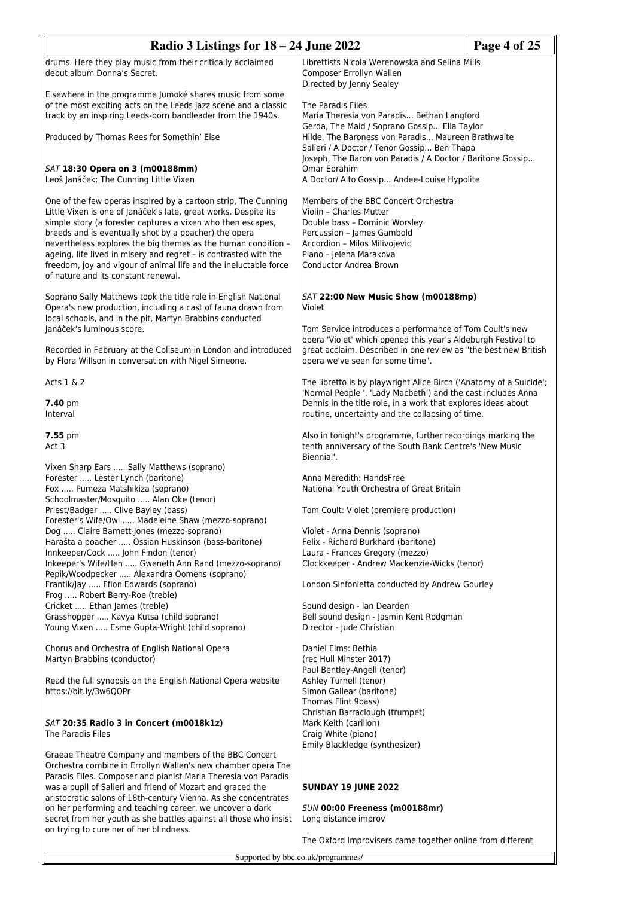| Page 4 of 25<br>Radio 3 Listings for $18 - 24$ June 2022                                                                                                                                                                                                                                                                                                                                                                                                                                                  |                                                                                                                                                                                                                                 |  |
|-----------------------------------------------------------------------------------------------------------------------------------------------------------------------------------------------------------------------------------------------------------------------------------------------------------------------------------------------------------------------------------------------------------------------------------------------------------------------------------------------------------|---------------------------------------------------------------------------------------------------------------------------------------------------------------------------------------------------------------------------------|--|
| drums. Here they play music from their critically acclaimed<br>debut album Donna's Secret.                                                                                                                                                                                                                                                                                                                                                                                                                | Librettists Nicola Werenowska and Selina Mills<br>Composer Errollyn Wallen<br>Directed by Jenny Sealey                                                                                                                          |  |
| Elsewhere in the programme Jumoké shares music from some<br>of the most exciting acts on the Leeds jazz scene and a classic<br>track by an inspiring Leeds-born bandleader from the 1940s.<br>Produced by Thomas Rees for Somethin' Else                                                                                                                                                                                                                                                                  | The Paradis Files<br>Maria Theresia von Paradis Bethan Langford<br>Gerda, The Maid / Soprano Gossip Ella Taylor<br>Hilde, The Baroness von Paradis Maureen Brathwaite<br>Salieri / A Doctor / Tenor Gossip Ben Thapa            |  |
| SAT 18:30 Opera on 3 (m00188mm)<br>Leoš Janáček: The Cunning Little Vixen                                                                                                                                                                                                                                                                                                                                                                                                                                 | Joseph, The Baron von Paradis / A Doctor / Baritone Gossip<br>Omar Ebrahim<br>A Doctor/ Alto Gossip Andee-Louise Hypolite                                                                                                       |  |
| One of the few operas inspired by a cartoon strip, The Cunning<br>Little Vixen is one of Janáček's late, great works. Despite its<br>simple story (a forester captures a vixen who then escapes,<br>breeds and is eventually shot by a poacher) the opera<br>nevertheless explores the big themes as the human condition -<br>ageing, life lived in misery and regret - is contrasted with the<br>freedom, joy and vigour of animal life and the ineluctable force<br>of nature and its constant renewal. | Members of the BBC Concert Orchestra:<br>Violin - Charles Mutter<br>Double bass - Dominic Worsley<br>Percussion - James Gambold<br>Accordion - Milos Milivojevic<br>Piano - Jelena Marakova<br>Conductor Andrea Brown           |  |
| Soprano Sally Matthews took the title role in English National<br>Opera's new production, including a cast of fauna drawn from<br>local schools, and in the pit, Martyn Brabbins conducted                                                                                                                                                                                                                                                                                                                | SAT 22:00 New Music Show (m00188mp)<br>Violet                                                                                                                                                                                   |  |
| Janáček's luminous score.<br>Recorded in February at the Coliseum in London and introduced<br>by Flora Willson in conversation with Nigel Simeone.                                                                                                                                                                                                                                                                                                                                                        | Tom Service introduces a performance of Tom Coult's new<br>opera 'Violet' which opened this year's Aldeburgh Festival to<br>great acclaim. Described in one review as "the best new British<br>opera we've seen for some time". |  |
| Acts 1 & 2                                                                                                                                                                                                                                                                                                                                                                                                                                                                                                | The libretto is by playwright Alice Birch ('Anatomy of a Suicide';<br>'Normal People ', 'Lady Macbeth') and the cast includes Anna                                                                                              |  |
| 7.40 pm<br>Interval                                                                                                                                                                                                                                                                                                                                                                                                                                                                                       | Dennis in the title role, in a work that explores ideas about<br>routine, uncertainty and the collapsing of time.                                                                                                               |  |
| 7.55 pm<br>Act 3                                                                                                                                                                                                                                                                                                                                                                                                                                                                                          | Also in tonight's programme, further recordings marking the<br>tenth anniversary of the South Bank Centre's 'New Music<br>Biennial'.                                                                                            |  |
| Vixen Sharp Ears  Sally Matthews (soprano)<br>Forester  Lester Lynch (baritone)<br>Fox  Pumeza Matshikiza (soprano)<br>Schoolmaster/Mosquito  Alan Oke (tenor)<br>Priest/Badger  Clive Bayley (bass)<br>Forester's Wife/Owl  Madeleine Shaw (mezzo-soprano)                                                                                                                                                                                                                                               | Anna Meredith: HandsFree<br>National Youth Orchestra of Great Britain<br>Tom Coult: Violet (premiere production)<br>Violet - Anna Dennis (soprano)                                                                              |  |
| Dog  Claire Barnett-Jones (mezzo-soprano)<br>Harašta a poacher  Ossian Huskinson (bass-baritone)<br>Innkeeper/Cock  John Findon (tenor)<br>Inkeeper's Wife/Hen  Gweneth Ann Rand (mezzo-soprano)                                                                                                                                                                                                                                                                                                          | Felix - Richard Burkhard (baritone)<br>Laura - Frances Gregory (mezzo)<br>Clockkeeper - Andrew Mackenzie-Wicks (tenor)                                                                                                          |  |
| Pepik/Woodpecker  Alexandra Oomens (soprano)<br>Frantik/Jay  Ffion Edwards (soprano)<br>Frog  Robert Berry-Roe (treble)                                                                                                                                                                                                                                                                                                                                                                                   | London Sinfonietta conducted by Andrew Gourley                                                                                                                                                                                  |  |
| Cricket  Ethan James (treble)<br>Grasshopper  Kavya Kutsa (child soprano)<br>Young Vixen  Esme Gupta-Wright (child soprano)                                                                                                                                                                                                                                                                                                                                                                               | Sound design - Ian Dearden<br>Bell sound design - Jasmin Kent Rodgman<br>Director - Jude Christian                                                                                                                              |  |
| Chorus and Orchestra of English National Opera<br>Martyn Brabbins (conductor)                                                                                                                                                                                                                                                                                                                                                                                                                             | Daniel Elms: Bethia<br>(rec Hull Minster 2017)<br>Paul Bentley-Angell (tenor)                                                                                                                                                   |  |
| Read the full synopsis on the English National Opera website<br>https://bit.ly/3w6QOPr                                                                                                                                                                                                                                                                                                                                                                                                                    | Ashley Turnell (tenor)<br>Simon Gallear (baritone)<br>Thomas Flint 9bass)                                                                                                                                                       |  |
| SAT 20:35 Radio 3 in Concert (m0018k1z)<br>The Paradis Files                                                                                                                                                                                                                                                                                                                                                                                                                                              | Christian Barraclough (trumpet)<br>Mark Keith (carillon)<br>Craig White (piano)<br>Emily Blackledge (synthesizer)                                                                                                               |  |
| Graeae Theatre Company and members of the BBC Concert<br>Orchestra combine in Errollyn Wallen's new chamber opera The<br>Paradis Files. Composer and pianist Maria Theresia von Paradis                                                                                                                                                                                                                                                                                                                   |                                                                                                                                                                                                                                 |  |
| was a pupil of Salieri and friend of Mozart and graced the<br>aristocratic salons of 18th-century Vienna. As she concentrates<br>on her performing and teaching career, we uncover a dark                                                                                                                                                                                                                                                                                                                 | <b>SUNDAY 19 JUNE 2022</b><br>SUN 00:00 Freeness (m00188mr)                                                                                                                                                                     |  |
| secret from her youth as she battles against all those who insist<br>on trying to cure her of her blindness.                                                                                                                                                                                                                                                                                                                                                                                              | Long distance improv                                                                                                                                                                                                            |  |
|                                                                                                                                                                                                                                                                                                                                                                                                                                                                                                           | The Oxford Improvisers came together online from different                                                                                                                                                                      |  |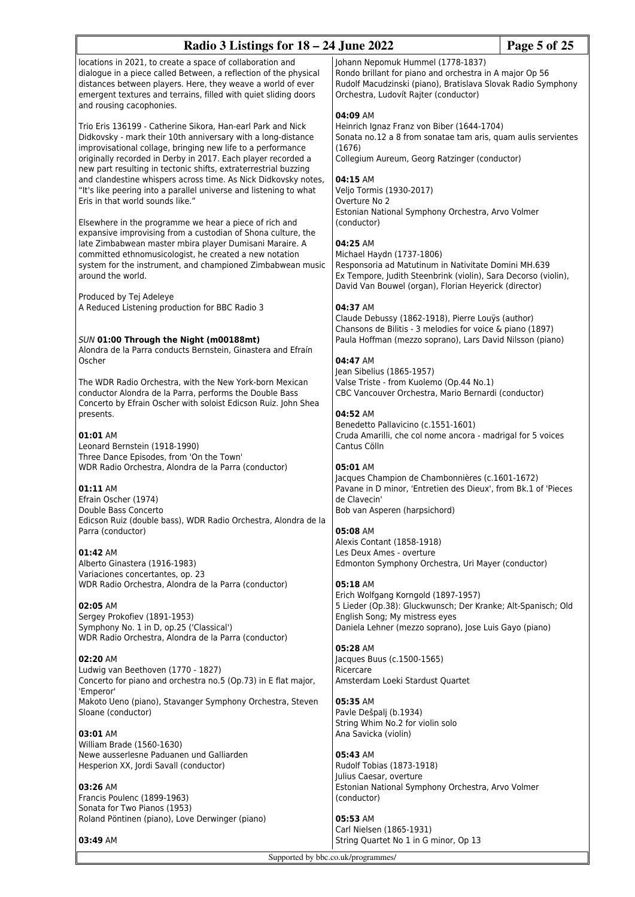| Radio 3 Listings for $18 - 24$ June 2022                                                                                                                                                                                                                                                                                                                                                                                                                                                                 |                                                                                                                                                                                                                                                  | Page 5 of 25 |
|----------------------------------------------------------------------------------------------------------------------------------------------------------------------------------------------------------------------------------------------------------------------------------------------------------------------------------------------------------------------------------------------------------------------------------------------------------------------------------------------------------|--------------------------------------------------------------------------------------------------------------------------------------------------------------------------------------------------------------------------------------------------|--------------|
| locations in 2021, to create a space of collaboration and<br>dialogue in a piece called Between, a reflection of the physical<br>distances between players. Here, they weave a world of ever<br>emergent textures and terrains, filled with quiet sliding doors<br>and rousing cacophonies.                                                                                                                                                                                                              | Johann Nepomuk Hummel (1778-1837)<br>Rondo brillant for piano and orchestra in A major Op 56<br>Rudolf Macudzinski (piano), Bratislava Slovak Radio Symphony<br>Orchestra, Ludovít Rajter (conductor)<br>04:09 AM                                |              |
| Trio Eris 136199 - Catherine Sikora, Han-earl Park and Nick<br>Didkovsky - mark their 10th anniversary with a long-distance<br>improvisational collage, bringing new life to a performance<br>originally recorded in Derby in 2017. Each player recorded a<br>new part resulting in tectonic shifts, extraterrestrial buzzing<br>and clandestine whispers across time. As Nick Didkovsky notes,<br>"It's like peering into a parallel universe and listening to what<br>Eris in that world sounds like." | Heinrich Ignaz Franz von Biber (1644-1704)<br>Sonata no.12 a 8 from sonatae tam aris, quam aulis servientes<br>(1676)<br>Collegium Aureum, Georg Ratzinger (conductor)<br>04:15 AM<br>Veljo Tormis (1930-2017)<br>Overture No 2                  |              |
| Elsewhere in the programme we hear a piece of rich and<br>expansive improvising from a custodian of Shona culture, the<br>late Zimbabwean master mbira player Dumisani Maraire. A<br>committed ethnomusicologist, he created a new notation<br>system for the instrument, and championed Zimbabwean music<br>around the world.                                                                                                                                                                           | Estonian National Symphony Orchestra, Arvo Volmer<br>(conductor)<br>04:25 AM<br>Michael Haydn (1737-1806)<br>Responsoria ad Matutinum in Nativitate Domini MH.639<br>Ex Tempore, Judith Steenbrink (violin), Sara Decorso (violin),              |              |
| Produced by Tej Adeleye<br>A Reduced Listening production for BBC Radio 3<br>SUN 01:00 Through the Night (m00188mt)                                                                                                                                                                                                                                                                                                                                                                                      | David Van Bouwel (organ), Florian Heyerick (director)<br>04:37 AM<br>Claude Debussy (1862-1918), Pierre Louys (author)<br>Chansons de Bilitis - 3 melodies for voice & piano (1897)<br>Paula Hoffman (mezzo soprano), Lars David Nilsson (piano) |              |
| Alondra de la Parra conducts Bernstein, Ginastera and Efraín<br>Oscher                                                                                                                                                                                                                                                                                                                                                                                                                                   | 04:47 AM<br>Jean Sibelius (1865-1957)                                                                                                                                                                                                            |              |
| The WDR Radio Orchestra, with the New York-born Mexican<br>conductor Alondra de la Parra, performs the Double Bass<br>Concerto by Efrain Oscher with soloist Edicson Ruiz. John Shea<br>presents.                                                                                                                                                                                                                                                                                                        | Valse Triste - from Kuolemo (Op.44 No.1)<br>CBC Vancouver Orchestra, Mario Bernardi (conductor)<br>04:52 AM                                                                                                                                      |              |
| 01:01 AM<br>Leonard Bernstein (1918-1990)<br>Three Dance Episodes, from 'On the Town'                                                                                                                                                                                                                                                                                                                                                                                                                    | Benedetto Pallavicino (c.1551-1601)<br>Cruda Amarilli, che col nome ancora - madrigal for 5 voices<br>Cantus Cölln                                                                                                                               |              |
| WDR Radio Orchestra, Alondra de la Parra (conductor)<br>01:11 AM<br>Efrain Oscher (1974)<br>Double Bass Concerto                                                                                                                                                                                                                                                                                                                                                                                         | 05:01 AM<br>Jacques Champion de Chambonnières (c.1601-1672)<br>Pavane in D minor, 'Entretien des Dieux', from Bk.1 of 'Pieces<br>de Clavecin'<br>Bob van Asperen (harpsichord)                                                                   |              |
| Edicson Ruiz (double bass), WDR Radio Orchestra, Alondra de la<br>Parra (conductor)                                                                                                                                                                                                                                                                                                                                                                                                                      | 05:08 AM<br>Alexis Contant (1858-1918)                                                                                                                                                                                                           |              |
| 01:42 AM<br>Alberto Ginastera (1916-1983)<br>Variaciones concertantes, op. 23                                                                                                                                                                                                                                                                                                                                                                                                                            | Les Deux Ames - overture<br>Edmonton Symphony Orchestra, Uri Mayer (conductor)                                                                                                                                                                   |              |
| WDR Radio Orchestra, Alondra de la Parra (conductor)<br>02:05 AM<br>Sergey Prokofiev (1891-1953)<br>Symphony No. 1 in D, op.25 ('Classical')<br>WDR Radio Orchestra, Alondra de la Parra (conductor)                                                                                                                                                                                                                                                                                                     | 05:18 AM<br>Erich Wolfgang Korngold (1897-1957)<br>5 Lieder (Op.38): Gluckwunsch; Der Kranke; Alt-Spanisch; Old<br>English Song; My mistress eyes<br>Daniela Lehner (mezzo soprano), Jose Luis Gayo (piano)                                      |              |
| 02:20 AM<br>Ludwig van Beethoven (1770 - 1827)<br>Concerto for piano and orchestra no.5 (Op.73) in E flat major,<br>'Emperor'                                                                                                                                                                                                                                                                                                                                                                            | 05:28 AM<br>Jacques Buus (c.1500-1565)<br>Ricercare<br>Amsterdam Loeki Stardust Quartet                                                                                                                                                          |              |
| Makoto Ueno (piano), Stavanger Symphony Orchestra, Steven<br>Sloane (conductor)                                                                                                                                                                                                                                                                                                                                                                                                                          | 05:35 AM<br>Pavle Dešpalj (b.1934)<br>String Whim No.2 for violin solo                                                                                                                                                                           |              |
| 03:01 AM<br>William Brade (1560-1630)<br>Newe ausserlesne Paduanen und Galliarden<br>Hesperion XX, Jordi Savall (conductor)                                                                                                                                                                                                                                                                                                                                                                              | Ana Savicka (violin)<br>05:43 AM<br>Rudolf Tobias (1873-1918)                                                                                                                                                                                    |              |
| 03:26 AM<br>Francis Poulenc (1899-1963)<br>Sonata for Two Pianos (1953)<br>Roland Pöntinen (piano), Love Derwinger (piano)                                                                                                                                                                                                                                                                                                                                                                               | Julius Caesar, overture<br>Estonian National Symphony Orchestra, Arvo Volmer<br>(conductor)<br>05:53 AM                                                                                                                                          |              |
| 03:49 AM                                                                                                                                                                                                                                                                                                                                                                                                                                                                                                 | Carl Nielsen (1865-1931)<br>String Quartet No 1 in G minor, Op 13                                                                                                                                                                                |              |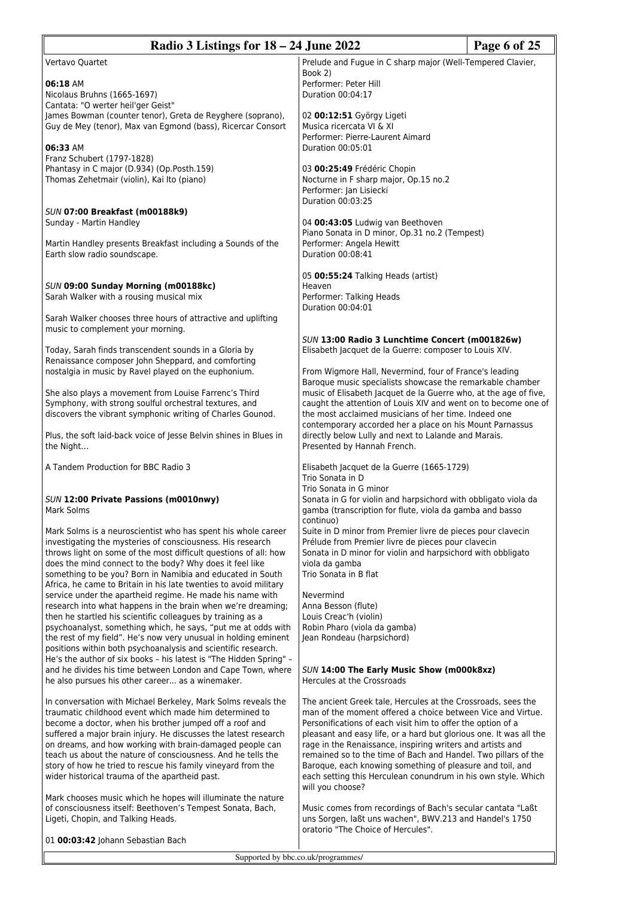| Radio 3 Listings for 18 – 24 June 2022                                                                                              |                                                                                                                                  | Page 6 of 25 |
|-------------------------------------------------------------------------------------------------------------------------------------|----------------------------------------------------------------------------------------------------------------------------------|--------------|
| Vertavo Quartet                                                                                                                     | Prelude and Fugue in C sharp major (Well-Tempered Clavier,                                                                       |              |
| 06:18 AM                                                                                                                            | Book 2)<br>Performer: Peter Hill                                                                                                 |              |
| Nicolaus Bruhns (1665-1697)<br>Cantata: "O werter heil'ger Geist"                                                                   | Duration 00:04:17                                                                                                                |              |
| James Bowman (counter tenor), Greta de Reyghere (soprano),                                                                          | 02 00:12:51 György Ligeti                                                                                                        |              |
| Guy de Mey (tenor), Max van Egmond (bass), Ricercar Consort                                                                         | Musica ricercata VI & XI<br>Performer: Pierre-Laurent Aimard                                                                     |              |
| 06:33 AM                                                                                                                            | Duration 00:05:01                                                                                                                |              |
| Franz Schubert (1797-1828)<br>Phantasy in C major (D.934) (Op.Posth.159)                                                            | 03 00:25:49 Frédéric Chopin                                                                                                      |              |
| Thomas Zehetmair (violin), Kai Ito (piano)                                                                                          | Nocturne in F sharp major, Op.15 no.2<br>Performer: Jan Lisiecki                                                                 |              |
|                                                                                                                                     | Duration 00:03:25                                                                                                                |              |
| SUN 07:00 Breakfast (m00188k9)<br>Sunday - Martin Handley                                                                           | 04 00:43:05 Ludwig van Beethoven                                                                                                 |              |
|                                                                                                                                     | Piano Sonata in D minor, Op.31 no.2 (Tempest)                                                                                    |              |
| Martin Handley presents Breakfast including a Sounds of the<br>Earth slow radio soundscape.                                         | Performer: Angela Hewitt<br>Duration 00:08:41                                                                                    |              |
|                                                                                                                                     | 05 00:55:24 Talking Heads (artist)                                                                                               |              |
| SUN 09:00 Sunday Morning (m00188kc)                                                                                                 | Heaven                                                                                                                           |              |
| Sarah Walker with a rousing musical mix                                                                                             | Performer: Talking Heads<br>Duration 00:04:01                                                                                    |              |
| Sarah Walker chooses three hours of attractive and uplifting<br>music to complement your morning.                                   |                                                                                                                                  |              |
|                                                                                                                                     | SUN 13:00 Radio 3 Lunchtime Concert (m001826w)                                                                                   |              |
| Today, Sarah finds transcendent sounds in a Gloria by<br>Renaissance composer John Sheppard, and comforting                         | Elisabeth Jacquet de la Guerre: composer to Louis XIV.                                                                           |              |
| nostalgia in music by Ravel played on the euphonium.                                                                                | From Wigmore Hall, Nevermind, four of France's leading                                                                           |              |
| She also plays a movement from Louise Farrenc's Third                                                                               | Baroque music specialists showcase the remarkable chamber<br>music of Elisabeth Jacquet de la Guerre who, at the age of five,    |              |
| Symphony, with strong soulful orchestral textures, and<br>discovers the vibrant symphonic writing of Charles Gounod.                | caught the attention of Louis XIV and went on to become one of<br>the most acclaimed musicians of her time. Indeed one           |              |
|                                                                                                                                     | contemporary accorded her a place on his Mount Parnassus                                                                         |              |
| Plus, the soft laid-back voice of Jesse Belvin shines in Blues in<br>the Night                                                      | directly below Lully and next to Lalande and Marais.<br>Presented by Hannah French.                                              |              |
| A Tandem Production for BBC Radio 3                                                                                                 | Elisabeth Jacquet de la Guerre (1665-1729)                                                                                       |              |
|                                                                                                                                     | Trio Sonata in D                                                                                                                 |              |
| SUN 12:00 Private Passions (m0010nwy)                                                                                               | Trio Sonata in G minor<br>Sonata in G for violin and harpsichord with obbligato viola da                                         |              |
| Mark Solms                                                                                                                          | gamba (transcription for flute, viola da gamba and basso                                                                         |              |
| Mark Solms is a neuroscientist who has spent his whole career                                                                       | continuo)<br>Suite in D minor from Premier livre de pieces pour clavecin                                                         |              |
| investigating the mysteries of consciousness. His research<br>throws light on some of the most difficult questions of all: how      | Prélude from Premier livre de pieces pour clavecin<br>Sonata in D minor for violin and harpsichord with obbligato                |              |
| does the mind connect to the body? Why does it feel like                                                                            | viola da gamba<br>Trio Sonata in B flat                                                                                          |              |
| something to be you? Born in Namibia and educated in South<br>Africa, he came to Britain in his late twenties to avoid military     |                                                                                                                                  |              |
| service under the apartheid regime. He made his name with<br>research into what happens in the brain when we're dreaming;           | Nevermind<br>Anna Besson (flute)                                                                                                 |              |
| then he startled his scientific colleagues by training as a                                                                         | Louis Creac'h (violin)                                                                                                           |              |
| psychoanalyst, something which, he says, "put me at odds with<br>the rest of my field". He's now very unusual in holding eminent    | Robin Pharo (viola da gamba)<br>Jean Rondeau (harpsichord)                                                                       |              |
| positions within both psychoanalysis and scientific research.<br>He's the author of six books - his latest is "The Hidden Spring" - |                                                                                                                                  |              |
| and he divides his time between London and Cape Town, where                                                                         | SUN 14:00 The Early Music Show (m000k8xz)                                                                                        |              |
| he also pursues his other career as a winemaker.                                                                                    | Hercules at the Crossroads                                                                                                       |              |
| In conversation with Michael Berkeley, Mark Solms reveals the<br>traumatic childhood event which made him determined to             | The ancient Greek tale, Hercules at the Crossroads, sees the<br>man of the moment offered a choice between Vice and Virtue.      |              |
| become a doctor, when his brother jumped off a roof and                                                                             | Personifications of each visit him to offer the option of a                                                                      |              |
| suffered a major brain injury. He discusses the latest research<br>on dreams, and how working with brain-damaged people can         | pleasant and easy life, or a hard but glorious one. It was all the<br>rage in the Renaissance, inspiring writers and artists and |              |
| teach us about the nature of consciousness. And he tells the                                                                        | remained so to the time of Bach and Handel. Two pillars of the                                                                   |              |
| story of how he tried to rescue his family vineyard from the<br>wider historical trauma of the apartheid past.                      | Baroque, each knowing something of pleasure and toil, and<br>each setting this Herculean conundrum in his own style. Which       |              |
| Mark chooses music which he hopes will illuminate the nature                                                                        | will you choose?                                                                                                                 |              |
| of consciousness itself: Beethoven's Tempest Sonata, Bach,                                                                          | Music comes from recordings of Bach's secular cantata "Laßt"                                                                     |              |
| Ligeti, Chopin, and Talking Heads.                                                                                                  | uns Sorgen, laßt uns wachen", BWV.213 and Handel's 1750<br>oratorio "The Choice of Hercules".                                    |              |
| 01 00:03:42 Johann Sebastian Bach                                                                                                   |                                                                                                                                  |              |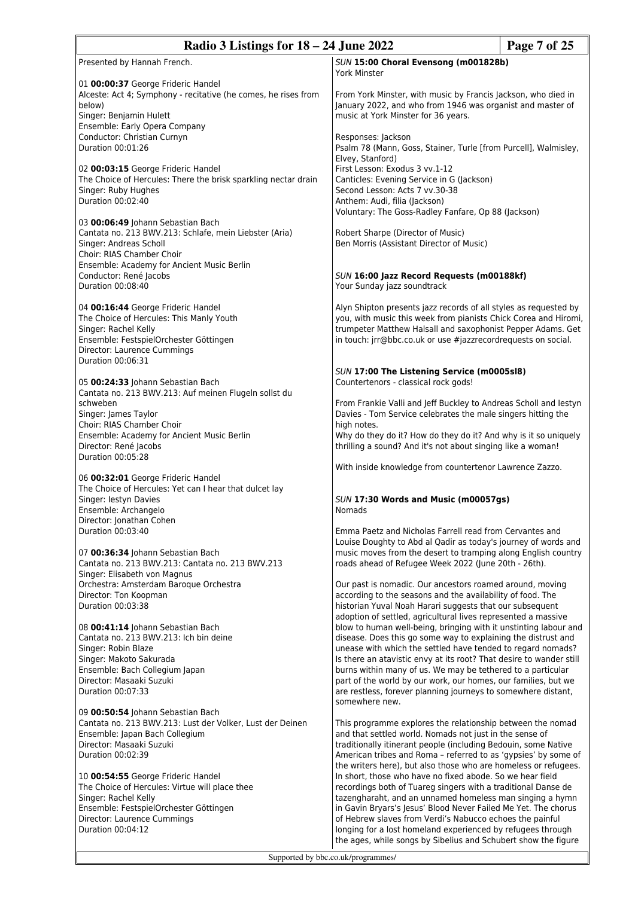| Radio 3 Listings for 18 – 24 June 2022                                                                                                                                                                           |                                                                                                                                                                                                                                                                                                                                                                                                                                                                           | Page 7 of 25 |
|------------------------------------------------------------------------------------------------------------------------------------------------------------------------------------------------------------------|---------------------------------------------------------------------------------------------------------------------------------------------------------------------------------------------------------------------------------------------------------------------------------------------------------------------------------------------------------------------------------------------------------------------------------------------------------------------------|--------------|
| Presented by Hannah French.                                                                                                                                                                                      | SUN 15:00 Choral Evensong (m001828b)<br>York Minster                                                                                                                                                                                                                                                                                                                                                                                                                      |              |
| 01 00:00:37 George Frideric Handel<br>Alceste: Act 4; Symphony - recitative (he comes, he rises from<br>below)<br>Singer: Benjamin Hulett<br>Ensemble: Early Opera Company                                       | From York Minster, with music by Francis Jackson, who died in<br>January 2022, and who from 1946 was organist and master of<br>music at York Minster for 36 years.                                                                                                                                                                                                                                                                                                        |              |
| Conductor: Christian Curnyn<br>Duration 00:01:26                                                                                                                                                                 | Responses: Jackson<br>Psalm 78 (Mann, Goss, Stainer, Turle [from Purcell], Walmisley,<br>Elvey, Stanford)                                                                                                                                                                                                                                                                                                                                                                 |              |
| 02 00:03:15 George Frideric Handel<br>The Choice of Hercules: There the brisk sparkling nectar drain<br>Singer: Ruby Hughes<br>Duration 00:02:40                                                                 | First Lesson: Exodus 3 vv.1-12<br>Canticles: Evening Service in G (Jackson)<br>Second Lesson: Acts 7 vv.30-38<br>Anthem: Audi, filia (Jackson)<br>Voluntary: The Goss-Radley Fanfare, Op 88 (Jackson)                                                                                                                                                                                                                                                                     |              |
| 03 00:06:49 Johann Sebastian Bach<br>Cantata no. 213 BWV.213: Schlafe, mein Liebster (Aria)<br>Singer: Andreas Scholl<br>Choir: RIAS Chamber Choir<br>Ensemble: Academy for Ancient Music Berlin                 | Robert Sharpe (Director of Music)<br>Ben Morris (Assistant Director of Music)                                                                                                                                                                                                                                                                                                                                                                                             |              |
| Conductor: René Jacobs<br>Duration 00:08:40                                                                                                                                                                      | SUN 16:00 Jazz Record Requests (m00188kf)<br>Your Sunday jazz soundtrack                                                                                                                                                                                                                                                                                                                                                                                                  |              |
| 04 00:16:44 George Frideric Handel<br>The Choice of Hercules: This Manly Youth<br>Singer: Rachel Kelly<br>Ensemble: FestspielOrchester Göttingen<br>Director: Laurence Cummings<br>Duration 00:06:31             | Alyn Shipton presents jazz records of all styles as requested by<br>you, with music this week from pianists Chick Corea and Hiromi,<br>trumpeter Matthew Halsall and saxophonist Pepper Adams. Get<br>in touch: jrr@bbc.co.uk or use #jazzrecordrequests on social.                                                                                                                                                                                                       |              |
| 05 00:24:33 Johann Sebastian Bach<br>Cantata no. 213 BWV.213: Auf meinen Flugeln sollst du                                                                                                                       | SUN 17:00 The Listening Service (m0005sl8)<br>Countertenors - classical rock gods!                                                                                                                                                                                                                                                                                                                                                                                        |              |
| schweben<br>Singer: James Taylor<br>Choir: RIAS Chamber Choir<br>Ensemble: Academy for Ancient Music Berlin                                                                                                      | From Frankie Valli and Jeff Buckley to Andreas Scholl and lestyn<br>Davies - Tom Service celebrates the male singers hitting the<br>high notes.<br>Why do they do it? How do they do it? And why is it so uniquely                                                                                                                                                                                                                                                        |              |
| Director: René Jacobs<br>Duration 00:05:28                                                                                                                                                                       | thrilling a sound? And it's not about singing like a woman!                                                                                                                                                                                                                                                                                                                                                                                                               |              |
| 06 00:32:01 George Frideric Handel<br>The Choice of Hercules: Yet can I hear that dulcet lay<br>Singer: Iestyn Davies<br>Ensemble: Archangelo                                                                    | With inside knowledge from countertenor Lawrence Zazzo.<br>SUN 17:30 Words and Music (m00057gs)<br><b>Nomads</b>                                                                                                                                                                                                                                                                                                                                                          |              |
| Director: Jonathan Cohen<br>Duration 00:03:40<br>07 00:36:34 Johann Sebastian Bach<br>Cantata no. 213 BWV.213: Cantata no. 213 BWV.213                                                                           | Emma Paetz and Nicholas Farrell read from Cervantes and<br>Louise Doughty to Abd al Qadir as today's journey of words and<br>music moves from the desert to tramping along English country<br>roads ahead of Refugee Week 2022 (June 20th - 26th).                                                                                                                                                                                                                        |              |
| Singer: Elisabeth von Magnus<br>Orchestra: Amsterdam Baroque Orchestra<br>Director: Ton Koopman<br>Duration 00:03:38                                                                                             | Our past is nomadic. Our ancestors roamed around, moving<br>according to the seasons and the availability of food. The<br>historian Yuval Noah Harari suggests that our subsequent<br>adoption of settled, agricultural lives represented a massive                                                                                                                                                                                                                       |              |
| 08 00:41:14 Johann Sebastian Bach<br>Cantata no. 213 BWV.213: Ich bin deine<br>Singer: Robin Blaze<br>Singer: Makoto Sakurada<br>Ensemble: Bach Collegium Japan<br>Director: Masaaki Suzuki<br>Duration 00:07:33 | blow to human well-being, bringing with it unstinting labour and<br>disease. Does this go some way to explaining the distrust and<br>unease with which the settled have tended to regard nomads?<br>Is there an atavistic envy at its root? That desire to wander still<br>burns within many of us. We may be tethered to a particular<br>part of the world by our work, our homes, our families, but we<br>are restless, forever planning journeys to somewhere distant, |              |
| 09 00:50:54 Johann Sebastian Bach<br>Cantata no. 213 BWV.213: Lust der Volker, Lust der Deinen<br>Ensemble: Japan Bach Collegium<br>Director: Masaaki Suzuki<br>Duration 00:02:39                                | somewhere new.<br>This programme explores the relationship between the nomad<br>and that settled world. Nomads not just in the sense of<br>traditionally itinerant people (including Bedouin, some Native<br>American tribes and Roma - referred to as 'gypsies' by some of                                                                                                                                                                                               |              |
| 10 00:54:55 George Frideric Handel<br>The Choice of Hercules: Virtue will place thee<br>Singer: Rachel Kelly<br>Ensemble: FestspielOrchester Göttingen<br>Director: Laurence Cummings<br>Duration 00:04:12       | the writers here), but also those who are homeless or refugees.<br>In short, those who have no fixed abode. So we hear field<br>recordings both of Tuareg singers with a traditional Danse de<br>tazengharaht, and an unnamed homeless man singing a hymn<br>in Gavin Bryars's Jesus' Blood Never Failed Me Yet. The chorus<br>of Hebrew slaves from Verdi's Nabucco echoes the painful<br>longing for a lost homeland experienced by refugees through                    |              |

the ages, while songs by Sibelius and Schubert show the figure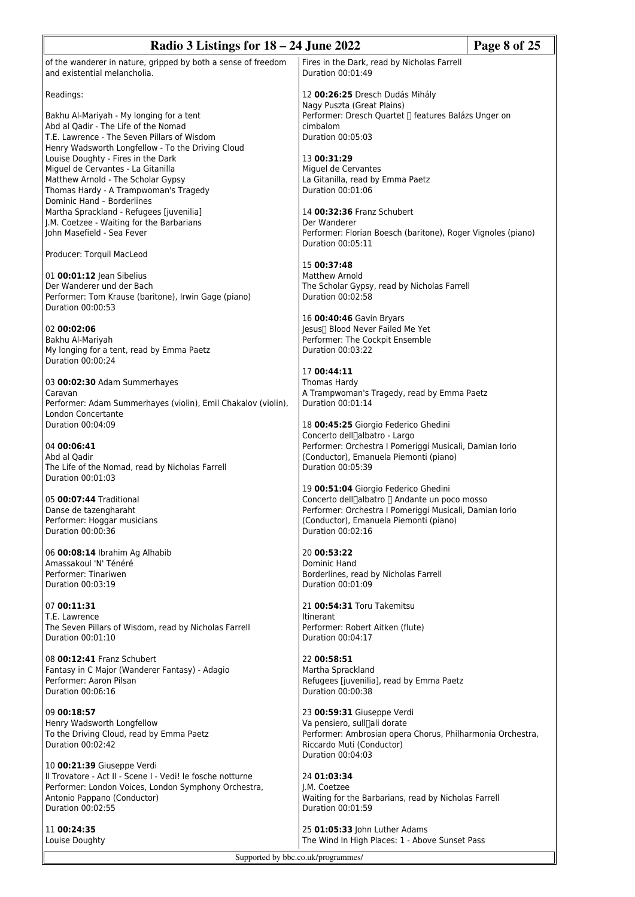| Radio 3 Listings for $18 - 24$ June 2022                                                                           |                                                                                                       | Page 8 of 25 |
|--------------------------------------------------------------------------------------------------------------------|-------------------------------------------------------------------------------------------------------|--------------|
| of the wanderer in nature, gripped by both a sense of freedom<br>and existential melancholia.                      | Fires in the Dark, read by Nicholas Farrell<br>Duration 00:01:49                                      |              |
| Readings:                                                                                                          | 12 00:26:25 Dresch Dudás Mihály<br>Nagy Puszta (Great Plains)                                         |              |
| Bakhu Al-Mariyah - My longing for a tent<br>Abd al Qadir - The Life of the Nomad                                   | Performer: Dresch Quartet [] features Balázs Unger on<br>cimbalom                                     |              |
| T.E. Lawrence - The Seven Pillars of Wisdom<br>Henry Wadsworth Longfellow - To the Driving Cloud                   | Duration 00:05:03                                                                                     |              |
| Louise Doughty - Fires in the Dark                                                                                 | 13 00:31:29                                                                                           |              |
| Miguel de Cervantes - La Gitanilla<br>Matthew Arnold - The Scholar Gypsy                                           | Miguel de Cervantes<br>La Gitanilla, read by Emma Paetz                                               |              |
| Thomas Hardy - A Trampwoman's Tragedy<br>Dominic Hand - Borderlines                                                | Duration 00:01:06                                                                                     |              |
| Martha Sprackland - Refugees [juvenilia]                                                                           | 14 00:32:36 Franz Schubert                                                                            |              |
| J.M. Coetzee - Waiting for the Barbarians<br>John Masefield - Sea Fever                                            | Der Wanderer<br>Performer: Florian Boesch (baritone), Roger Vignoles (piano)                          |              |
| Producer: Torquil MacLeod                                                                                          | Duration 00:05:11                                                                                     |              |
|                                                                                                                    | 15 00:37:48                                                                                           |              |
| 01 00:01:12 Jean Sibelius<br>Der Wanderer und der Bach                                                             | Matthew Arnold<br>The Scholar Gypsy, read by Nicholas Farrell                                         |              |
| Performer: Tom Krause (baritone), Irwin Gage (piano)<br>Duration 00:00:53                                          | Duration 00:02:58                                                                                     |              |
| 02 00:02:06                                                                                                        | 16 00:40:46 Gavin Bryars<br>Jesus∏ Blood Never Failed Me Yet                                          |              |
| Bakhu Al-Mariyah                                                                                                   | Performer: The Cockpit Ensemble<br>Duration 00:03:22                                                  |              |
| My longing for a tent, read by Emma Paetz<br>Duration 00:00:24                                                     |                                                                                                       |              |
| 03 00:02:30 Adam Summerhayes                                                                                       | 17 00:44:11<br>Thomas Hardy                                                                           |              |
| Caravan                                                                                                            | A Trampwoman's Tragedy, read by Emma Paetz                                                            |              |
| Performer: Adam Summerhayes (violin), Emil Chakalov (violin),<br>London Concertante                                | Duration 00:01:14                                                                                     |              |
| Duration 00:04:09                                                                                                  | 18 00:45:25 Giorgio Federico Ghedini<br>Concerto dell <sub>albatro</sub> - Largo                      |              |
| 04 00:06:41                                                                                                        | Performer: Orchestra I Pomeriggi Musicali, Damian Iorio                                               |              |
| Abd al Qadir<br>The Life of the Nomad, read by Nicholas Farrell                                                    | (Conductor), Emanuela Piemonti (piano)<br>Duration 00:05:39                                           |              |
| Duration 00:01:03                                                                                                  | 19 00:51:04 Giorgio Federico Ghedini                                                                  |              |
| 05 00:07:44 Traditional                                                                                            | Concerto dell[albatro [] Andante un poco mosso                                                        |              |
| Danse de tazengharaht<br>Performer: Hoggar musicians                                                               | Performer: Orchestra I Pomeriggi Musicali, Damian Iorio<br>(Conductor), Emanuela Piemonti (piano)     |              |
| Duration 00:00:36                                                                                                  | Duration 00:02:16                                                                                     |              |
| 06 00:08:14 Ibrahim Ag Alhabib<br>Amassakoul 'N' Ténéré                                                            | 20 00:53:22<br>Dominic Hand                                                                           |              |
| Performer: Tinariwen                                                                                               | Borderlines, read by Nicholas Farrell                                                                 |              |
| Duration 00:03:19                                                                                                  | Duration 00:01:09                                                                                     |              |
| 07 00:11:31<br>T.E. Lawrence                                                                                       | 21 00:54:31 Toru Takemitsu<br><b>Itinerant</b>                                                        |              |
| The Seven Pillars of Wisdom, read by Nicholas Farrell                                                              | Performer: Robert Aitken (flute)                                                                      |              |
| Duration 00:01:10                                                                                                  | Duration 00:04:17                                                                                     |              |
| 08 00:12:41 Franz Schubert<br>Fantasy in C Major (Wanderer Fantasy) - Adagio                                       | 22 00:58:51<br>Martha Sprackland                                                                      |              |
| Performer: Aaron Pilsan                                                                                            | Refugees [juvenilia], read by Emma Paetz                                                              |              |
| Duration 00:06:16                                                                                                  | Duration 00:00:38                                                                                     |              |
| 09 00:18:57                                                                                                        | 23 00:59:31 Giuseppe Verdi                                                                            |              |
| Henry Wadsworth Longfellow<br>To the Driving Cloud, read by Emma Paetz                                             | Va pensiero, sull <sub>ali dorate</sub><br>Performer: Ambrosian opera Chorus, Philharmonia Orchestra, |              |
| Duration 00:02:42                                                                                                  | Riccardo Muti (Conductor)<br>Duration 00:04:03                                                        |              |
| 10 00:21:39 Giuseppe Verdi                                                                                         |                                                                                                       |              |
| Il Trovatore - Act II - Scene I - Vedi! le fosche notturne<br>Performer: London Voices, London Symphony Orchestra, | 24 01:03:34<br>J.M. Coetzee                                                                           |              |
| Antonio Pappano (Conductor)<br>Duration 00:02:55                                                                   | Waiting for the Barbarians, read by Nicholas Farrell<br>Duration 00:01:59                             |              |
| 11 00:24:35                                                                                                        | 25 01:05:33 John Luther Adams                                                                         |              |
| Louise Doughty                                                                                                     | The Wind In High Places: 1 - Above Sunset Pass                                                        |              |
|                                                                                                                    | Supported by bbc.co.uk/programmes/                                                                    |              |
|                                                                                                                    |                                                                                                       |              |

1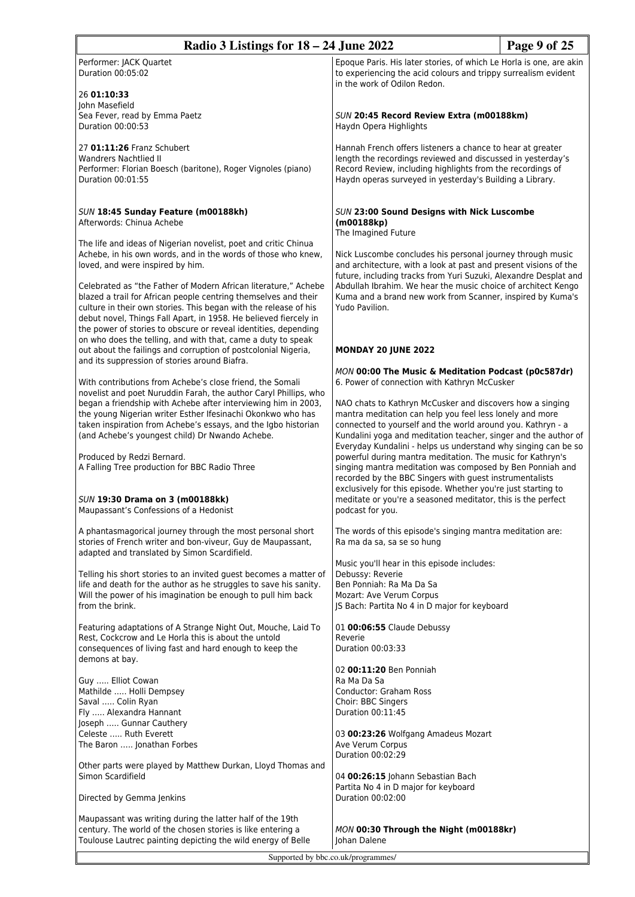| Radio 3 Listings for 18 - 24 June 2022                                                                                                                                                                                                                                                                                                        |                                                                                                                                                                                                                                                         | Page 9 of 25 |
|-----------------------------------------------------------------------------------------------------------------------------------------------------------------------------------------------------------------------------------------------------------------------------------------------------------------------------------------------|---------------------------------------------------------------------------------------------------------------------------------------------------------------------------------------------------------------------------------------------------------|--------------|
| Performer: JACK Quartet<br>Duration 00:05:02                                                                                                                                                                                                                                                                                                  | Epoque Paris. His later stories, of which Le Horla is one, are akin<br>to experiencing the acid colours and trippy surrealism evident<br>in the work of Odilon Redon.                                                                                   |              |
| 26 01:10:33<br>John Masefield                                                                                                                                                                                                                                                                                                                 |                                                                                                                                                                                                                                                         |              |
| Sea Fever, read by Emma Paetz<br>Duration 00:00:53                                                                                                                                                                                                                                                                                            | SUN 20:45 Record Review Extra (m00188km)<br>Haydn Opera Highlights                                                                                                                                                                                      |              |
| 27 01:11:26 Franz Schubert<br><b>Wandrers Nachtlied II</b><br>Performer: Florian Boesch (baritone), Roger Vignoles (piano)<br>Duration 00:01:55                                                                                                                                                                                               | Hannah French offers listeners a chance to hear at greater<br>length the recordings reviewed and discussed in yesterday's<br>Record Review, including highlights from the recordings of<br>Haydn operas surveyed in yesterday's Building a Library.     |              |
| SUN 18:45 Sunday Feature (m00188kh)<br>Afterwords: Chinua Achebe                                                                                                                                                                                                                                                                              | SUN 23:00 Sound Designs with Nick Luscombe<br>(m00188kp)<br>The Imagined Future                                                                                                                                                                         |              |
| The life and ideas of Nigerian novelist, poet and critic Chinua<br>Achebe, in his own words, and in the words of those who knew,<br>loved, and were inspired by him.                                                                                                                                                                          | Nick Luscombe concludes his personal journey through music<br>and architecture, with a look at past and present visions of the<br>future, including tracks from Yuri Suzuki, Alexandre Desplat and                                                      |              |
| Celebrated as "the Father of Modern African literature," Achebe<br>blazed a trail for African people centring themselves and their<br>culture in their own stories. This began with the release of his<br>debut novel, Things Fall Apart, in 1958. He believed fiercely in<br>the power of stories to obscure or reveal identities, depending | Abdullah Ibrahim. We hear the music choice of architect Kengo<br>Kuma and a brand new work from Scanner, inspired by Kuma's<br>Yudo Pavilion.                                                                                                           |              |
| on who does the telling, and with that, came a duty to speak<br>out about the failings and corruption of postcolonial Nigeria,                                                                                                                                                                                                                | MONDAY 20 JUNE 2022                                                                                                                                                                                                                                     |              |
| and its suppression of stories around Biafra.<br>With contributions from Achebe's close friend, the Somali                                                                                                                                                                                                                                    | MON 00:00 The Music & Meditation Podcast (p0c587dr)<br>6. Power of connection with Kathryn McCusker                                                                                                                                                     |              |
| novelist and poet Nuruddin Farah, the author Caryl Phillips, who<br>began a friendship with Achebe after interviewing him in 2003,<br>the young Nigerian writer Esther Ifesinachi Okonkwo who has<br>taken inspiration from Achebe's essays, and the Igbo historian<br>(and Achebe's youngest child) Dr Nwando Achebe.                        | NAO chats to Kathryn McCusker and discovers how a singing<br>mantra meditation can help you feel less lonely and more<br>connected to yourself and the world around you. Kathryn - a<br>Kundalini yoga and meditation teacher, singer and the author of |              |
| Produced by Redzi Bernard.<br>A Falling Tree production for BBC Radio Three                                                                                                                                                                                                                                                                   | Everyday Kundalini - helps us understand why singing can be so<br>powerful during mantra meditation. The music for Kathryn's<br>singing mantra meditation was composed by Ben Ponniah and<br>recorded by the BBC Singers with guest instrumentalists    |              |
| SUN 19:30 Drama on 3 (m00188kk)<br>Maupassant's Confessions of a Hedonist                                                                                                                                                                                                                                                                     | exclusively for this episode. Whether you're just starting to<br>meditate or you're a seasoned meditator, this is the perfect<br>podcast for you.                                                                                                       |              |
| A phantasmagorical journey through the most personal short<br>stories of French writer and bon-viveur, Guy de Maupassant,<br>adapted and translated by Simon Scardifield.                                                                                                                                                                     | The words of this episode's singing mantra meditation are:<br>Ra ma da sa, sa se so hung                                                                                                                                                                |              |
| Telling his short stories to an invited guest becomes a matter of<br>life and death for the author as he struggles to save his sanity.<br>Will the power of his imagination be enough to pull him back<br>from the brink.                                                                                                                     | Music you'll hear in this episode includes:<br>Debussy: Reverie<br>Ben Ponniah: Ra Ma Da Sa<br>Mozart: Ave Verum Corpus<br>JS Bach: Partita No 4 in D major for keyboard                                                                                |              |
| Featuring adaptations of A Strange Night Out, Mouche, Laid To<br>Rest, Cockcrow and Le Horla this is about the untold<br>consequences of living fast and hard enough to keep the                                                                                                                                                              | 01 00:06:55 Claude Debussy<br>Reverie<br>Duration 00:03:33                                                                                                                                                                                              |              |
| demons at bay.                                                                                                                                                                                                                                                                                                                                | 02 00:11:20 Ben Ponniah                                                                                                                                                                                                                                 |              |
| Guy  Elliot Cowan<br>Mathilde  Holli Dempsey                                                                                                                                                                                                                                                                                                  | Ra Ma Da Sa<br>Conductor: Graham Ross                                                                                                                                                                                                                   |              |
| Saval  Colin Ryan<br>Fly  Alexandra Hannant                                                                                                                                                                                                                                                                                                   | Choir: BBC Singers<br>Duration 00:11:45                                                                                                                                                                                                                 |              |
| Joseph  Gunnar Cauthery<br>Celeste  Ruth Everett                                                                                                                                                                                                                                                                                              | 03 00:23:26 Wolfgang Amadeus Mozart                                                                                                                                                                                                                     |              |
| The Baron  Jonathan Forbes                                                                                                                                                                                                                                                                                                                    | Ave Verum Corpus<br>Duration 00:02:29                                                                                                                                                                                                                   |              |
| Other parts were played by Matthew Durkan, Lloyd Thomas and<br>Simon Scardifield                                                                                                                                                                                                                                                              | 04 00:26:15 Johann Sebastian Bach                                                                                                                                                                                                                       |              |
| Directed by Gemma Jenkins                                                                                                                                                                                                                                                                                                                     | Partita No 4 in D major for keyboard<br>Duration 00:02:00                                                                                                                                                                                               |              |
| Maupassant was writing during the latter half of the 19th<br>century. The world of the chosen stories is like entering a                                                                                                                                                                                                                      | MON 00:30 Through the Night (m00188kr)                                                                                                                                                                                                                  |              |
| Toulouse Lautrec painting depicting the wild energy of Belle                                                                                                                                                                                                                                                                                  | Johan Dalene                                                                                                                                                                                                                                            |              |
| Supported by bbc.co.uk/programmes/                                                                                                                                                                                                                                                                                                            |                                                                                                                                                                                                                                                         |              |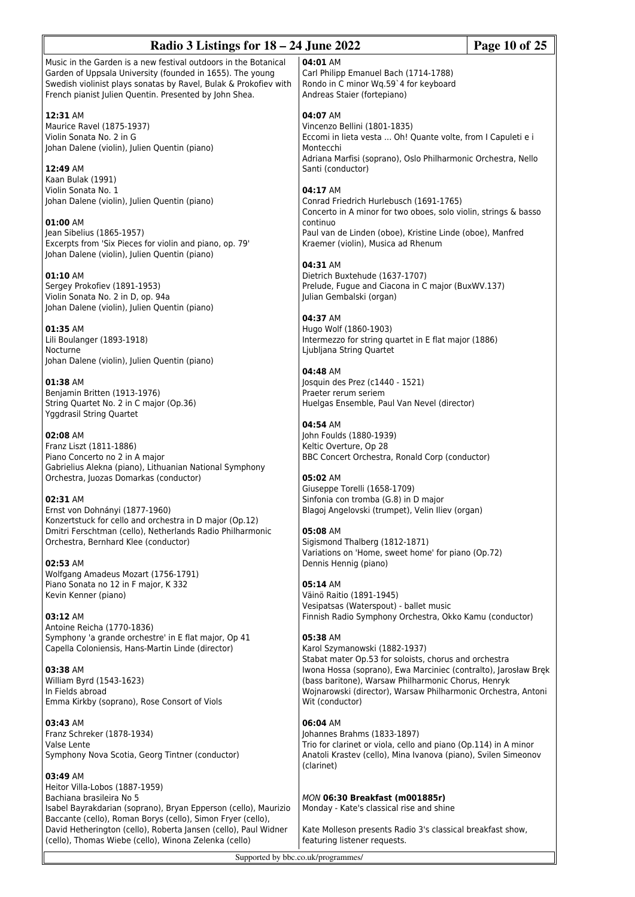| Page 10 of 25<br>Radio 3 Listings for $18 - 24$ June 2022                                                                                                                               |                                                                                                               |  |
|-----------------------------------------------------------------------------------------------------------------------------------------------------------------------------------------|---------------------------------------------------------------------------------------------------------------|--|
| Music in the Garden is a new festival outdoors in the Botanical                                                                                                                         | 04:01 AM                                                                                                      |  |
| Garden of Uppsala University (founded in 1655). The young<br>Swedish violinist plays sonatas by Ravel, Bulak & Prokofiev with<br>French pianist Julien Quentin. Presented by John Shea. | Carl Philipp Emanuel Bach (1714-1788)<br>Rondo in C minor Wq.59`4 for keyboard<br>Andreas Staier (fortepiano) |  |
| 12:31 AM                                                                                                                                                                                | 04:07 AM                                                                                                      |  |
| Maurice Ravel (1875-1937)                                                                                                                                                               | Vincenzo Bellini (1801-1835)                                                                                  |  |
| Violin Sonata No. 2 in G                                                                                                                                                                | Eccomi in lieta vesta  Oh! Quante volte, from I Capuleti e i                                                  |  |
| Johan Dalene (violin), Julien Quentin (piano)                                                                                                                                           | Montecchi                                                                                                     |  |
|                                                                                                                                                                                         | Adriana Marfisi (soprano), Oslo Philharmonic Orchestra, Nello                                                 |  |
| 12:49 AM<br>Kaan Bulak (1991)                                                                                                                                                           | Santi (conductor)                                                                                             |  |
| Violin Sonata No. 1                                                                                                                                                                     | 04:17 AM                                                                                                      |  |
| Johan Dalene (violin), Julien Quentin (piano)                                                                                                                                           | Conrad Friedrich Hurlebusch (1691-1765)                                                                       |  |
|                                                                                                                                                                                         | Concerto in A minor for two oboes, solo violin, strings & basso                                               |  |
| 01:00 AM                                                                                                                                                                                | continuo                                                                                                      |  |
| Jean Sibelius (1865-1957)                                                                                                                                                               | Paul van de Linden (oboe), Kristine Linde (oboe), Manfred                                                     |  |
| Excerpts from 'Six Pieces for violin and piano, op. 79'<br>Johan Dalene (violin), Julien Quentin (piano)                                                                                | Kraemer (violin), Musica ad Rhenum                                                                            |  |
|                                                                                                                                                                                         | 04:31 AM                                                                                                      |  |
| 01:10 AM                                                                                                                                                                                | Dietrich Buxtehude (1637-1707)                                                                                |  |
| Sergey Prokofiev (1891-1953)                                                                                                                                                            | Prelude, Fugue and Ciacona in C major (BuxWV.137)                                                             |  |
| Violin Sonata No. 2 in D, op. 94a                                                                                                                                                       | Julian Gembalski (organ)                                                                                      |  |
| Johan Dalene (violin), Julien Quentin (piano)                                                                                                                                           |                                                                                                               |  |
|                                                                                                                                                                                         | 04:37 AM                                                                                                      |  |
| 01:35 AM<br>Lili Boulanger (1893-1918)                                                                                                                                                  | Hugo Wolf (1860-1903)<br>Intermezzo for string quartet in E flat major (1886)                                 |  |
| Nocturne                                                                                                                                                                                | Ljubljana String Quartet                                                                                      |  |
| Johan Dalene (violin), Julien Quentin (piano)                                                                                                                                           |                                                                                                               |  |
|                                                                                                                                                                                         | 04:48 AM                                                                                                      |  |
| 01:38 AM                                                                                                                                                                                | Josquin des Prez (c1440 - 1521)                                                                               |  |
| Benjamin Britten (1913-1976)                                                                                                                                                            | Praeter rerum seriem                                                                                          |  |
| String Quartet No. 2 in C major (Op.36)                                                                                                                                                 | Huelgas Ensemble, Paul Van Nevel (director)                                                                   |  |
| Yggdrasil String Quartet                                                                                                                                                                | 04:54 AM                                                                                                      |  |
| 02:08 AM                                                                                                                                                                                | John Foulds (1880-1939)                                                                                       |  |
| Franz Liszt (1811-1886)                                                                                                                                                                 | Keltic Overture, Op 28                                                                                        |  |
| Piano Concerto no 2 in A major                                                                                                                                                          | BBC Concert Orchestra, Ronald Corp (conductor)                                                                |  |
| Gabrielius Alekna (piano), Lithuanian National Symphony                                                                                                                                 |                                                                                                               |  |
| Orchestra, Juozas Domarkas (conductor)                                                                                                                                                  | 05:02 AM                                                                                                      |  |
| 02:31 AM                                                                                                                                                                                | Giuseppe Torelli (1658-1709)<br>Sinfonia con tromba (G.8) in D major                                          |  |
| Ernst von Dohnányi (1877-1960)                                                                                                                                                          | Blagoj Angelovski (trumpet), Velin Iliev (organ)                                                              |  |
| Konzertstuck for cello and orchestra in D major (Op.12)                                                                                                                                 |                                                                                                               |  |
| Dmitri Ferschtman (cello), Netherlands Radio Philharmonic                                                                                                                               | 05:08 AM                                                                                                      |  |
| Orchestra, Bernhard Klee (conductor)                                                                                                                                                    | Sigismond Thalberg (1812-1871)                                                                                |  |
|                                                                                                                                                                                         | Variations on 'Home, sweet home' for piano (Op.72)                                                            |  |
| 02:53 AM                                                                                                                                                                                | Dennis Hennig (piano)                                                                                         |  |
| Wolfgang Amadeus Mozart (1756-1791)<br>Piano Sonata no 12 in F major, K 332                                                                                                             | 05:14 AM                                                                                                      |  |
| Kevin Kenner (piano)                                                                                                                                                                    | Väinö Raitio (1891-1945)                                                                                      |  |
|                                                                                                                                                                                         | Vesipatsas (Waterspout) - ballet music                                                                        |  |
| 03:12 AM                                                                                                                                                                                | Finnish Radio Symphony Orchestra, Okko Kamu (conductor)                                                       |  |
| Antoine Reicha (1770-1836)                                                                                                                                                              |                                                                                                               |  |
| Symphony 'a grande orchestre' in E flat major, Op 41                                                                                                                                    | 05:38 AM                                                                                                      |  |
| Capella Coloniensis, Hans-Martin Linde (director)                                                                                                                                       | Karol Szymanowski (1882-1937)<br>Stabat mater Op.53 for soloists, chorus and orchestra                        |  |
| 03:38 AM                                                                                                                                                                                | Iwona Hossa (soprano), Ewa Marciniec (contralto), Jarosław Bręk                                               |  |
| William Byrd (1543-1623)                                                                                                                                                                | (bass baritone), Warsaw Philharmonic Chorus, Henryk                                                           |  |
| In Fields abroad                                                                                                                                                                        | Wojnarowski (director), Warsaw Philharmonic Orchestra, Antoni                                                 |  |
| Emma Kirkby (soprano), Rose Consort of Viols                                                                                                                                            | Wit (conductor)                                                                                               |  |
| 03:43 AM                                                                                                                                                                                | 06:04 AM                                                                                                      |  |
| Franz Schreker (1878-1934)                                                                                                                                                              | Johannes Brahms (1833-1897)                                                                                   |  |
| Valse Lente                                                                                                                                                                             | Trio for clarinet or viola, cello and piano (Op.114) in A minor                                               |  |
| Symphony Nova Scotia, Georg Tintner (conductor)                                                                                                                                         | Anatoli Krastev (cello), Mina Ivanova (piano), Svilen Simeonov                                                |  |
| 03:49 AM                                                                                                                                                                                | (clarinet)                                                                                                    |  |
| Heitor Villa-Lobos (1887-1959)                                                                                                                                                          |                                                                                                               |  |
| Bachiana brasileira No 5                                                                                                                                                                | <b>MON 06:30 Breakfast (m001885r)</b>                                                                         |  |
| Isabel Bayrakdarian (soprano), Bryan Epperson (cello), Maurizio                                                                                                                         | Monday - Kate's classical rise and shine                                                                      |  |
| Baccante (cello), Roman Borys (cello), Simon Fryer (cello),                                                                                                                             |                                                                                                               |  |
| David Hetherington (cello), Roberta Jansen (cello), Paul Widner                                                                                                                         | Kate Molleson presents Radio 3's classical breakfast show,                                                    |  |
| (cello), Thomas Wiebe (cello), Winona Zelenka (cello)                                                                                                                                   | featuring listener requests.                                                                                  |  |
| Supported by bbc.co.uk/programmes/                                                                                                                                                      |                                                                                                               |  |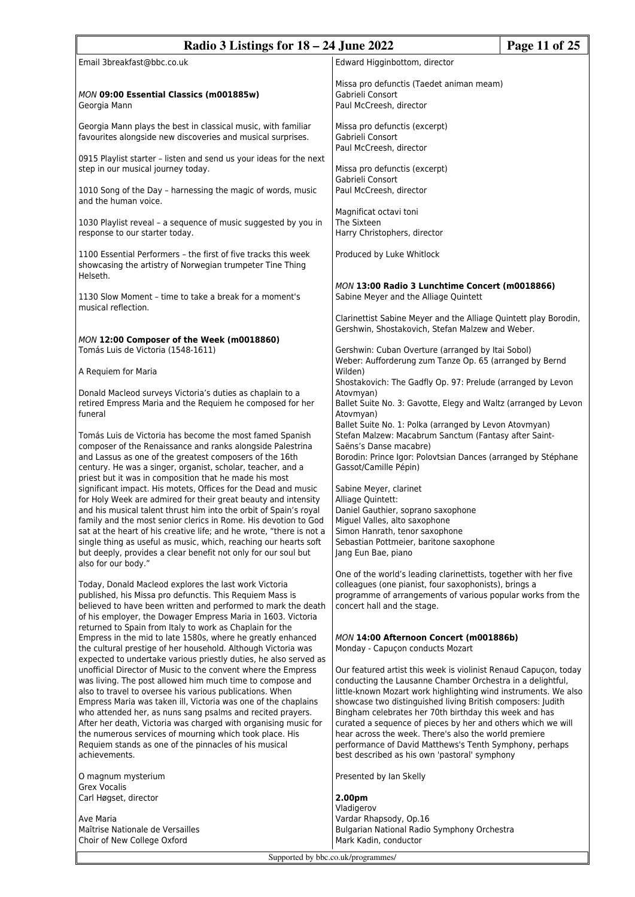| Radio 3 Listings for $18 - 24$ June 2022                                                                                                                                                                                                                                                                                                                                                                                                                                                                                       |                                                                                                                                                                                                                                                                                                                                                                                                                                                                                                                                                                 | Page 11 of 25 |
|--------------------------------------------------------------------------------------------------------------------------------------------------------------------------------------------------------------------------------------------------------------------------------------------------------------------------------------------------------------------------------------------------------------------------------------------------------------------------------------------------------------------------------|-----------------------------------------------------------------------------------------------------------------------------------------------------------------------------------------------------------------------------------------------------------------------------------------------------------------------------------------------------------------------------------------------------------------------------------------------------------------------------------------------------------------------------------------------------------------|---------------|
| Email 3breakfast@bbc.co.uk                                                                                                                                                                                                                                                                                                                                                                                                                                                                                                     | Edward Higginbottom, director                                                                                                                                                                                                                                                                                                                                                                                                                                                                                                                                   |               |
| MON 09:00 Essential Classics (m001885w)<br>Georgia Mann                                                                                                                                                                                                                                                                                                                                                                                                                                                                        | Missa pro defunctis (Taedet animan meam)<br>Gabrieli Consort<br>Paul McCreesh, director                                                                                                                                                                                                                                                                                                                                                                                                                                                                         |               |
| Georgia Mann plays the best in classical music, with familiar<br>favourites alongside new discoveries and musical surprises.                                                                                                                                                                                                                                                                                                                                                                                                   | Missa pro defunctis (excerpt)<br>Gabrieli Consort<br>Paul McCreesh, director                                                                                                                                                                                                                                                                                                                                                                                                                                                                                    |               |
| 0915 Playlist starter - listen and send us your ideas for the next<br>step in our musical journey today.                                                                                                                                                                                                                                                                                                                                                                                                                       | Missa pro defunctis (excerpt)<br>Gabrieli Consort                                                                                                                                                                                                                                                                                                                                                                                                                                                                                                               |               |
| 1010 Song of the Day - harnessing the magic of words, music<br>and the human voice.                                                                                                                                                                                                                                                                                                                                                                                                                                            | Paul McCreesh, director                                                                                                                                                                                                                                                                                                                                                                                                                                                                                                                                         |               |
| 1030 Playlist reveal - a sequence of music suggested by you in<br>response to our starter today.                                                                                                                                                                                                                                                                                                                                                                                                                               | Magnificat octavi toni<br>The Sixteen<br>Harry Christophers, director                                                                                                                                                                                                                                                                                                                                                                                                                                                                                           |               |
| 1100 Essential Performers - the first of five tracks this week<br>showcasing the artistry of Norwegian trumpeter Tine Thing<br>Helseth.                                                                                                                                                                                                                                                                                                                                                                                        | Produced by Luke Whitlock                                                                                                                                                                                                                                                                                                                                                                                                                                                                                                                                       |               |
| 1130 Slow Moment - time to take a break for a moment's<br>musical reflection.                                                                                                                                                                                                                                                                                                                                                                                                                                                  | MON 13:00 Radio 3 Lunchtime Concert (m0018866)<br>Sabine Meyer and the Alliage Quintett                                                                                                                                                                                                                                                                                                                                                                                                                                                                         |               |
|                                                                                                                                                                                                                                                                                                                                                                                                                                                                                                                                | Clarinettist Sabine Meyer and the Alliage Quintett play Borodin,<br>Gershwin, Shostakovich, Stefan Malzew and Weber.                                                                                                                                                                                                                                                                                                                                                                                                                                            |               |
| MON 12:00 Composer of the Week (m0018860)<br>Tomás Luis de Victoria (1548-1611)                                                                                                                                                                                                                                                                                                                                                                                                                                                | Gershwin: Cuban Overture (arranged by Itai Sobol)<br>Weber: Aufforderung zum Tanze Op. 65 (arranged by Bernd                                                                                                                                                                                                                                                                                                                                                                                                                                                    |               |
| A Requiem for Maria                                                                                                                                                                                                                                                                                                                                                                                                                                                                                                            | Wilden)<br>Shostakovich: The Gadfly Op. 97: Prelude (arranged by Levon                                                                                                                                                                                                                                                                                                                                                                                                                                                                                          |               |
| Donald Macleod surveys Victoria's duties as chaplain to a<br>retired Empress Maria and the Requiem he composed for her<br>funeral                                                                                                                                                                                                                                                                                                                                                                                              | Atovmyan)<br>Ballet Suite No. 3: Gavotte, Elegy and Waltz (arranged by Levon<br>Atovmyan)                                                                                                                                                                                                                                                                                                                                                                                                                                                                       |               |
| Tomás Luis de Victoria has become the most famed Spanish<br>composer of the Renaissance and ranks alongside Palestrina<br>and Lassus as one of the greatest composers of the 16th<br>century. He was a singer, organist, scholar, teacher, and a<br>priest but it was in composition that he made his most                                                                                                                                                                                                                     | Ballet Suite No. 1: Polka (arranged by Levon Atovmyan)<br>Stefan Malzew: Macabrum Sanctum (Fantasy after Saint-<br>Saëns's Danse macabre)<br>Borodin: Prince Igor: Polovtsian Dances (arranged by Stéphane<br>Gassot/Camille Pépin)                                                                                                                                                                                                                                                                                                                             |               |
| significant impact. His motets, Offices for the Dead and music<br>for Holy Week are admired for their great beauty and intensity<br>and his musical talent thrust him into the orbit of Spain's royal<br>family and the most senior clerics in Rome. His devotion to God<br>sat at the heart of his creative life; and he wrote, "there is not a                                                                                                                                                                               | Sabine Meyer, clarinet<br>Alliage Quintett:<br>Daniel Gauthier, soprano saxophone<br>Miguel Valles, alto saxophone<br>Simon Hanrath, tenor saxophone                                                                                                                                                                                                                                                                                                                                                                                                            |               |
| single thing as useful as music, which, reaching our hearts soft<br>but deeply, provides a clear benefit not only for our soul but<br>also for our body."                                                                                                                                                                                                                                                                                                                                                                      | Sebastian Pottmeier, baritone saxophone<br>Jang Eun Bae, piano                                                                                                                                                                                                                                                                                                                                                                                                                                                                                                  |               |
| Today, Donald Macleod explores the last work Victoria<br>published, his Missa pro defunctis. This Requiem Mass is<br>believed to have been written and performed to mark the death<br>of his employer, the Dowager Empress Maria in 1603. Victoria<br>returned to Spain from Italy to work as Chaplain for the                                                                                                                                                                                                                 | One of the world's leading clarinettists, together with her five<br>colleagues (one pianist, four saxophonists), brings a<br>programme of arrangements of various popular works from the<br>concert hall and the stage.                                                                                                                                                                                                                                                                                                                                         |               |
| Empress in the mid to late 1580s, where he greatly enhanced<br>the cultural prestige of her household. Although Victoria was<br>expected to undertake various priestly duties, he also served as                                                                                                                                                                                                                                                                                                                               | MON 14:00 Afternoon Concert (m001886b)<br>Monday - Capuçon conducts Mozart                                                                                                                                                                                                                                                                                                                                                                                                                                                                                      |               |
| unofficial Director of Music to the convent where the Empress<br>was living. The post allowed him much time to compose and<br>also to travel to oversee his various publications. When<br>Empress Maria was taken ill, Victoria was one of the chaplains<br>who attended her, as nuns sang psalms and recited prayers.<br>After her death, Victoria was charged with organising music for<br>the numerous services of mourning which took place. His<br>Requiem stands as one of the pinnacles of his musical<br>achievements. | Our featured artist this week is violinist Renaud Capuçon, today<br>conducting the Lausanne Chamber Orchestra in a delightful,<br>little-known Mozart work highlighting wind instruments. We also<br>showcase two distinguished living British composers: Judith<br>Bingham celebrates her 70th birthday this week and has<br>curated a sequence of pieces by her and others which we will<br>hear across the week. There's also the world premiere<br>performance of David Matthews's Tenth Symphony, perhaps<br>best described as his own 'pastoral' symphony |               |
| O magnum mysterium<br><b>Grex Vocalis</b>                                                                                                                                                                                                                                                                                                                                                                                                                                                                                      | Presented by Ian Skelly                                                                                                                                                                                                                                                                                                                                                                                                                                                                                                                                         |               |
| Carl Høgset, director                                                                                                                                                                                                                                                                                                                                                                                                                                                                                                          | 2.00pm<br>Vladigerov                                                                                                                                                                                                                                                                                                                                                                                                                                                                                                                                            |               |
| Ave Maria<br>Maîtrise Nationale de Versailles<br>Choir of New College Oxford                                                                                                                                                                                                                                                                                                                                                                                                                                                   | Vardar Rhapsody, Op.16<br>Bulgarian National Radio Symphony Orchestra<br>Mark Kadin, conductor                                                                                                                                                                                                                                                                                                                                                                                                                                                                  |               |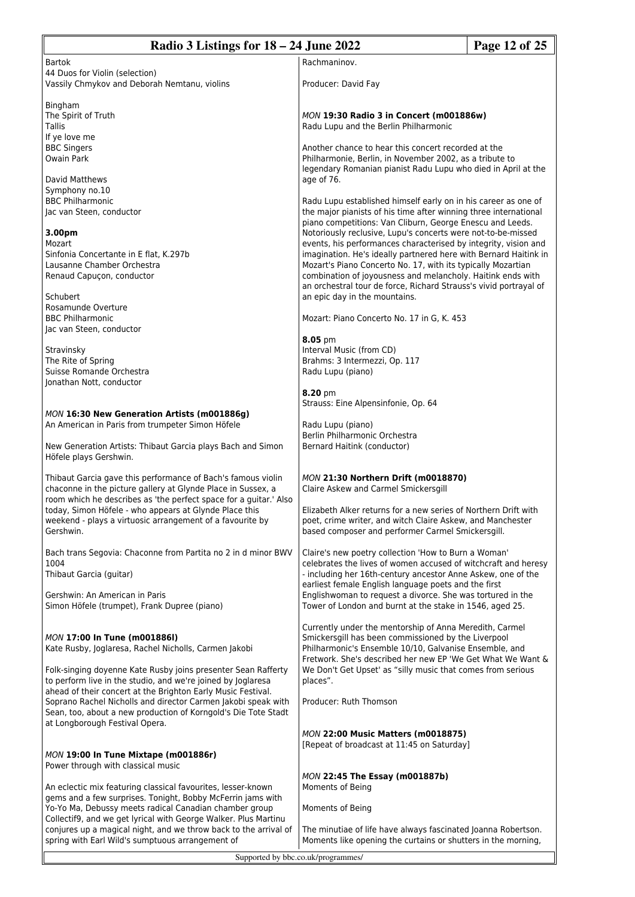| Radio 3 Listings for 18 – 24 June 2022                                                                                       |                                                                                                                               | Page 12 of 25 |
|------------------------------------------------------------------------------------------------------------------------------|-------------------------------------------------------------------------------------------------------------------------------|---------------|
| <b>Bartok</b>                                                                                                                | Rachmaninov.                                                                                                                  |               |
| 44 Duos for Violin (selection)                                                                                               |                                                                                                                               |               |
| Vassily Chmykov and Deborah Nemtanu, violins                                                                                 | Producer: David Fay                                                                                                           |               |
| Bingham                                                                                                                      |                                                                                                                               |               |
| The Spirit of Truth                                                                                                          | MON 19:30 Radio 3 in Concert (m001886w)                                                                                       |               |
| Tallis                                                                                                                       | Radu Lupu and the Berlin Philharmonic                                                                                         |               |
| If ye love me                                                                                                                |                                                                                                                               |               |
| <b>BBC Singers</b><br><b>Owain Park</b>                                                                                      | Another chance to hear this concert recorded at the<br>Philharmonie, Berlin, in November 2002, as a tribute to                |               |
|                                                                                                                              | legendary Romanian pianist Radu Lupu who died in April at the                                                                 |               |
| David Matthews                                                                                                               | age of 76.                                                                                                                    |               |
| Symphony no.10                                                                                                               |                                                                                                                               |               |
| <b>BBC Philharmonic</b>                                                                                                      | Radu Lupu established himself early on in his career as one of                                                                |               |
| Jac van Steen, conductor                                                                                                     | the major pianists of his time after winning three international<br>piano competitions: Van Cliburn, George Enescu and Leeds. |               |
| 3.00pm                                                                                                                       | Notoriously reclusive, Lupu's concerts were not-to-be-missed                                                                  |               |
| Mozart                                                                                                                       | events, his performances characterised by integrity, vision and                                                               |               |
| Sinfonia Concertante in E flat, K.297b                                                                                       | imagination. He's ideally partnered here with Bernard Haitink in                                                              |               |
| Lausanne Chamber Orchestra<br>Renaud Capuçon, conductor                                                                      | Mozart's Piano Concerto No. 17, with its typically Mozartian<br>combination of joyousness and melancholy. Haitink ends with   |               |
|                                                                                                                              | an orchestral tour de force, Richard Strauss's vivid portrayal of                                                             |               |
| Schubert                                                                                                                     | an epic day in the mountains.                                                                                                 |               |
| Rosamunde Overture                                                                                                           |                                                                                                                               |               |
| <b>BBC Philharmonic</b><br>Jac van Steen, conductor                                                                          | Mozart: Piano Concerto No. 17 in G, K. 453                                                                                    |               |
|                                                                                                                              | 8.05 pm                                                                                                                       |               |
| Stravinsky                                                                                                                   | Interval Music (from CD)                                                                                                      |               |
| The Rite of Spring                                                                                                           | Brahms: 3 Intermezzi, Op. 117                                                                                                 |               |
| Suisse Romande Orchestra<br>Jonathan Nott, conductor                                                                         | Radu Lupu (piano)                                                                                                             |               |
|                                                                                                                              | 8.20 pm                                                                                                                       |               |
|                                                                                                                              | Strauss: Eine Alpensinfonie, Op. 64                                                                                           |               |
| MON 16:30 New Generation Artists (m001886g)                                                                                  |                                                                                                                               |               |
| An American in Paris from trumpeter Simon Höfele                                                                             | Radu Lupu (piano)<br>Berlin Philharmonic Orchestra                                                                            |               |
| New Generation Artists: Thibaut Garcia plays Bach and Simon                                                                  | <b>Bernard Haitink (conductor)</b>                                                                                            |               |
| Höfele plays Gershwin.                                                                                                       |                                                                                                                               |               |
|                                                                                                                              |                                                                                                                               |               |
| Thibaut Garcia gave this performance of Bach's famous violin<br>chaconne in the picture gallery at Glynde Place in Sussex, a | MON 21:30 Northern Drift (m0018870)<br>Claire Askew and Carmel Smickersgill                                                   |               |
| room which he describes as 'the perfect space for a guitar.' Also                                                            |                                                                                                                               |               |
| today, Simon Höfele - who appears at Glynde Place this                                                                       | Elizabeth Alker returns for a new series of Northern Drift with                                                               |               |
| weekend - plays a virtuosic arrangement of a favourite by                                                                    | poet, crime writer, and witch Claire Askew, and Manchester                                                                    |               |
| Gershwin.                                                                                                                    | based composer and performer Carmel Smickersgill.                                                                             |               |
| Bach trans Segovia: Chaconne from Partita no 2 in d minor BWV                                                                | Claire's new poetry collection 'How to Burn a Woman'                                                                          |               |
| 1004                                                                                                                         | celebrates the lives of women accused of witchcraft and heresy                                                                |               |
| Thibaut Garcia (guitar)                                                                                                      | - including her 16th-century ancestor Anne Askew, one of the                                                                  |               |
| Gershwin: An American in Paris                                                                                               | earliest female English language poets and the first<br>Englishwoman to request a divorce. She was tortured in the            |               |
| Simon Höfele (trumpet), Frank Dupree (piano)                                                                                 | Tower of London and burnt at the stake in 1546, aged 25.                                                                      |               |
|                                                                                                                              |                                                                                                                               |               |
| MON 17:00 In Tune (m001886I)                                                                                                 | Currently under the mentorship of Anna Meredith, Carmel<br>Smickersgill has been commissioned by the Liverpool                |               |
| Kate Rusby, Joglaresa, Rachel Nicholls, Carmen Jakobi                                                                        | Philharmonic's Ensemble 10/10, Galvanise Ensemble, and                                                                        |               |
|                                                                                                                              | Fretwork. She's described her new EP 'We Get What We Want &                                                                   |               |
| Folk-singing doyenne Kate Rusby joins presenter Sean Rafferty                                                                | We Don't Get Upset' as "silly music that comes from serious                                                                   |               |
| to perform live in the studio, and we're joined by Joglaresa<br>ahead of their concert at the Brighton Early Music Festival. | places".                                                                                                                      |               |
| Soprano Rachel Nicholls and director Carmen Jakobi speak with                                                                | Producer: Ruth Thomson                                                                                                        |               |
| Sean, too, about a new production of Korngold's Die Tote Stadt                                                               |                                                                                                                               |               |
| at Longborough Festival Opera.                                                                                               |                                                                                                                               |               |
|                                                                                                                              | <b>MON 22:00 Music Matters (m0018875)</b><br>[Repeat of broadcast at 11:45 on Saturday]                                       |               |
| MON 19:00 In Tune Mixtape (m001886r)                                                                                         |                                                                                                                               |               |
| Power through with classical music                                                                                           |                                                                                                                               |               |
|                                                                                                                              | MON 22:45 The Essay (m001887b)                                                                                                |               |
| An eclectic mix featuring classical favourites, lesser-known<br>gems and a few surprises. Tonight, Bobby McFerrin jams with  | Moments of Being                                                                                                              |               |
| Yo-Yo Ma, Debussy meets radical Canadian chamber group                                                                       | Moments of Being                                                                                                              |               |
| Collectif9, and we get lyrical with George Walker. Plus Martinu                                                              |                                                                                                                               |               |
| conjures up a magical night, and we throw back to the arrival of                                                             | The minutiae of life have always fascinated Joanna Robertson.                                                                 |               |
| spring with Earl Wild's sumptuous arrangement of                                                                             | Moments like opening the curtains or shutters in the morning,                                                                 |               |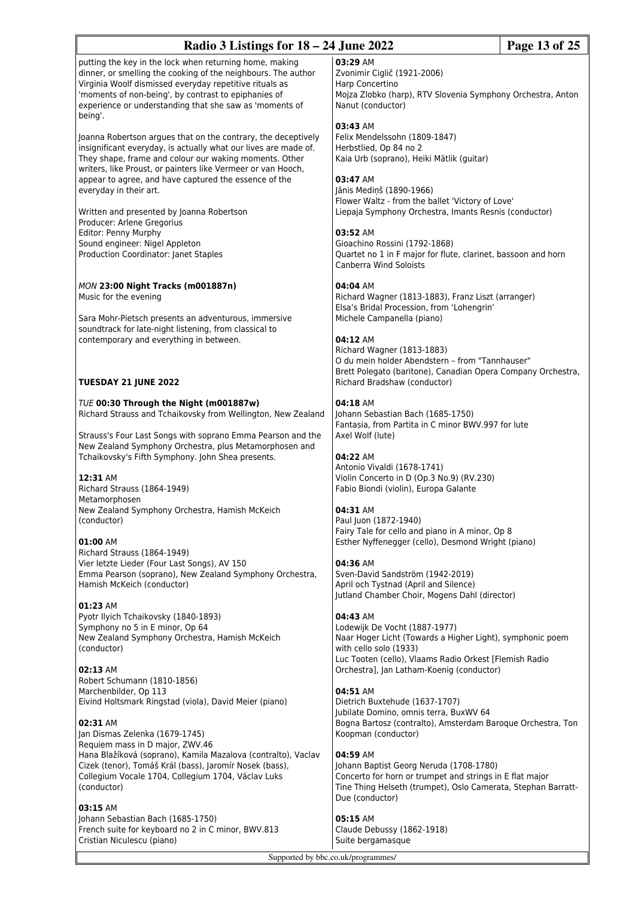| Radio 3 Listings for 18 – 24 June 2022                                                                                                                                                                                                                                                                              |                                                                                                                                                                                                     | Page 13 of 25 |
|---------------------------------------------------------------------------------------------------------------------------------------------------------------------------------------------------------------------------------------------------------------------------------------------------------------------|-----------------------------------------------------------------------------------------------------------------------------------------------------------------------------------------------------|---------------|
| putting the key in the lock when returning home, making<br>dinner, or smelling the cooking of the neighbours. The author<br>Virginia Woolf dismissed everyday repetitive rituals as<br>'moments of non-being', by contrast to epiphanies of<br>experience or understanding that she saw as 'moments of<br>being'.   | 03:29 AM<br>Zvonimir Ciglič (1921-2006)<br>Harp Concertino<br>Mojza Zlobko (harp), RTV Slovenia Symphony Orchestra, Anton<br>Nanut (conductor)                                                      |               |
| Joanna Robertson argues that on the contrary, the deceptively<br>insignificant everyday, is actually what our lives are made of.<br>They shape, frame and colour our waking moments. Other<br>writers, like Proust, or painters like Vermeer or van Hooch,<br>appear to agree, and have captured the essence of the | 03:43 AM<br>Felix Mendelssohn (1809-1847)<br>Herbstlied, Op 84 no 2<br>Kaia Urb (soprano), Heiki Mätlik (guitar)<br>03:47 AM                                                                        |               |
| everyday in their art.<br>Written and presented by Joanna Robertson                                                                                                                                                                                                                                                 | Jānis Medinš (1890-1966)<br>Flower Waltz - from the ballet 'Victory of Love'<br>Liepaja Symphony Orchestra, Imants Resnis (conductor)                                                               |               |
| Producer: Arlene Gregorius<br>Editor: Penny Murphy<br>Sound engineer: Nigel Appleton<br>Production Coordinator: Janet Staples                                                                                                                                                                                       | 03:52 AM<br>Gioachino Rossini (1792-1868)<br>Quartet no 1 in F major for flute, clarinet, bassoon and horn<br>Canberra Wind Soloists                                                                |               |
| MON 23:00 Night Tracks (m001887n)<br>Music for the evening                                                                                                                                                                                                                                                          | 04:04 AM<br>Richard Wagner (1813-1883), Franz Liszt (arranger)<br>Elsa's Bridal Procession, from 'Lohengrin'                                                                                        |               |
| Sara Mohr-Pietsch presents an adventurous, immersive<br>soundtrack for late-night listening, from classical to<br>contemporary and everything in between.                                                                                                                                                           | Michele Campanella (piano)<br>04:12 AM<br>Richard Wagner (1813-1883)<br>O du mein holder Abendstern - from "Tannhauser"<br>Brett Polegato (baritone), Canadian Opera Company Orchestra,             |               |
| <b>TUESDAY 21 JUNE 2022</b>                                                                                                                                                                                                                                                                                         | Richard Bradshaw (conductor)                                                                                                                                                                        |               |
| TUE 00:30 Through the Night (m001887w)<br>Richard Strauss and Tchaikovsky from Wellington, New Zealand<br>Strauss's Four Last Songs with soprano Emma Pearson and the                                                                                                                                               | 04:18 AM<br>Johann Sebastian Bach (1685-1750)<br>Fantasia, from Partita in C minor BWV.997 for lute<br>Axel Wolf (lute)                                                                             |               |
| New Zealand Symphony Orchestra, plus Metamorphosen and<br>Tchaikovsky's Fifth Symphony. John Shea presents.<br>12:31 AM                                                                                                                                                                                             | 04:22 AM<br>Antonio Vivaldi (1678-1741)<br>Violin Concerto in D (Op.3 No.9) (RV.230)                                                                                                                |               |
| Richard Strauss (1864-1949)<br>Metamorphosen<br>New Zealand Symphony Orchestra, Hamish McKeich                                                                                                                                                                                                                      | Fabio Biondi (violin), Europa Galante<br>04:31 AM                                                                                                                                                   |               |
| (conductor)<br>01:00 AM                                                                                                                                                                                                                                                                                             | Paul Juon (1872-1940)<br>Fairy Tale for cello and piano in A minor, Op 8<br>Esther Nyffenegger (cello), Desmond Wright (piano)                                                                      |               |
| Richard Strauss (1864-1949)<br>Vier letzte Lieder (Four Last Songs), AV 150<br>Emma Pearson (soprano), New Zealand Symphony Orchestra,<br>Hamish McKeich (conductor)                                                                                                                                                | 04:36 AM<br>Sven-David Sandström (1942-2019)<br>April och Tystnad (April and Silence)<br>Jutland Chamber Choir, Mogens Dahl (director)                                                              |               |
| 01:23 AM<br>Pyotr Ilyich Tchaikovsky (1840-1893)<br>Symphony no 5 in E minor, Op 64<br>New Zealand Symphony Orchestra, Hamish McKeich<br>(conductor)                                                                                                                                                                | 04:43 AM<br>Lodewijk De Vocht (1887-1977)<br>Naar Hoger Licht (Towards a Higher Light), symphonic poem<br>with cello solo (1933)<br>Luc Tooten (cello), Vlaams Radio Orkest [Flemish Radio          |               |
| 02:13 AM<br>Robert Schumann (1810-1856)<br>Marchenbilder, Op 113                                                                                                                                                                                                                                                    | Orchestra], Jan Latham-Koenig (conductor)<br>04:51 AM                                                                                                                                               |               |
| Eivind Holtsmark Ringstad (viola), David Meier (piano)                                                                                                                                                                                                                                                              | Dietrich Buxtehude (1637-1707)<br>Jubilate Domino, omnis terra, BuxWV 64                                                                                                                            |               |
| 02:31 AM<br>Jan Dismas Zelenka (1679-1745)<br>Requiem mass in D major, ZWV.46                                                                                                                                                                                                                                       | Bogna Bartosz (contralto), Amsterdam Baroque Orchestra, Ton<br>Koopman (conductor)                                                                                                                  |               |
| Hana Blažíková (soprano), Kamila Mazalova (contralto), Vaclav<br>Cizek (tenor), Tomáš Král (bass), Jaromír Nosek (bass),<br>Collegium Vocale 1704, Collegium 1704, Václav Luks<br>(conductor)                                                                                                                       | 04:59 AM<br>Johann Baptist Georg Neruda (1708-1780)<br>Concerto for horn or trumpet and strings in E flat major<br>Tine Thing Helseth (trumpet), Oslo Camerata, Stephan Barratt-<br>Due (conductor) |               |
| 03:15 AM<br>Johann Sebastian Bach (1685-1750)<br>French suite for keyboard no 2 in C minor, BWV.813<br>Cristian Niculescu (piano)                                                                                                                                                                                   | 05:15 AM<br>Claude Debussy (1862-1918)<br>Suite bergamasque                                                                                                                                         |               |

 $\mathsf F$ 

Supported by bbc.co.uk/programmes/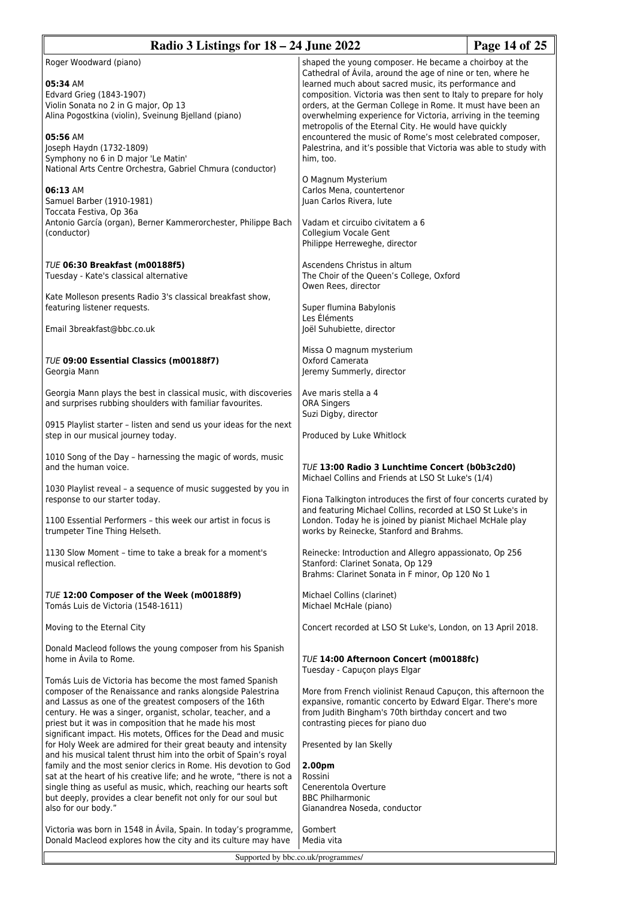| Radio 3 Listings for $18 - 24$ June 2022                                                                                                                                                                                                                                                                                                                                                                                                                                                                                                                                                                                                                                                                                                                                                                                                                                                        |                                                                                                                                                                                                                                                                                                                                                                                                                                                                                                                                                                                                                                                                                                                                                                        | Page 14 of 25 |
|-------------------------------------------------------------------------------------------------------------------------------------------------------------------------------------------------------------------------------------------------------------------------------------------------------------------------------------------------------------------------------------------------------------------------------------------------------------------------------------------------------------------------------------------------------------------------------------------------------------------------------------------------------------------------------------------------------------------------------------------------------------------------------------------------------------------------------------------------------------------------------------------------|------------------------------------------------------------------------------------------------------------------------------------------------------------------------------------------------------------------------------------------------------------------------------------------------------------------------------------------------------------------------------------------------------------------------------------------------------------------------------------------------------------------------------------------------------------------------------------------------------------------------------------------------------------------------------------------------------------------------------------------------------------------------|---------------|
| Roger Woodward (piano)<br>05:34 AM<br>Edvard Grieg (1843-1907)<br>Violin Sonata no 2 in G major, Op 13<br>Alina Pogostkina (violin), Sveinung Bjelland (piano)<br>05:56 AM<br>Joseph Haydn (1732-1809)<br>Symphony no 6 in D major 'Le Matin'<br>National Arts Centre Orchestra, Gabriel Chmura (conductor)<br>06:13 AM<br>Samuel Barber (1910-1981)<br>Toccata Festiva, Op 36a<br>Antonio García (organ), Berner Kammerorchester, Philippe Bach<br>(conductor)                                                                                                                                                                                                                                                                                                                                                                                                                                 | shaped the young composer. He became a choirboy at the<br>Cathedral of Avila, around the age of nine or ten, where he<br>learned much about sacred music, its performance and<br>composition. Victoria was then sent to Italy to prepare for holy<br>orders, at the German College in Rome. It must have been an<br>overwhelming experience for Victoria, arriving in the teeming<br>metropolis of the Eternal City. He would have quickly<br>encountered the music of Rome's most celebrated composer,<br>Palestrina, and it's possible that Victoria was able to study with<br>him, too.<br>O Magnum Mysterium<br>Carlos Mena, countertenor<br>Juan Carlos Rivera, lute<br>Vadam et circuibo civitatem a 6<br>Collegium Vocale Gent<br>Philippe Herreweghe, director |               |
| <b>TUE 06:30 Breakfast (m00188f5)</b><br>Tuesday - Kate's classical alternative<br>Kate Molleson presents Radio 3's classical breakfast show,<br>featuring listener requests.                                                                                                                                                                                                                                                                                                                                                                                                                                                                                                                                                                                                                                                                                                                   | Ascendens Christus in altum<br>The Choir of the Queen's College, Oxford<br>Owen Rees, director<br>Super flumina Babylonis                                                                                                                                                                                                                                                                                                                                                                                                                                                                                                                                                                                                                                              |               |
| Email 3breakfast@bbc.co.uk                                                                                                                                                                                                                                                                                                                                                                                                                                                                                                                                                                                                                                                                                                                                                                                                                                                                      | Les Éléments<br>Joël Suhubiette, director                                                                                                                                                                                                                                                                                                                                                                                                                                                                                                                                                                                                                                                                                                                              |               |
| <b>TUE 09:00 Essential Classics (m00188f7)</b><br>Georgia Mann                                                                                                                                                                                                                                                                                                                                                                                                                                                                                                                                                                                                                                                                                                                                                                                                                                  | Missa O magnum mysterium<br>Oxford Camerata<br>Jeremy Summerly, director                                                                                                                                                                                                                                                                                                                                                                                                                                                                                                                                                                                                                                                                                               |               |
| Georgia Mann plays the best in classical music, with discoveries<br>and surprises rubbing shoulders with familiar favourites.                                                                                                                                                                                                                                                                                                                                                                                                                                                                                                                                                                                                                                                                                                                                                                   | Ave maris stella a 4<br><b>ORA Singers</b><br>Suzi Digby, director                                                                                                                                                                                                                                                                                                                                                                                                                                                                                                                                                                                                                                                                                                     |               |
| 0915 Playlist starter - listen and send us your ideas for the next<br>step in our musical journey today.                                                                                                                                                                                                                                                                                                                                                                                                                                                                                                                                                                                                                                                                                                                                                                                        | Produced by Luke Whitlock                                                                                                                                                                                                                                                                                                                                                                                                                                                                                                                                                                                                                                                                                                                                              |               |
| 1010 Song of the Day - harnessing the magic of words, music<br>and the human voice.                                                                                                                                                                                                                                                                                                                                                                                                                                                                                                                                                                                                                                                                                                                                                                                                             | <b>TUE 13:00 Radio 3 Lunchtime Concert (b0b3c2d0)</b><br>Michael Collins and Friends at LSO St Luke's (1/4)                                                                                                                                                                                                                                                                                                                                                                                                                                                                                                                                                                                                                                                            |               |
| 1030 Playlist reveal - a sequence of music suggested by you in<br>response to our starter today.                                                                                                                                                                                                                                                                                                                                                                                                                                                                                                                                                                                                                                                                                                                                                                                                | Fiona Talkington introduces the first of four concerts curated by<br>and featuring Michael Collins, recorded at LSO St Luke's in                                                                                                                                                                                                                                                                                                                                                                                                                                                                                                                                                                                                                                       |               |
| 1100 Essential Performers - this week our artist in focus is<br>trumpeter Tine Thing Helseth.                                                                                                                                                                                                                                                                                                                                                                                                                                                                                                                                                                                                                                                                                                                                                                                                   | London. Today he is joined by pianist Michael McHale play<br>works by Reinecke, Stanford and Brahms.                                                                                                                                                                                                                                                                                                                                                                                                                                                                                                                                                                                                                                                                   |               |
| 1130 Slow Moment - time to take a break for a moment's<br>musical reflection.                                                                                                                                                                                                                                                                                                                                                                                                                                                                                                                                                                                                                                                                                                                                                                                                                   | Reinecke: Introduction and Allegro appassionato, Op 256<br>Stanford: Clarinet Sonata, Op 129<br>Brahms: Clarinet Sonata in F minor, Op 120 No 1                                                                                                                                                                                                                                                                                                                                                                                                                                                                                                                                                                                                                        |               |
| TUE 12:00 Composer of the Week (m00188f9)<br>Tomás Luis de Victoria (1548-1611)                                                                                                                                                                                                                                                                                                                                                                                                                                                                                                                                                                                                                                                                                                                                                                                                                 | Michael Collins (clarinet)<br>Michael McHale (piano)                                                                                                                                                                                                                                                                                                                                                                                                                                                                                                                                                                                                                                                                                                                   |               |
| Moving to the Eternal City                                                                                                                                                                                                                                                                                                                                                                                                                                                                                                                                                                                                                                                                                                                                                                                                                                                                      | Concert recorded at LSO St Luke's, London, on 13 April 2018.                                                                                                                                                                                                                                                                                                                                                                                                                                                                                                                                                                                                                                                                                                           |               |
| Donald Macleod follows the young composer from his Spanish<br>home in Avila to Rome.                                                                                                                                                                                                                                                                                                                                                                                                                                                                                                                                                                                                                                                                                                                                                                                                            | TUE 14:00 Afternoon Concert (m00188fc)<br>Tuesday - Capuçon plays Elgar                                                                                                                                                                                                                                                                                                                                                                                                                                                                                                                                                                                                                                                                                                |               |
| Tomás Luis de Victoria has become the most famed Spanish<br>composer of the Renaissance and ranks alongside Palestrina<br>and Lassus as one of the greatest composers of the 16th<br>century. He was a singer, organist, scholar, teacher, and a<br>priest but it was in composition that he made his most<br>significant impact. His motets, Offices for the Dead and music<br>for Holy Week are admired for their great beauty and intensity<br>and his musical talent thrust him into the orbit of Spain's royal<br>family and the most senior clerics in Rome. His devotion to God<br>sat at the heart of his creative life; and he wrote, "there is not a<br>single thing as useful as music, which, reaching our hearts soft<br>but deeply, provides a clear benefit not only for our soul but<br>also for our body."<br>Victoria was born in 1548 in Ávila, Spain. In today's programme, | More from French violinist Renaud Capuçon, this afternoon the<br>expansive, romantic concerto by Edward Elgar. There's more<br>from Judith Bingham's 70th birthday concert and two<br>contrasting pieces for piano duo<br>Presented by Ian Skelly<br>2.00pm<br>Rossini<br>Cenerentola Overture<br><b>BBC Philharmonic</b><br>Gianandrea Noseda, conductor<br>Gombert                                                                                                                                                                                                                                                                                                                                                                                                   |               |
| Donald Macleod explores how the city and its culture may have                                                                                                                                                                                                                                                                                                                                                                                                                                                                                                                                                                                                                                                                                                                                                                                                                                   | Media vita<br>Supported by bbc.co.uk/programmes/                                                                                                                                                                                                                                                                                                                                                                                                                                                                                                                                                                                                                                                                                                                       |               |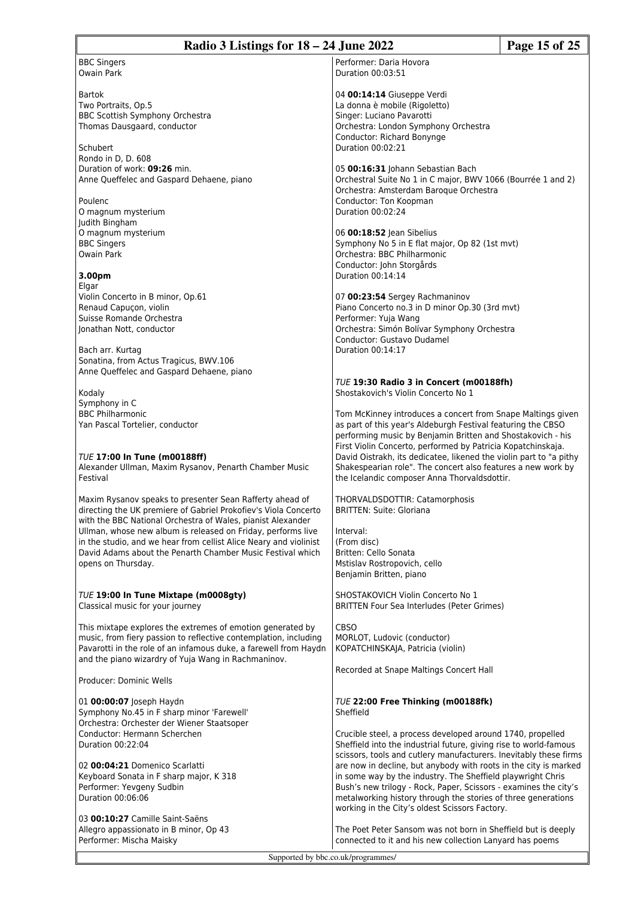| Radio 3 Listings for $18 - 24$ June 2022                                                                                       |                                                                                                                                 | Page 15 of 25 |
|--------------------------------------------------------------------------------------------------------------------------------|---------------------------------------------------------------------------------------------------------------------------------|---------------|
| <b>BBC Singers</b>                                                                                                             | Performer: Daria Hovora                                                                                                         |               |
| <b>Owain Park</b>                                                                                                              | Duration 00:03:51                                                                                                               |               |
|                                                                                                                                |                                                                                                                                 |               |
| <b>Bartok</b>                                                                                                                  | 04 00:14:14 Giuseppe Verdi                                                                                                      |               |
| Two Portraits, Op.5                                                                                                            | La donna è mobile (Rigoletto)                                                                                                   |               |
| BBC Scottish Symphony Orchestra                                                                                                | Singer: Luciano Pavarotti                                                                                                       |               |
| Thomas Dausgaard, conductor                                                                                                    | Orchestra: London Symphony Orchestra                                                                                            |               |
|                                                                                                                                | Conductor: Richard Bonynge                                                                                                      |               |
| Schubert                                                                                                                       | Duration 00:02:21                                                                                                               |               |
| Rondo in D. D. 608<br>Duration of work: 09:26 min.                                                                             |                                                                                                                                 |               |
| Anne Queffelec and Gaspard Dehaene, piano                                                                                      | 05 00:16:31 Johann Sebastian Bach<br>Orchestral Suite No 1 in C major, BWV 1066 (Bourrée 1 and 2)                               |               |
|                                                                                                                                | Orchestra: Amsterdam Baroque Orchestra                                                                                          |               |
| Poulenc                                                                                                                        | Conductor: Ton Koopman                                                                                                          |               |
| O magnum mysterium                                                                                                             | Duration 00:02:24                                                                                                               |               |
| Judith Bingham                                                                                                                 |                                                                                                                                 |               |
| O magnum mysterium                                                                                                             | 06 00:18:52 Jean Sibelius                                                                                                       |               |
| <b>BBC Singers</b>                                                                                                             | Symphony No 5 in E flat major, Op 82 (1st mvt)                                                                                  |               |
| <b>Owain Park</b>                                                                                                              | Orchestra: BBC Philharmonic<br>Conductor: John Storgårds                                                                        |               |
| 3.00pm                                                                                                                         | Duration 00:14:14                                                                                                               |               |
| Elgar                                                                                                                          |                                                                                                                                 |               |
| Violin Concerto in B minor, Op.61                                                                                              | 07 00:23:54 Sergey Rachmaninov                                                                                                  |               |
| Renaud Capuçon, violin                                                                                                         | Piano Concerto no.3 in D minor Op.30 (3rd mvt)                                                                                  |               |
| Suisse Romande Orchestra                                                                                                       | Performer: Yuja Wang                                                                                                            |               |
| Jonathan Nott, conductor                                                                                                       | Orchestra: Simón Bolívar Symphony Orchestra                                                                                     |               |
|                                                                                                                                | Conductor: Gustavo Dudamel                                                                                                      |               |
| Bach arr. Kurtag                                                                                                               | Duration 00:14:17                                                                                                               |               |
| Sonatina, from Actus Tragicus, BWV.106<br>Anne Queffelec and Gaspard Dehaene, piano                                            |                                                                                                                                 |               |
|                                                                                                                                | TUE 19:30 Radio 3 in Concert (m00188fh)                                                                                         |               |
| Kodaly                                                                                                                         | Shostakovich's Violin Concerto No 1                                                                                             |               |
| Symphony in C                                                                                                                  |                                                                                                                                 |               |
| <b>BBC Philharmonic</b>                                                                                                        | Tom McKinney introduces a concert from Snape Maltings given                                                                     |               |
| Yan Pascal Tortelier, conductor                                                                                                | as part of this year's Aldeburgh Festival featuring the CBSO                                                                    |               |
|                                                                                                                                | performing music by Benjamin Britten and Shostakovich - his<br>First Violin Concerto, performed by Patricia Kopatchinskaja.     |               |
| <b>TUE 17:00 In Tune (m00188ff)</b>                                                                                            | David Oistrakh, its dedicatee, likened the violin part to "a pithy                                                              |               |
| Alexander Ullman, Maxim Rysanov, Penarth Chamber Music                                                                         | Shakespearian role". The concert also features a new work by                                                                    |               |
| Festival                                                                                                                       | the Icelandic composer Anna Thorvaldsdottir.                                                                                    |               |
|                                                                                                                                |                                                                                                                                 |               |
| Maxim Rysanov speaks to presenter Sean Rafferty ahead of                                                                       | THORVALDSDOTTIR: Catamorphosis                                                                                                  |               |
| directing the UK premiere of Gabriel Prokofiev's Viola Concerto<br>with the BBC National Orchestra of Wales, pianist Alexander | <b>BRITTEN: Suite: Gloriana</b>                                                                                                 |               |
| Ullman, whose new album is released on Friday, performs live                                                                   | Interval:                                                                                                                       |               |
| in the studio, and we hear from cellist Alice Neary and violinist                                                              | (From disc)                                                                                                                     |               |
| David Adams about the Penarth Chamber Music Festival which                                                                     | Britten: Cello Sonata                                                                                                           |               |
| opens on Thursday.                                                                                                             | Mstislav Rostropovich, cello                                                                                                    |               |
|                                                                                                                                | Benjamin Britten, piano                                                                                                         |               |
| TUE 19:00 In Tune Mixtape (m0008gty)                                                                                           | SHOSTAKOVICH Violin Concerto No 1                                                                                               |               |
| Classical music for your journey                                                                                               | <b>BRITTEN Four Sea Interludes (Peter Grimes)</b>                                                                               |               |
|                                                                                                                                |                                                                                                                                 |               |
| This mixtape explores the extremes of emotion generated by                                                                     | CBSO                                                                                                                            |               |
| music, from fiery passion to reflective contemplation, including                                                               | MORLOT, Ludovic (conductor)                                                                                                     |               |
| Pavarotti in the role of an infamous duke, a farewell from Haydn                                                               | KOPATCHINSKAJA, Patricia (violin)                                                                                               |               |
| and the piano wizardry of Yuja Wang in Rachmaninov.                                                                            | Recorded at Snape Maltings Concert Hall                                                                                         |               |
| Producer: Dominic Wells                                                                                                        |                                                                                                                                 |               |
| 01 00:00:07 Joseph Haydn                                                                                                       | TUE 22:00 Free Thinking (m00188fk)                                                                                              |               |
| Symphony No.45 in F sharp minor 'Farewell'                                                                                     | Sheffield                                                                                                                       |               |
| Orchestra: Orchester der Wiener Staatsoper                                                                                     |                                                                                                                                 |               |
| Conductor: Hermann Scherchen                                                                                                   | Crucible steel, a process developed around 1740, propelled                                                                      |               |
| Duration 00:22:04                                                                                                              | Sheffield into the industrial future, giving rise to world-famous                                                               |               |
|                                                                                                                                | scissors, tools and cutlery manufacturers. Inevitably these firms                                                               |               |
| 02 00:04:21 Domenico Scarlatti                                                                                                 | are now in decline, but anybody with roots in the city is marked                                                                |               |
| Keyboard Sonata in F sharp major, K 318<br>Performer: Yevgeny Sudbin                                                           | in some way by the industry. The Sheffield playwright Chris<br>Bush's new trilogy - Rock, Paper, Scissors - examines the city's |               |
| Duration 00:06:06                                                                                                              | metalworking history through the stories of three generations                                                                   |               |
|                                                                                                                                | working in the City's oldest Scissors Factory.                                                                                  |               |
| 03 00:10:27 Camille Saint-Saëns                                                                                                |                                                                                                                                 |               |
| Allegro appassionato in B minor, Op 43                                                                                         | The Poet Peter Sansom was not born in Sheffield but is deeply                                                                   |               |
| Performer: Mischa Maisky                                                                                                       | connected to it and his new collection Lanyard has poems                                                                        |               |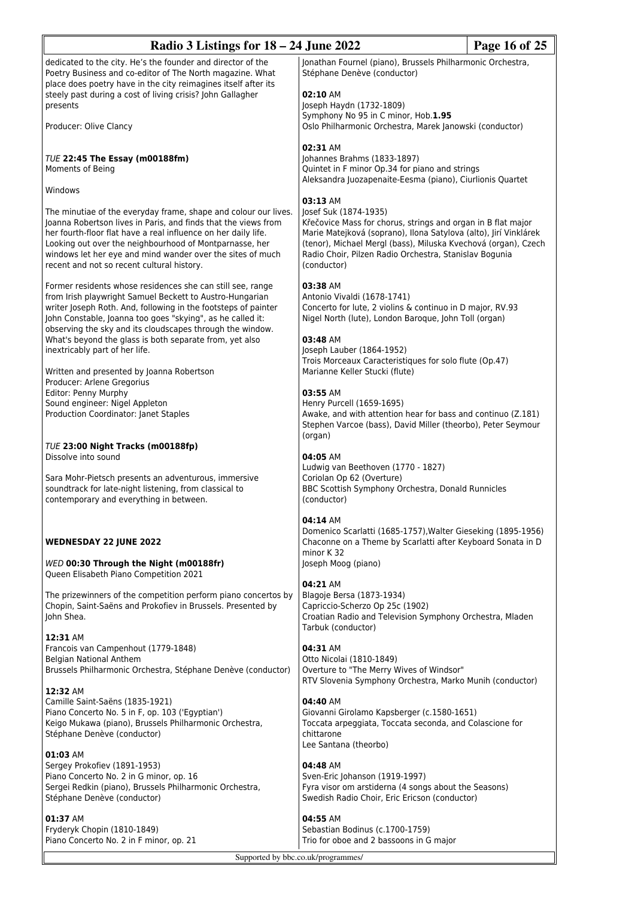| Radio 3 Listings for $18 - 24$ June 2022<br>Page 16 of 25                                                                                                                                                                                                                                                                                                                  |                                                                                                                                                                                                                                                                                                      |  |
|----------------------------------------------------------------------------------------------------------------------------------------------------------------------------------------------------------------------------------------------------------------------------------------------------------------------------------------------------------------------------|------------------------------------------------------------------------------------------------------------------------------------------------------------------------------------------------------------------------------------------------------------------------------------------------------|--|
| dedicated to the city. He's the founder and director of the<br>Poetry Business and co-editor of The North magazine. What<br>place does poetry have in the city reimagines itself after its                                                                                                                                                                                 | Jonathan Fournel (piano), Brussels Philharmonic Orchestra,<br>Stéphane Denève (conductor)                                                                                                                                                                                                            |  |
| steely past during a cost of living crisis? John Gallagher<br>presents                                                                                                                                                                                                                                                                                                     | 02:10 AM<br>Joseph Haydn (1732-1809)<br>Symphony No 95 in C minor, Hob.1.95                                                                                                                                                                                                                          |  |
| Producer: Olive Clancy                                                                                                                                                                                                                                                                                                                                                     | Oslo Philharmonic Orchestra, Marek Janowski (conductor)                                                                                                                                                                                                                                              |  |
| TUE 22:45 The Essay (m00188fm)<br>Moments of Being                                                                                                                                                                                                                                                                                                                         | 02:31 AM<br>Johannes Brahms (1833-1897)<br>Quintet in F minor Op.34 for piano and strings<br>Aleksandra Juozapenaite-Eesma (piano), Ciurlionis Quartet                                                                                                                                               |  |
| Windows                                                                                                                                                                                                                                                                                                                                                                    | 03:13 AM                                                                                                                                                                                                                                                                                             |  |
| The minutiae of the everyday frame, shape and colour our lives.<br>Joanna Robertson lives in Paris, and finds that the views from<br>her fourth-floor flat have a real influence on her daily life.<br>Looking out over the neighbourhood of Montparnasse, her<br>windows let her eye and mind wander over the sites of much<br>recent and not so recent cultural history. | Josef Suk (1874-1935)<br>Křečovice Mass for chorus, strings and organ in B flat major<br>Marie Matejková (soprano), Ilona Satylova (alto), Jirí Vinklárek<br>(tenor), Michael Mergl (bass), Miluska Kvechová (organ), Czech<br>Radio Choir, Pilzen Radio Orchestra, Stanislav Bogunia<br>(conductor) |  |
| Former residents whose residences she can still see, range<br>from Irish playwright Samuel Beckett to Austro-Hungarian<br>writer Joseph Roth. And, following in the footsteps of painter<br>John Constable, Joanna too goes "skying", as he called it:<br>observing the sky and its cloudscapes through the window.                                                        | 03:38 AM<br>Antonio Vivaldi (1678-1741)<br>Concerto for lute, 2 violins & continuo in D major, RV.93<br>Nigel North (lute), London Baroque, John Toll (organ)                                                                                                                                        |  |
| What's beyond the glass is both separate from, yet also<br>inextricably part of her life.<br>Written and presented by Joanna Robertson                                                                                                                                                                                                                                     | 03:48 AM<br>Joseph Lauber (1864-1952)<br>Trois Morceaux Caracteristiques for solo flute (Op.47)                                                                                                                                                                                                      |  |
| Producer: Arlene Gregorius<br>Editor: Penny Murphy<br>Sound engineer: Nigel Appleton                                                                                                                                                                                                                                                                                       | Marianne Keller Stucki (flute)<br>03:55 AM                                                                                                                                                                                                                                                           |  |
| Production Coordinator: Janet Staples                                                                                                                                                                                                                                                                                                                                      | Henry Purcell (1659-1695)<br>Awake, and with attention hear for bass and continuo (Z.181)<br>Stephen Varcoe (bass), David Miller (theorbo), Peter Seymour<br>(organ)                                                                                                                                 |  |
| TUE 23:00 Night Tracks (m00188fp)<br>Dissolve into sound                                                                                                                                                                                                                                                                                                                   | 04:05 AM                                                                                                                                                                                                                                                                                             |  |
| Sara Mohr-Pietsch presents an adventurous, immersive<br>soundtrack for late-night listening, from classical to<br>contemporary and everything in between.                                                                                                                                                                                                                  | Ludwig van Beethoven (1770 - 1827)<br>Coriolan Op 62 (Overture)<br>BBC Scottish Symphony Orchestra, Donald Runnicles<br>(conductor)                                                                                                                                                                  |  |
|                                                                                                                                                                                                                                                                                                                                                                            | 04:14 AM                                                                                                                                                                                                                                                                                             |  |
| <b>WEDNESDAY 22 JUNE 2022</b><br>WED 00:30 Through the Night (m00188fr)                                                                                                                                                                                                                                                                                                    | Domenico Scarlatti (1685-1757), Walter Gieseking (1895-1956)<br>Chaconne on a Theme by Scarlatti after Keyboard Sonata in D<br>minor K 32<br>Joseph Moog (piano)                                                                                                                                     |  |
| Queen Elisabeth Piano Competition 2021                                                                                                                                                                                                                                                                                                                                     | 04:21 AM                                                                                                                                                                                                                                                                                             |  |
| The prizewinners of the competition perform piano concertos by<br>Chopin, Saint-Saëns and Prokofiev in Brussels. Presented by<br>John Shea.                                                                                                                                                                                                                                | Blagoje Bersa (1873-1934)<br>Capriccio-Scherzo Op 25c (1902)<br>Croatian Radio and Television Symphony Orchestra, Mladen<br>Tarbuk (conductor)                                                                                                                                                       |  |
| 12:31 AM<br>Francois van Campenhout (1779-1848)<br>Belgian National Anthem<br>Brussels Philharmonic Orchestra, Stéphane Denève (conductor)                                                                                                                                                                                                                                 | 04:31 AM<br>Otto Nicolai (1810-1849)<br>Overture to "The Merry Wives of Windsor"<br>RTV Slovenia Symphony Orchestra, Marko Munih (conductor)                                                                                                                                                         |  |
| 12:32 AM<br>Camille Saint-Saëns (1835-1921)<br>Piano Concerto No. 5 in F, op. 103 ('Egyptian')<br>Keigo Mukawa (piano), Brussels Philharmonic Orchestra,<br>Stéphane Denève (conductor)                                                                                                                                                                                    | 04:40 AM<br>Giovanni Girolamo Kapsberger (c.1580-1651)<br>Toccata arpeggiata, Toccata seconda, and Colascione for<br>chittarone                                                                                                                                                                      |  |
| 01:03 AM<br>Sergey Prokofiev (1891-1953)<br>Piano Concerto No. 2 in G minor, op. 16<br>Sergei Redkin (piano), Brussels Philharmonic Orchestra,<br>Stéphane Denève (conductor)                                                                                                                                                                                              | Lee Santana (theorbo)<br>04:48 AM<br>Sven-Eric Johanson (1919-1997)<br>Fyra visor om arstiderna (4 songs about the Seasons)<br>Swedish Radio Choir, Eric Ericson (conductor)                                                                                                                         |  |
| 01:37 AM<br>Fryderyk Chopin (1810-1849)                                                                                                                                                                                                                                                                                                                                    | 04:55 AM<br>Sebastian Bodinus (c.1700-1759)                                                                                                                                                                                                                                                          |  |
| Piano Concerto No. 2 in F minor, op. 21                                                                                                                                                                                                                                                                                                                                    | Trio for oboe and 2 bassoons in G major                                                                                                                                                                                                                                                              |  |
| Supported by bbc.co.uk/programmes/                                                                                                                                                                                                                                                                                                                                         |                                                                                                                                                                                                                                                                                                      |  |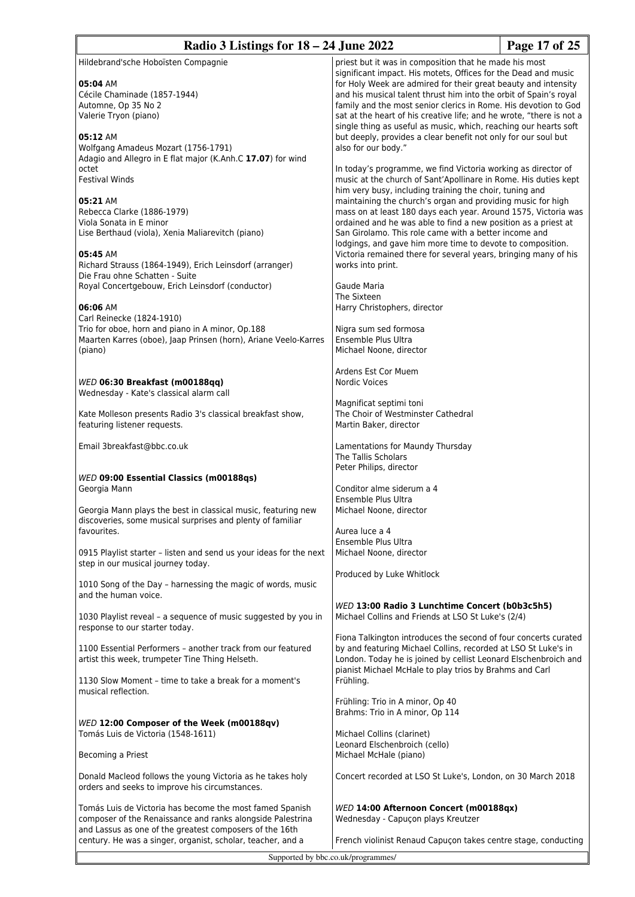| Radio 3 Listings for $18 - 24$ June 2022                                                                                                   |                                                                                                                                                                                                                                                                 | Page 17 of 25 |
|--------------------------------------------------------------------------------------------------------------------------------------------|-----------------------------------------------------------------------------------------------------------------------------------------------------------------------------------------------------------------------------------------------------------------|---------------|
| Hildebrand'sche Hoboïsten Compagnie<br>05:04 AM                                                                                            | priest but it was in composition that he made his most<br>significant impact. His motets, Offices for the Dead and music<br>for Holy Week are admired for their great beauty and intensity                                                                      |               |
| Cécile Chaminade (1857-1944)<br>Automne, Op 35 No 2<br>Valerie Tryon (piano)                                                               | and his musical talent thrust him into the orbit of Spain's royal<br>family and the most senior clerics in Rome. His devotion to God<br>sat at the heart of his creative life; and he wrote, "there is not a                                                    |               |
| 05:12 AM<br>Wolfgang Amadeus Mozart (1756-1791)                                                                                            | single thing as useful as music, which, reaching our hearts soft<br>but deeply, provides a clear benefit not only for our soul but<br>also for our body."                                                                                                       |               |
| Adagio and Allegro in E flat major (K.Anh.C 17.07) for wind<br>octet                                                                       | In today's programme, we find Victoria working as director of                                                                                                                                                                                                   |               |
| <b>Festival Winds</b><br>05:21 AM                                                                                                          | music at the church of Sant'Apollinare in Rome. His duties kept<br>him very busy, including training the choir, tuning and<br>maintaining the church's organ and providing music for high                                                                       |               |
| Rebecca Clarke (1886-1979)<br>Viola Sonata in E minor<br>Lise Berthaud (viola), Xenia Maliarevitch (piano)                                 | mass on at least 180 days each year. Around 1575, Victoria was<br>ordained and he was able to find a new position as a priest at<br>San Girolamo. This role came with a better income and                                                                       |               |
| 05:45 AM<br>Richard Strauss (1864-1949), Erich Leinsdorf (arranger)                                                                        | lodgings, and gave him more time to devote to composition.<br>Victoria remained there for several years, bringing many of his<br>works into print.                                                                                                              |               |
| Die Frau ohne Schatten - Suite<br>Royal Concertgebouw, Erich Leinsdorf (conductor)                                                         | Gaude Maria<br>The Sixteen                                                                                                                                                                                                                                      |               |
| 06:06 AM<br>Carl Reinecke (1824-1910)<br>Trio for oboe, horn and piano in A minor, Op.188                                                  | Harry Christophers, director<br>Nigra sum sed formosa                                                                                                                                                                                                           |               |
| Maarten Karres (oboe), Jaap Prinsen (horn), Ariane Veelo-Karres<br>(piano)                                                                 | Ensemble Plus Ultra<br>Michael Noone, director                                                                                                                                                                                                                  |               |
| WED 06:30 Breakfast (m00188qq)<br>Wednesday - Kate's classical alarm call                                                                  | Ardens Est Cor Muem<br>Nordic Voices                                                                                                                                                                                                                            |               |
| Kate Molleson presents Radio 3's classical breakfast show,<br>featuring listener requests.                                                 | Magnificat septimi toni<br>The Choir of Westminster Cathedral<br>Martin Baker, director                                                                                                                                                                         |               |
| Email 3breakfast@bbc.co.uk                                                                                                                 | Lamentations for Maundy Thursday<br>The Tallis Scholars<br>Peter Philips, director                                                                                                                                                                              |               |
| WED 09:00 Essential Classics (m00188qs)<br>Georgia Mann                                                                                    | Conditor alme siderum a 4<br>Ensemble Plus Ultra                                                                                                                                                                                                                |               |
| Georgia Mann plays the best in classical music, featuring new<br>discoveries, some musical surprises and plenty of familiar<br>favourites. | Michael Noone, director<br>Aurea luce a 4                                                                                                                                                                                                                       |               |
| 0915 Playlist starter - listen and send us your ideas for the next<br>step in our musical journey today.                                   | Ensemble Plus Ultra<br>Michael Noone, director                                                                                                                                                                                                                  |               |
| 1010 Song of the Day - harnessing the magic of words, music<br>and the human voice.                                                        | Produced by Luke Whitlock                                                                                                                                                                                                                                       |               |
| 1030 Playlist reveal - a sequence of music suggested by you in<br>response to our starter today.                                           | WED 13:00 Radio 3 Lunchtime Concert (b0b3c5h5)<br>Michael Collins and Friends at LSO St Luke's (2/4)                                                                                                                                                            |               |
| 1100 Essential Performers - another track from our featured<br>artist this week, trumpeter Tine Thing Helseth.                             | Fiona Talkington introduces the second of four concerts curated<br>by and featuring Michael Collins, recorded at LSO St Luke's in<br>London. Today he is joined by cellist Leonard Elschenbroich and<br>pianist Michael McHale to play trios by Brahms and Carl |               |
| 1130 Slow Moment - time to take a break for a moment's<br>musical reflection.                                                              | Frühling.<br>Frühling: Trio in A minor, Op 40                                                                                                                                                                                                                   |               |
| WED 12:00 Composer of the Week (m00188qv)                                                                                                  | Brahms: Trio in A minor, Op 114                                                                                                                                                                                                                                 |               |
| Tomás Luis de Victoria (1548-1611)<br>Becoming a Priest                                                                                    | Michael Collins (clarinet)<br>Leonard Elschenbroich (cello)<br>Michael McHale (piano)                                                                                                                                                                           |               |
| Donald Macleod follows the young Victoria as he takes holy<br>orders and seeks to improve his circumstances.                               | Concert recorded at LSO St Luke's, London, on 30 March 2018                                                                                                                                                                                                     |               |
| Tomás Luis de Victoria has become the most famed Spanish<br>composer of the Renaissance and ranks alongside Palestrina                     | WED 14:00 Afternoon Concert (m00188qx)<br>Wednesday - Capuçon plays Kreutzer                                                                                                                                                                                    |               |
| and Lassus as one of the greatest composers of the 16th<br>century. He was a singer, organist, scholar, teacher, and a                     | French violinist Renaud Capuçon takes centre stage, conducting                                                                                                                                                                                                  |               |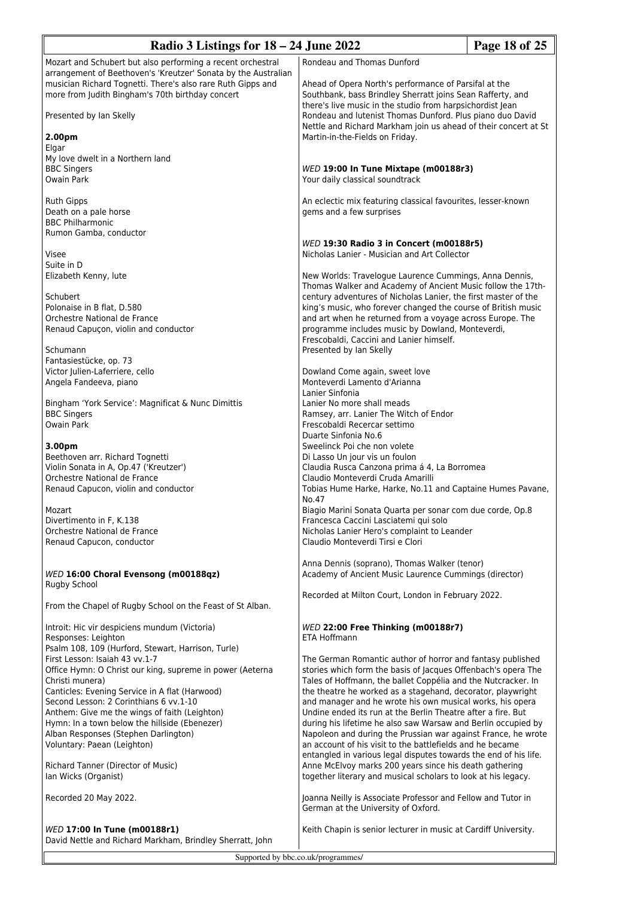| Radio 3 Listings for $18 - 24$ June 2022                                                                                                                                                                                                                          |                                                                                                                                                                                                                                                                                                                                                                                                                                                             | Page 18 of 25 |
|-------------------------------------------------------------------------------------------------------------------------------------------------------------------------------------------------------------------------------------------------------------------|-------------------------------------------------------------------------------------------------------------------------------------------------------------------------------------------------------------------------------------------------------------------------------------------------------------------------------------------------------------------------------------------------------------------------------------------------------------|---------------|
| Mozart and Schubert but also performing a recent orchestral<br>arrangement of Beethoven's 'Kreutzer' Sonata by the Australian<br>musician Richard Tognetti. There's also rare Ruth Gipps and                                                                      | Rondeau and Thomas Dunford<br>Ahead of Opera North's performance of Parsifal at the                                                                                                                                                                                                                                                                                                                                                                         |               |
| more from Judith Bingham's 70th birthday concert<br>Presented by Ian Skelly                                                                                                                                                                                       | Southbank, bass Brindley Sherratt joins Sean Rafferty, and<br>there's live music in the studio from harpsichordist lean<br>Rondeau and lutenist Thomas Dunford. Plus piano duo David<br>Nettle and Richard Markham join us ahead of their concert at St                                                                                                                                                                                                     |               |
| 2.00pm<br>Elgar                                                                                                                                                                                                                                                   | Martin-in-the-Fields on Friday.                                                                                                                                                                                                                                                                                                                                                                                                                             |               |
| My love dwelt in a Northern land<br><b>BBC Singers</b><br>Owain Park                                                                                                                                                                                              | WED 19:00 In Tune Mixtape (m00188r3)<br>Your daily classical soundtrack                                                                                                                                                                                                                                                                                                                                                                                     |               |
| <b>Ruth Gipps</b><br>Death on a pale horse<br><b>BBC Philharmonic</b>                                                                                                                                                                                             | An eclectic mix featuring classical favourites, lesser-known<br>gems and a few surprises                                                                                                                                                                                                                                                                                                                                                                    |               |
| Rumon Gamba, conductor<br>Visee                                                                                                                                                                                                                                   | WED 19:30 Radio 3 in Concert (m00188r5)<br>Nicholas Lanier - Musician and Art Collector                                                                                                                                                                                                                                                                                                                                                                     |               |
| Suite in D<br>Elizabeth Kenny, lute                                                                                                                                                                                                                               | New Worlds: Travelogue Laurence Cummings, Anna Dennis,<br>Thomas Walker and Academy of Ancient Music follow the 17th-<br>century adventures of Nicholas Lanier, the first master of the<br>king's music, who forever changed the course of British music<br>and art when he returned from a voyage across Europe. The<br>programme includes music by Dowland, Monteverdi,<br>Frescobaldi, Caccini and Lanier himself.                                       |               |
| Schubert<br>Polonaise in B flat, D.580<br>Orchestre National de France<br>Renaud Capuçon, violin and conductor                                                                                                                                                    |                                                                                                                                                                                                                                                                                                                                                                                                                                                             |               |
| Schumann<br>Fantasiestücke, op. 73                                                                                                                                                                                                                                | Presented by Ian Skelly                                                                                                                                                                                                                                                                                                                                                                                                                                     |               |
| Victor Julien-Laferriere, cello<br>Angela Fandeeva, piano                                                                                                                                                                                                         | Dowland Come again, sweet love<br>Monteverdi Lamento d'Arianna<br>Lanier Sinfonia                                                                                                                                                                                                                                                                                                                                                                           |               |
| Bingham 'York Service': Magnificat & Nunc Dimittis<br><b>BBC Singers</b><br>Owain Park                                                                                                                                                                            | Lanier No more shall meads<br>Ramsey, arr. Lanier The Witch of Endor<br>Frescobaldi Recercar settimo<br>Duarte Sinfonia No.6                                                                                                                                                                                                                                                                                                                                |               |
| 3.00pm<br>Beethoven arr. Richard Tognetti<br>Violin Sonata in A, Op.47 ('Kreutzer')<br>Orchestre National de France                                                                                                                                               | Sweelinck Poi che non volete<br>Di Lasso Un jour vis un foulon<br>Claudia Rusca Canzona prima á 4, La Borromea<br>Claudio Monteverdi Cruda Amarilli                                                                                                                                                                                                                                                                                                         |               |
| Renaud Capucon, violin and conductor                                                                                                                                                                                                                              | Tobias Hume Harke, Harke, No.11 and Captaine Humes Pavane,<br>No.47                                                                                                                                                                                                                                                                                                                                                                                         |               |
| Mozart<br>Divertimento in F, K.138<br>Orchestre National de France<br>Renaud Capucon, conductor                                                                                                                                                                   | Biagio Marini Sonata Quarta per sonar com due corde, Op.8<br>Francesca Caccini Lasciatemi qui solo<br>Nicholas Lanier Hero's complaint to Leander<br>Claudio Monteverdi Tirsi e Clori                                                                                                                                                                                                                                                                       |               |
| WED 16:00 Choral Evensong (m00188qz)                                                                                                                                                                                                                              | Anna Dennis (soprano), Thomas Walker (tenor)<br>Academy of Ancient Music Laurence Cummings (director)                                                                                                                                                                                                                                                                                                                                                       |               |
| Rugby School<br>From the Chapel of Rugby School on the Feast of St Alban.                                                                                                                                                                                         | Recorded at Milton Court, London in February 2022.                                                                                                                                                                                                                                                                                                                                                                                                          |               |
| Introit: Hic vir despiciens mundum (Victoria)<br>Responses: Leighton<br>Psalm 108, 109 (Hurford, Stewart, Harrison, Turle)                                                                                                                                        | WED 22:00 Free Thinking (m00188r7)<br>ETA Hoffmann                                                                                                                                                                                                                                                                                                                                                                                                          |               |
| First Lesson: Isaiah 43 vv.1-7<br>Office Hymn: O Christ our king, supreme in power (Aeterna<br>Christi munera)                                                                                                                                                    | The German Romantic author of horror and fantasy published<br>stories which form the basis of Jacques Offenbach's opera The<br>Tales of Hoffmann, the ballet Coppélia and the Nutcracker. In                                                                                                                                                                                                                                                                |               |
| Canticles: Evening Service in A flat (Harwood)<br>Second Lesson: 2 Corinthians 6 vv.1-10<br>Anthem: Give me the wings of faith (Leighton)<br>Hymn: In a town below the hillside (Ebenezer)<br>Alban Responses (Stephen Darlington)<br>Voluntary: Paean (Leighton) | the theatre he worked as a stagehand, decorator, playwright<br>and manager and he wrote his own musical works, his opera<br>Undine ended its run at the Berlin Theatre after a fire. But<br>during his lifetime he also saw Warsaw and Berlin occupied by<br>Napoleon and during the Prussian war against France, he wrote<br>an account of his visit to the battlefields and he became<br>entangled in various legal disputes towards the end of his life. |               |
| Richard Tanner (Director of Music)<br>lan Wicks (Organist)                                                                                                                                                                                                        | Anne McElvoy marks 200 years since his death gathering<br>together literary and musical scholars to look at his legacy.                                                                                                                                                                                                                                                                                                                                     |               |
| Recorded 20 May 2022.                                                                                                                                                                                                                                             | Joanna Neilly is Associate Professor and Fellow and Tutor in<br>German at the University of Oxford.                                                                                                                                                                                                                                                                                                                                                         |               |
| WED 17:00 In Tune (m00188r1)                                                                                                                                                                                                                                      | Keith Chapin is senior lecturer in music at Cardiff University.                                                                                                                                                                                                                                                                                                                                                                                             |               |

David Nettle and Richard Markham, Brindley Sherratt, John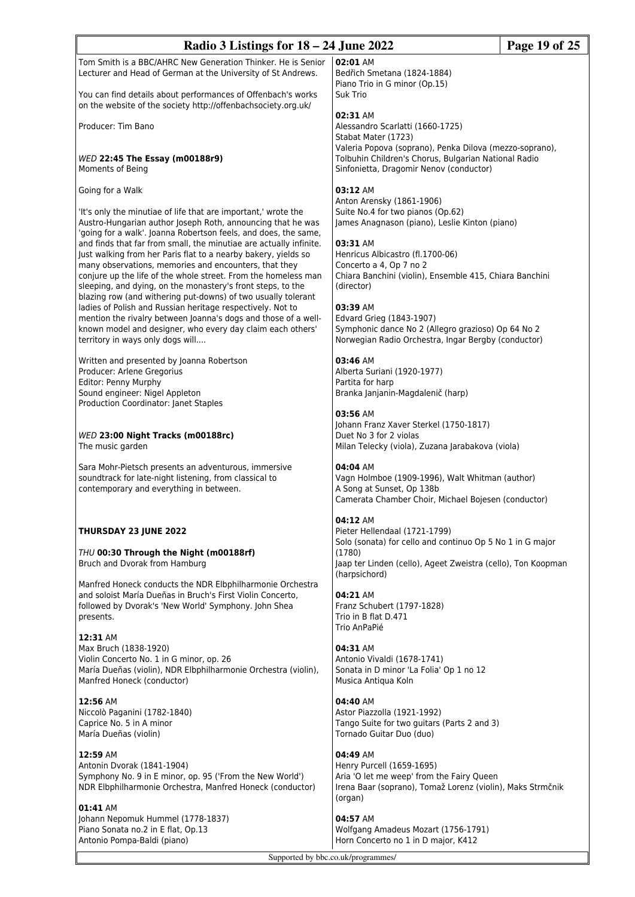| Radio 3 Listings for 18 – 24 June 2022<br>Page 19 of 25                                                                                                                                                                                                                                                                        |                                                                                                                                                   |  |
|--------------------------------------------------------------------------------------------------------------------------------------------------------------------------------------------------------------------------------------------------------------------------------------------------------------------------------|---------------------------------------------------------------------------------------------------------------------------------------------------|--|
| Tom Smith is a BBC/AHRC New Generation Thinker. He is Senior<br>Lecturer and Head of German at the University of St Andrews.<br>You can find details about performances of Offenbach's works                                                                                                                                   | 02:01 AM<br>Bedřich Smetana (1824-1884)<br>Piano Trio in G minor (Op.15)<br>Suk Trio                                                              |  |
| on the website of the society http://offenbachsociety.org.uk/<br>Producer: Tim Bano                                                                                                                                                                                                                                            | 02:31 AM<br>Alessandro Scarlatti (1660-1725)                                                                                                      |  |
|                                                                                                                                                                                                                                                                                                                                | Stabat Mater (1723)<br>Valeria Popova (soprano), Penka Dilova (mezzo-soprano),                                                                    |  |
| WED 22:45 The Essay (m00188r9)<br>Moments of Being                                                                                                                                                                                                                                                                             | Tolbuhin Children's Chorus, Bulgarian National Radio<br>Sinfonietta, Dragomir Nenov (conductor)                                                   |  |
| Going for a Walk<br>'It's only the minutiae of life that are important,' wrote the                                                                                                                                                                                                                                             | 03:12 AM<br>Anton Arensky (1861-1906)<br>Suite No.4 for two pianos (Op.62)                                                                        |  |
| Austro-Hungarian author Joseph Roth, announcing that he was<br>'going for a walk'. Joanna Robertson feels, and does, the same,                                                                                                                                                                                                 | James Anagnason (piano), Leslie Kinton (piano)                                                                                                    |  |
| and finds that far from small, the minutiae are actually infinite.<br>Just walking from her Paris flat to a nearby bakery, yields so<br>many observations, memories and encounters, that they<br>conjure up the life of the whole street. From the homeless man<br>sleeping, and dying, on the monastery's front steps, to the | 03:31 AM<br>Henricus Albicastro (fl.1700-06)<br>Concerto a 4, Op 7 no 2<br>Chiara Banchini (violin), Ensemble 415, Chiara Banchini<br>(director)  |  |
| blazing row (and withering put-downs) of two usually tolerant<br>ladies of Polish and Russian heritage respectively. Not to<br>mention the rivalry between Joanna's dogs and those of a well-<br>known model and designer, who every day claim each others'<br>territory in ways only dogs will                                | 03:39 AM<br>Edvard Grieg (1843-1907)<br>Symphonic dance No 2 (Allegro grazioso) Op 64 No 2<br>Norwegian Radio Orchestra, Ingar Bergby (conductor) |  |
| Written and presented by Joanna Robertson<br>Producer: Arlene Gregorius                                                                                                                                                                                                                                                        | 03:46 AM<br>Alberta Suriani (1920-1977)                                                                                                           |  |
| Editor: Penny Murphy<br>Sound engineer: Nigel Appleton<br>Production Coordinator: Janet Staples                                                                                                                                                                                                                                | Partita for harp<br>Branka Janjanin-Magdalenič (harp)                                                                                             |  |
| WED 23:00 Night Tracks (m00188rc)<br>The music garden                                                                                                                                                                                                                                                                          | 03:56 AM<br>Johann Franz Xaver Sterkel (1750-1817)<br>Duet No 3 for 2 violas<br>Milan Telecky (viola), Zuzana Jarabakova (viola)                  |  |
| Sara Mohr-Pietsch presents an adventurous, immersive<br>soundtrack for late-night listening, from classical to<br>contemporary and everything in between.                                                                                                                                                                      | $04:04$ AM<br>Vagn Holmboe (1909-1996), Walt Whitman (author)<br>A Song at Sunset, Op 138b<br>Camerata Chamber Choir, Michael Bojesen (conductor) |  |
| THURSDAY 23 JUNE 2022                                                                                                                                                                                                                                                                                                          | 04:12 AM<br>Pieter Hellendaal (1721-1799)<br>Solo (sonata) for cello and continuo Op 5 No 1 in G major                                            |  |
| THU 00:30 Through the Night (m00188rf)<br>Bruch and Dvorak from Hamburg                                                                                                                                                                                                                                                        | (1780)<br>Jaap ter Linden (cello), Ageet Zweistra (cello), Ton Koopman<br>(harpsichord)                                                           |  |
| Manfred Honeck conducts the NDR Elbphilharmonie Orchestra<br>and soloist María Dueñas in Bruch's First Violin Concerto,<br>followed by Dvorak's 'New World' Symphony. John Shea<br>presents.                                                                                                                                   | 04:21 AM<br>Franz Schubert (1797-1828)<br>Trio in B flat D.471                                                                                    |  |
| 12:31 AM<br>Max Bruch (1838-1920)<br>Violin Concerto No. 1 in G minor, op. 26<br>María Dueñas (violin), NDR Elbphilharmonie Orchestra (violin),<br>Manfred Honeck (conductor)                                                                                                                                                  | Trio AnPaPié<br>04:31 AM<br>Antonio Vivaldi (1678-1741)<br>Sonata in D minor 'La Folia' Op 1 no 12<br>Musica Antiqua Koln                         |  |
| 12:56 AM<br>Niccolò Paganini (1782-1840)<br>Caprice No. 5 in A minor<br>María Dueñas (violin)                                                                                                                                                                                                                                  | 04:40 AM<br>Astor Piazzolla (1921-1992)<br>Tango Suite for two guitars (Parts 2 and 3)<br>Tornado Guitar Duo (duo)                                |  |
| 12:59 AM<br>Antonin Dvorak (1841-1904)<br>Symphony No. 9 in E minor, op. 95 ('From the New World')<br>NDR Elbphilharmonie Orchestra, Manfred Honeck (conductor)                                                                                                                                                                | 04:49 AM<br>Henry Purcell (1659-1695)<br>Aria 'O let me weep' from the Fairy Queen<br>Irena Baar (soprano), Tomaž Lorenz (violin), Maks Strmčnik  |  |
| 01:41 AM<br>Johann Nepomuk Hummel (1778-1837)<br>Piano Sonata no.2 in E flat, Op.13<br>Antonio Pompa-Baldi (piano)                                                                                                                                                                                                             | (organ)<br>04:57 AM<br>Wolfgang Amadeus Mozart (1756-1791)<br>Horn Concerto no 1 in D major, K412                                                 |  |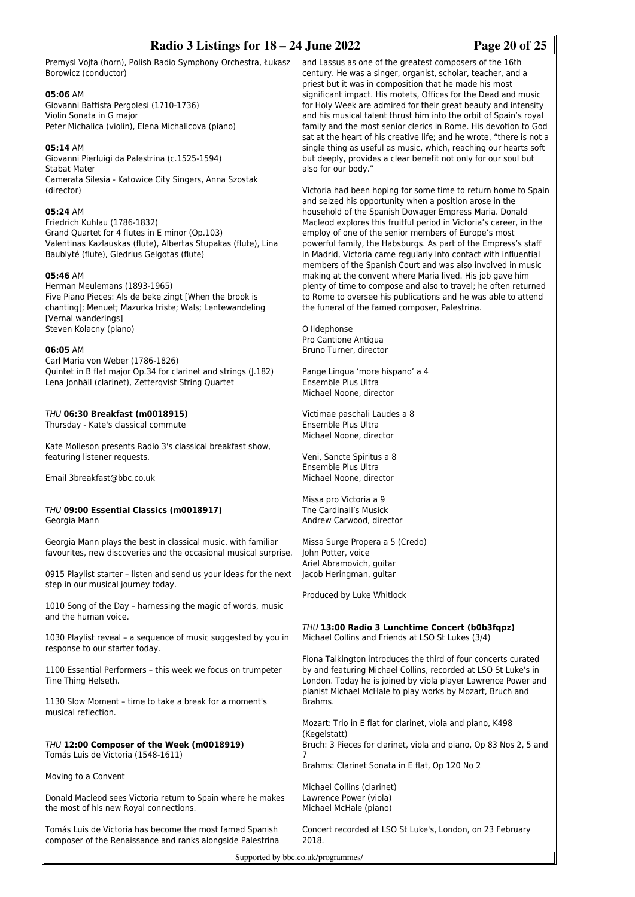| Radio 3 Listings for 18 – 24 June 2022                                                                                            |                                                                                                                                     | Page 20 of 25 |  |
|-----------------------------------------------------------------------------------------------------------------------------------|-------------------------------------------------------------------------------------------------------------------------------------|---------------|--|
| Premysl Vojta (horn), Polish Radio Symphony Orchestra, Łukasz                                                                     | and Lassus as one of the greatest composers of the 16th                                                                             |               |  |
| Borowicz (conductor)                                                                                                              | century. He was a singer, organist, scholar, teacher, and a                                                                         |               |  |
|                                                                                                                                   | priest but it was in composition that he made his most                                                                              |               |  |
| 05:06 AM                                                                                                                          | significant impact. His motets, Offices for the Dead and music                                                                      |               |  |
| Giovanni Battista Pergolesi (1710-1736)<br>Violin Sonata in G major                                                               | for Holy Week are admired for their great beauty and intensity<br>and his musical talent thrust him into the orbit of Spain's royal |               |  |
| Peter Michalica (violin), Elena Michalicova (piano)                                                                               | family and the most senior clerics in Rome. His devotion to God                                                                     |               |  |
|                                                                                                                                   | sat at the heart of his creative life; and he wrote, "there is not a                                                                |               |  |
| 05:14 AM                                                                                                                          | single thing as useful as music, which, reaching our hearts soft                                                                    |               |  |
| Giovanni Pierluigi da Palestrina (c.1525-1594)                                                                                    | but deeply, provides a clear benefit not only for our soul but                                                                      |               |  |
| <b>Stabat Mater</b>                                                                                                               | also for our body."                                                                                                                 |               |  |
| Camerata Silesia - Katowice City Singers, Anna Szostak                                                                            |                                                                                                                                     |               |  |
| (director)                                                                                                                        | Victoria had been hoping for some time to return home to Spain<br>and seized his opportunity when a position arose in the           |               |  |
| 05:24 AM                                                                                                                          | household of the Spanish Dowager Empress Maria. Donald                                                                              |               |  |
| Friedrich Kuhlau (1786-1832)                                                                                                      | Macleod explores this fruitful period in Victoria's career, in the                                                                  |               |  |
| Grand Quartet for 4 flutes in E minor (Op.103)                                                                                    | employ of one of the senior members of Europe's most                                                                                |               |  |
| Valentinas Kazlauskas (flute), Albertas Stupakas (flute), Lina                                                                    | powerful family, the Habsburgs. As part of the Empress's staff                                                                      |               |  |
| Baublyté (flute), Giedrius Gelgotas (flute)                                                                                       | in Madrid, Victoria came regularly into contact with influential                                                                    |               |  |
| 05:46 AM                                                                                                                          | members of the Spanish Court and was also involved in music<br>making at the convent where Maria lived. His job gave him            |               |  |
| Herman Meulemans (1893-1965)                                                                                                      | plenty of time to compose and also to travel; he often returned                                                                     |               |  |
| Five Piano Pieces: Als de beke zingt [When the brook is                                                                           | to Rome to oversee his publications and he was able to attend                                                                       |               |  |
| chanting]; Menuet; Mazurka triste; Wals; Lentewandeling                                                                           | the funeral of the famed composer, Palestrina.                                                                                      |               |  |
| [Vernal wanderings]                                                                                                               |                                                                                                                                     |               |  |
| Steven Kolacny (piano)                                                                                                            | O Ildephonse                                                                                                                        |               |  |
| 06:05 AM                                                                                                                          | Pro Cantione Antiqua<br>Bruno Turner, director                                                                                      |               |  |
| Carl Maria von Weber (1786-1826)                                                                                                  |                                                                                                                                     |               |  |
| Quintet in B flat major Op.34 for clarinet and strings (J.182)                                                                    | Pange Lingua 'more hispano' a 4                                                                                                     |               |  |
| Lena Jonhäll (clarinet), Zetterqvist String Quartet                                                                               | Ensemble Plus Ultra                                                                                                                 |               |  |
|                                                                                                                                   | Michael Noone, director                                                                                                             |               |  |
|                                                                                                                                   |                                                                                                                                     |               |  |
| THU 06:30 Breakfast (m0018915)<br>Thursday - Kate's classical commute                                                             | Victimae paschali Laudes a 8<br>Ensemble Plus Ultra                                                                                 |               |  |
|                                                                                                                                   | Michael Noone, director                                                                                                             |               |  |
| Kate Molleson presents Radio 3's classical breakfast show,                                                                        |                                                                                                                                     |               |  |
| featuring listener requests.                                                                                                      | Veni, Sancte Spiritus a 8                                                                                                           |               |  |
|                                                                                                                                   | Ensemble Plus Ultra                                                                                                                 |               |  |
| Email 3breakfast@bbc.co.uk                                                                                                        | Michael Noone, director                                                                                                             |               |  |
|                                                                                                                                   | Missa pro Victoria a 9                                                                                                              |               |  |
| THU 09:00 Essential Classics (m0018917)                                                                                           | The Cardinall's Musick                                                                                                              |               |  |
| Georgia Mann                                                                                                                      | Andrew Carwood, director                                                                                                            |               |  |
|                                                                                                                                   |                                                                                                                                     |               |  |
| Georgia Mann plays the best in classical music, with familiar<br>favourites, new discoveries and the occasional musical surprise. | Missa Surge Propera a 5 (Credo)<br>John Potter, voice                                                                               |               |  |
|                                                                                                                                   | Ariel Abramovich, guitar                                                                                                            |               |  |
| 0915 Playlist starter - listen and send us your ideas for the next                                                                | Jacob Heringman, guitar                                                                                                             |               |  |
| step in our musical journey today.                                                                                                |                                                                                                                                     |               |  |
|                                                                                                                                   | Produced by Luke Whitlock                                                                                                           |               |  |
| 1010 Song of the Day - harnessing the magic of words, music                                                                       |                                                                                                                                     |               |  |
| and the human voice.                                                                                                              | THU 13:00 Radio 3 Lunchtime Concert (b0b3fqpz)                                                                                      |               |  |
| 1030 Playlist reveal - a sequence of music suggested by you in                                                                    | Michael Collins and Friends at LSO St Lukes (3/4)                                                                                   |               |  |
| response to our starter today.                                                                                                    |                                                                                                                                     |               |  |
|                                                                                                                                   | Fiona Talkington introduces the third of four concerts curated                                                                      |               |  |
| 1100 Essential Performers - this week we focus on trumpeter                                                                       | by and featuring Michael Collins, recorded at LSO St Luke's in                                                                      |               |  |
| Tine Thing Helseth.                                                                                                               | London. Today he is joined by viola player Lawrence Power and<br>pianist Michael McHale to play works by Mozart, Bruch and          |               |  |
| 1130 Slow Moment - time to take a break for a moment's                                                                            | Brahms.                                                                                                                             |               |  |
| musical reflection.                                                                                                               |                                                                                                                                     |               |  |
|                                                                                                                                   | Mozart: Trio in E flat for clarinet, viola and piano, K498                                                                          |               |  |
|                                                                                                                                   | (Kegelstatt)                                                                                                                        |               |  |
| THU 12:00 Composer of the Week (m0018919)                                                                                         | Bruch: 3 Pieces for clarinet, viola and piano, Op 83 Nos 2, 5 and                                                                   |               |  |
| Tomás Luis de Victoria (1548-1611)                                                                                                | 7<br>Brahms: Clarinet Sonata in E flat, Op 120 No 2                                                                                 |               |  |
| Moving to a Convent                                                                                                               |                                                                                                                                     |               |  |
|                                                                                                                                   | Michael Collins (clarinet)                                                                                                          |               |  |
| Donald Macleod sees Victoria return to Spain where he makes                                                                       | Lawrence Power (viola)                                                                                                              |               |  |
| the most of his new Royal connections.                                                                                            | Michael McHale (piano)                                                                                                              |               |  |
|                                                                                                                                   |                                                                                                                                     |               |  |
| Tomás Luis de Victoria has become the most famed Spanish<br>composer of the Renaissance and ranks alongside Palestrina            | Concert recorded at LSO St Luke's, London, on 23 February<br>2018.                                                                  |               |  |
|                                                                                                                                   |                                                                                                                                     |               |  |
| Supported by bbc.co.uk/programmes/                                                                                                |                                                                                                                                     |               |  |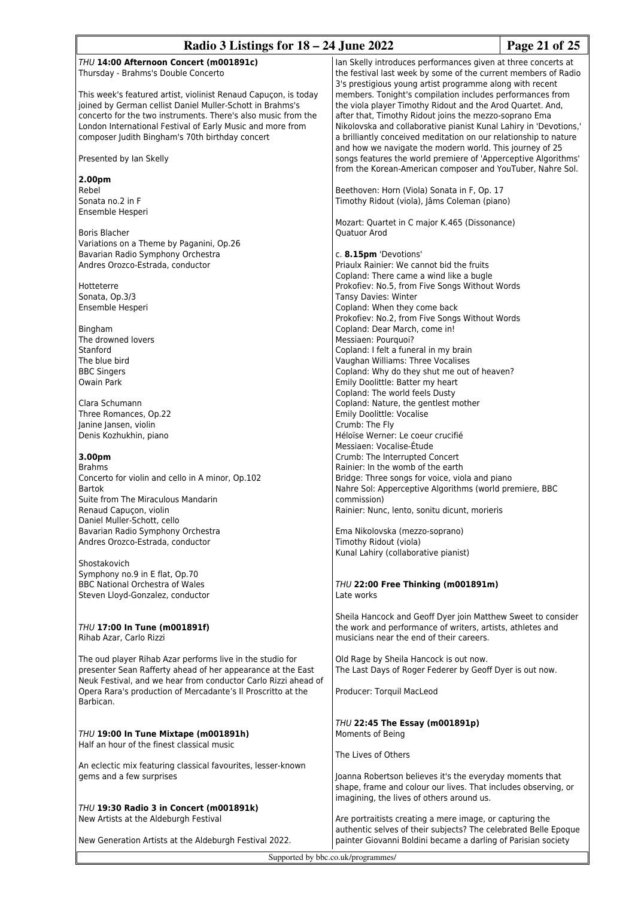| Radio 3 Listings for $18 - 24$ June 2022                                                                                       |                                                                                                                            | Page 21 of 25 |
|--------------------------------------------------------------------------------------------------------------------------------|----------------------------------------------------------------------------------------------------------------------------|---------------|
| THU 14:00 Afternoon Concert (m001891c)                                                                                         | Ian Skelly introduces performances given at three concerts at                                                              |               |
| Thursday - Brahms's Double Concerto                                                                                            | the festival last week by some of the current members of Radio                                                             |               |
|                                                                                                                                | 3's prestigious young artist programme along with recent                                                                   |               |
| This week's featured artist, violinist Renaud Capuçon, is today<br>joined by German cellist Daniel Muller-Schott in Brahms's   | members. Tonight's compilation includes performances from                                                                  |               |
| concerto for the two instruments. There's also music from the                                                                  | the viola player Timothy Ridout and the Arod Quartet. And,<br>after that, Timothy Ridout joins the mezzo-soprano Ema       |               |
| London International Festival of Early Music and more from                                                                     | Nikolovska and collaborative pianist Kunal Lahiry in 'Devotions,'                                                          |               |
| composer Judith Bingham's 70th birthday concert                                                                                | a brilliantly conceived meditation on our relationship to nature                                                           |               |
|                                                                                                                                | and how we navigate the modern world. This journey of 25                                                                   |               |
| Presented by Ian Skelly                                                                                                        | songs features the world premiere of 'Apperceptive Algorithms'                                                             |               |
| 2.00pm                                                                                                                         | from the Korean-American composer and YouTuber, Nahre Sol.                                                                 |               |
| Rebel                                                                                                                          | Beethoven: Horn (Viola) Sonata in F, Op. 17                                                                                |               |
| Sonata no.2 in F                                                                                                               | Timothy Ridout (viola), Jâms Coleman (piano)                                                                               |               |
| Ensemble Hesperi                                                                                                               |                                                                                                                            |               |
|                                                                                                                                | Mozart: Quartet in C major K.465 (Dissonance)                                                                              |               |
| Boris Blacher                                                                                                                  | Quatuor Arod                                                                                                               |               |
| Variations on a Theme by Paganini, Op.26<br>Bavarian Radio Symphony Orchestra                                                  | c. 8.15pm 'Devotions'                                                                                                      |               |
| Andres Orozco-Estrada, conductor                                                                                               | Priaulx Rainier: We cannot bid the fruits                                                                                  |               |
|                                                                                                                                | Copland: There came a wind like a bugle                                                                                    |               |
| Hotteterre                                                                                                                     | Prokofiev: No.5, from Five Songs Without Words                                                                             |               |
| Sonata, Op.3/3                                                                                                                 | <b>Tansy Davies: Winter</b>                                                                                                |               |
| Ensemble Hesperi                                                                                                               | Copland: When they come back<br>Prokofiev: No.2, from Five Songs Without Words                                             |               |
| Bingham                                                                                                                        | Copland: Dear March, come in!                                                                                              |               |
| The drowned lovers                                                                                                             | Messiaen: Pourquoi?                                                                                                        |               |
| Stanford                                                                                                                       | Copland: I felt a funeral in my brain                                                                                      |               |
| The blue bird                                                                                                                  | Vaughan Williams: Three Vocalises                                                                                          |               |
| <b>BBC Singers</b><br>Owain Park                                                                                               | Copland: Why do they shut me out of heaven?<br>Emily Doolittle: Batter my heart                                            |               |
|                                                                                                                                | Copland: The world feels Dusty                                                                                             |               |
| Clara Schumann                                                                                                                 | Copland: Nature, the gentlest mother                                                                                       |               |
| Three Romances, Op.22                                                                                                          | Emily Doolittle: Vocalise                                                                                                  |               |
| Janine Jansen, violin                                                                                                          | Crumb: The Fly                                                                                                             |               |
| Denis Kozhukhin, piano                                                                                                         | Héloïse Werner: Le coeur crucifié<br>Messiaen: Vocalise-Étude                                                              |               |
| 3.00pm                                                                                                                         | Crumb: The Interrupted Concert                                                                                             |               |
| <b>Brahms</b>                                                                                                                  | Rainier: In the womb of the earth                                                                                          |               |
| Concerto for violin and cello in A minor, Op.102                                                                               | Bridge: Three songs for voice, viola and piano                                                                             |               |
| <b>Bartok</b>                                                                                                                  | Nahre Sol: Apperceptive Algorithms (world premiere, BBC                                                                    |               |
| Suite from The Miraculous Mandarin<br>Renaud Capuçon, violin                                                                   | commission)<br>Rainier: Nunc, lento, sonitu dicunt, morieris                                                               |               |
| Daniel Muller-Schott, cello                                                                                                    |                                                                                                                            |               |
| Bavarian Radio Symphony Orchestra                                                                                              | Ema Nikolovska (mezzo-soprano)                                                                                             |               |
| Andres Orozco-Estrada, conductor                                                                                               | Timothy Ridout (viola)                                                                                                     |               |
| Shostakovich                                                                                                                   | Kunal Lahiry (collaborative pianist)                                                                                       |               |
| Symphony no.9 in E flat, Op.70                                                                                                 |                                                                                                                            |               |
| <b>BBC National Orchestra of Wales</b>                                                                                         | THU 22:00 Free Thinking (m001891m)                                                                                         |               |
| Steven Lloyd-Gonzalez, conductor                                                                                               | Late works                                                                                                                 |               |
|                                                                                                                                |                                                                                                                            |               |
| THU 17:00 In Tune (m001891f)                                                                                                   | Sheila Hancock and Geoff Dyer join Matthew Sweet to consider<br>the work and performance of writers, artists, athletes and |               |
| Rihab Azar, Carlo Rizzi                                                                                                        | musicians near the end of their careers.                                                                                   |               |
|                                                                                                                                |                                                                                                                            |               |
| The oud player Rihab Azar performs live in the studio for                                                                      | Old Rage by Sheila Hancock is out now.                                                                                     |               |
| presenter Sean Rafferty ahead of her appearance at the East                                                                    | The Last Days of Roger Federer by Geoff Dyer is out now.                                                                   |               |
| Neuk Festival, and we hear from conductor Carlo Rizzi ahead of<br>Opera Rara's production of Mercadante's Il Proscritto at the | Producer: Torquil MacLeod                                                                                                  |               |
| Barbican.                                                                                                                      |                                                                                                                            |               |
|                                                                                                                                |                                                                                                                            |               |
|                                                                                                                                | THU 22:45 The Essay (m001891p)                                                                                             |               |
| THU 19:00 In Tune Mixtape (m001891h)<br>Half an hour of the finest classical music                                             | Moments of Being                                                                                                           |               |
|                                                                                                                                | The Lives of Others                                                                                                        |               |
| An eclectic mix featuring classical favourites, lesser-known                                                                   |                                                                                                                            |               |
| gems and a few surprises                                                                                                       | Joanna Robertson believes it's the everyday moments that                                                                   |               |
|                                                                                                                                | shape, frame and colour our lives. That includes observing, or                                                             |               |
| THU 19:30 Radio 3 in Concert (m001891k)                                                                                        | imagining, the lives of others around us.                                                                                  |               |
| New Artists at the Aldeburgh Festival                                                                                          | Are portraitists creating a mere image, or capturing the                                                                   |               |
|                                                                                                                                | authentic selves of their subjects? The celebrated Belle Epoque                                                            |               |
| New Generation Artists at the Aldeburgh Festival 2022.                                                                         | painter Giovanni Boldini became a darling of Parisian society                                                              |               |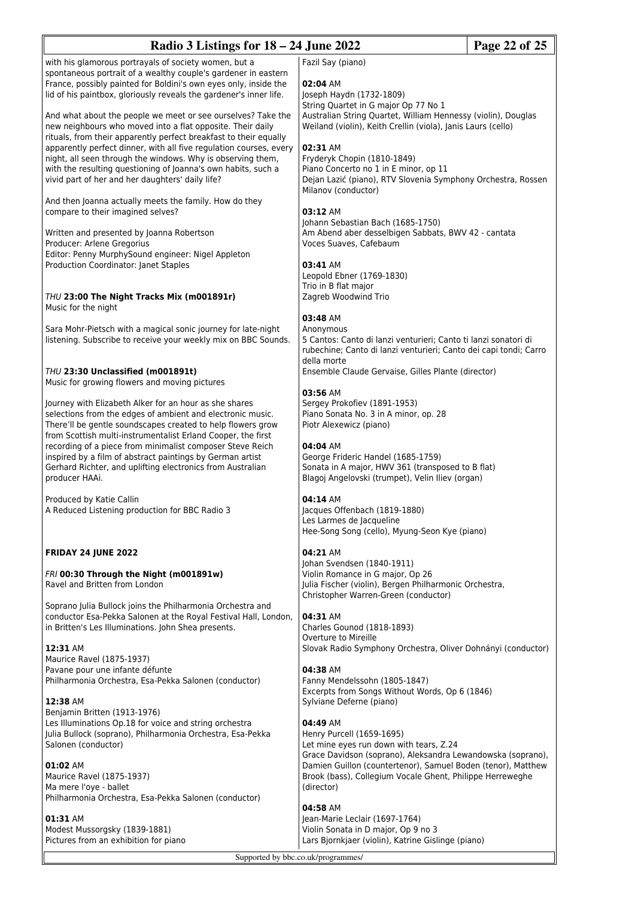| Radio 3 Listings for $18 - 24$ June 2022                                                                                                                                                                                                                                                                                                                                                                                                                  |                                                                                                                                                                                                                                                                                                                                                  | Page 22 of 25 |
|-----------------------------------------------------------------------------------------------------------------------------------------------------------------------------------------------------------------------------------------------------------------------------------------------------------------------------------------------------------------------------------------------------------------------------------------------------------|--------------------------------------------------------------------------------------------------------------------------------------------------------------------------------------------------------------------------------------------------------------------------------------------------------------------------------------------------|---------------|
| with his glamorous portrayals of society women, but a<br>spontaneous portrait of a wealthy couple's gardener in eastern<br>France, possibly painted for Boldini's own eyes only, inside the<br>lid of his paintbox, gloriously reveals the gardener's inner life.                                                                                                                                                                                         | Fazil Say (piano)<br>02:04 AM<br>Joseph Haydn (1732-1809)                                                                                                                                                                                                                                                                                        |               |
| And what about the people we meet or see ourselves? Take the<br>new neighbours who moved into a flat opposite. Their daily<br>rituals, from their apparently perfect breakfast to their equally<br>apparently perfect dinner, with all five regulation courses, every<br>night, all seen through the windows. Why is observing them,<br>with the resulting questioning of Joanna's own habits, such a<br>vivid part of her and her daughters' daily life? | String Quartet in G major Op 77 No 1<br>Australian String Quartet, William Hennessy (violin), Douglas<br>Weiland (violin), Keith Crellin (viola), Janis Laurs (cello)<br>02:31 AM<br>Fryderyk Chopin (1810-1849)<br>Piano Concerto no 1 in E minor, op 11<br>Dejan Lazić (piano), RTV Slovenia Symphony Orchestra, Rossen<br>Milanov (conductor) |               |
| And then Joanna actually meets the family. How do they<br>compare to their imagined selves?                                                                                                                                                                                                                                                                                                                                                               | 03:12 AM<br>Johann Sebastian Bach (1685-1750)<br>Am Abend aber desselbigen Sabbats, BWV 42 - cantata                                                                                                                                                                                                                                             |               |
| Written and presented by Joanna Robertson<br>Producer: Arlene Gregorius<br>Editor: Penny MurphySound engineer: Nigel Appleton<br>Production Coordinator: Janet Staples                                                                                                                                                                                                                                                                                    | Voces Suaves, Cafebaum<br>03:41 AM<br>Leopold Ebner (1769-1830)<br>Trio in B flat major                                                                                                                                                                                                                                                          |               |
| THU 23:00 The Night Tracks Mix (m001891r)<br>Music for the night                                                                                                                                                                                                                                                                                                                                                                                          | Zagreb Woodwind Trio                                                                                                                                                                                                                                                                                                                             |               |
| Sara Mohr-Pietsch with a magical sonic journey for late-night<br>listening. Subscribe to receive your weekly mix on BBC Sounds.                                                                                                                                                                                                                                                                                                                           | 03:48 AM<br>Anonymous<br>5 Cantos: Canto di lanzi venturieri; Canto ti lanzi sonatori di<br>rubechine; Canto di lanzi venturieri; Canto dei capi tondi; Carro<br>della morte<br>Ensemble Claude Gervaise, Gilles Plante (director)<br>03:56 AM                                                                                                   |               |
| THU 23:30 Unclassified (m001891t)<br>Music for growing flowers and moving pictures                                                                                                                                                                                                                                                                                                                                                                        |                                                                                                                                                                                                                                                                                                                                                  |               |
| Journey with Elizabeth Alker for an hour as she shares<br>selections from the edges of ambient and electronic music.<br>There'll be gentle soundscapes created to help flowers grow<br>from Scottish multi-instrumentalist Erland Cooper, the first<br>recording of a piece from minimalist composer Steve Reich                                                                                                                                          | Sergey Prokofiev (1891-1953)<br>Piano Sonata No. 3 in A minor, op. 28<br>Piotr Alexewicz (piano)<br>04:04 AM                                                                                                                                                                                                                                     |               |
| inspired by a film of abstract paintings by German artist<br>Gerhard Richter, and uplifting electronics from Australian<br>producer HAAi.                                                                                                                                                                                                                                                                                                                 | George Frideric Handel (1685-1759)<br>Sonata in A major, HWV 361 (transposed to B flat)<br>Blagoj Angelovski (trumpet), Velin Iliev (organ)                                                                                                                                                                                                      |               |
| Produced by Katie Callin<br>A Reduced Listening production for BBC Radio 3                                                                                                                                                                                                                                                                                                                                                                                | 04:14 AM<br>Jacques Offenbach (1819-1880)<br>Les Larmes de Jacqueline<br>Hee-Song Song (cello), Myung-Seon Kye (piano)                                                                                                                                                                                                                           |               |
| <b>FRIDAY 24 JUNE 2022</b>                                                                                                                                                                                                                                                                                                                                                                                                                                | 04:21 AM<br>Johan Svendsen (1840-1911)                                                                                                                                                                                                                                                                                                           |               |
| FRI 00:30 Through the Night (m001891w)<br>Ravel and Britten from London                                                                                                                                                                                                                                                                                                                                                                                   | Violin Romance in G major, Op 26<br>Julia Fischer (violin), Bergen Philharmonic Orchestra,<br>Christopher Warren-Green (conductor)                                                                                                                                                                                                               |               |
| Soprano Julia Bullock joins the Philharmonia Orchestra and<br>conductor Esa-Pekka Salonen at the Royal Festival Hall, London,<br>in Britten's Les Illuminations. John Shea presents.<br>12:31 AM                                                                                                                                                                                                                                                          | 04:31 AM<br>Charles Gounod (1818-1893)<br>Overture to Mireille<br>Slovak Radio Symphony Orchestra, Oliver Dohnányi (conductor)                                                                                                                                                                                                                   |               |
| Maurice Ravel (1875-1937)<br>Pavane pour une infante défunte<br>Philharmonia Orchestra, Esa-Pekka Salonen (conductor)                                                                                                                                                                                                                                                                                                                                     | 04:38 AM<br>Fanny Mendelssohn (1805-1847)<br>Excerpts from Songs Without Words, Op 6 (1846)                                                                                                                                                                                                                                                      |               |
| 12:38 AM<br>Benjamin Britten (1913-1976)<br>Les Illuminations Op.18 for voice and string orchestra<br>Julia Bullock (soprano), Philharmonia Orchestra, Esa-Pekka<br>Salonen (conductor)                                                                                                                                                                                                                                                                   | Sylviane Deferne (piano)<br>04:49 AM<br>Henry Purcell (1659-1695)<br>Let mine eyes run down with tears, Z.24<br>Grace Davidson (soprano), Aleksandra Lewandowska (soprano),                                                                                                                                                                      |               |
| 01:02 AM<br>Maurice Ravel (1875-1937)<br>Ma mere l'oye - ballet<br>Philharmonia Orchestra, Esa-Pekka Salonen (conductor)                                                                                                                                                                                                                                                                                                                                  | Damien Guillon (countertenor), Samuel Boden (tenor), Matthew<br>Brook (bass), Collegium Vocale Ghent, Philippe Herreweghe<br>(director)                                                                                                                                                                                                          |               |
| 01:31 AM<br>Modest Mussorgsky (1839-1881)<br>Pictures from an exhibition for piano                                                                                                                                                                                                                                                                                                                                                                        | 04:58 AM<br>Jean-Marie Leclair (1697-1764)<br>Violin Sonata in D major, Op 9 no 3<br>Lars Bjornkjaer (violin), Katrine Gislinge (piano)                                                                                                                                                                                                          |               |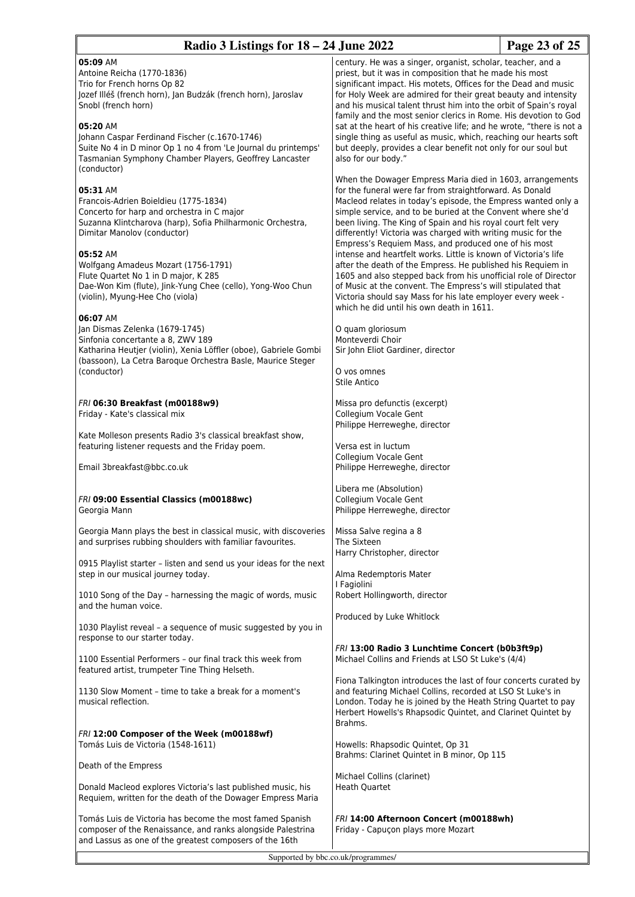| Radio 3 Listings for $18 - 24$ June 2022                                                                                                                                                                                                                                                     |                                                                                                                                                                                                                                                                                                                                                                                                                                                                                                                                                | Page 23 of 25 |
|----------------------------------------------------------------------------------------------------------------------------------------------------------------------------------------------------------------------------------------------------------------------------------------------|------------------------------------------------------------------------------------------------------------------------------------------------------------------------------------------------------------------------------------------------------------------------------------------------------------------------------------------------------------------------------------------------------------------------------------------------------------------------------------------------------------------------------------------------|---------------|
| 05:09 AM<br>Antoine Reicha (1770-1836)<br>Trio for French horns Op 82<br>Jozef Illéš (french horn), Jan Budzák (french horn), Jaroslav<br>Snobl (french horn)<br>05:20 AM<br>Johann Caspar Ferdinand Fischer (c.1670-1746)<br>Suite No 4 in D minor Op 1 no 4 from 'Le Journal du printemps' | century. He was a singer, organist, scholar, teacher, and a<br>priest, but it was in composition that he made his most<br>significant impact. His motets, Offices for the Dead and music<br>for Holy Week are admired for their great beauty and intensity<br>and his musical talent thrust him into the orbit of Spain's royal<br>family and the most senior clerics in Rome. His devotion to God<br>sat at the heart of his creative life; and he wrote, "there is not a<br>single thing as useful as music, which, reaching our hearts soft |               |
| Tasmanian Symphony Chamber Players, Geoffrey Lancaster<br>(conductor)<br>05:31 AM<br>Francois-Adrien Boieldieu (1775-1834)                                                                                                                                                                   | but deeply, provides a clear benefit not only for our soul but<br>also for our body."<br>When the Dowager Empress Maria died in 1603, arrangements<br>for the funeral were far from straightforward. As Donald<br>Macleod relates in today's episode, the Empress wanted only a                                                                                                                                                                                                                                                                |               |
| Concerto for harp and orchestra in C major<br>Suzanna Klintcharova (harp), Sofia Philharmonic Orchestra,<br>Dimitar Manolov (conductor)<br>05:52 AM                                                                                                                                          | simple service, and to be buried at the Convent where she'd<br>been living. The King of Spain and his royal court felt very<br>differently! Victoria was charged with writing music for the<br>Empress's Requiem Mass, and produced one of his most<br>intense and heartfelt works. Little is known of Victoria's life                                                                                                                                                                                                                         |               |
| Wolfgang Amadeus Mozart (1756-1791)<br>Flute Quartet No 1 in D major, K 285<br>Dae-Won Kim (flute), Jink-Yung Chee (cello), Yong-Woo Chun<br>(violin), Myung-Hee Cho (viola)                                                                                                                 | after the death of the Empress. He published his Requiem in<br>1605 and also stepped back from his unofficial role of Director<br>of Music at the convent. The Empress's will stipulated that<br>Victoria should say Mass for his late employer every week -<br>which he did until his own death in 1611.                                                                                                                                                                                                                                      |               |
| 06:07 AM<br>Jan Dismas Zelenka (1679-1745)<br>Sinfonia concertante a 8, ZWV 189<br>Katharina Heutjer (violin), Xenia Löffler (oboe), Gabriele Gombi<br>(bassoon), La Cetra Baroque Orchestra Basle, Maurice Steger<br>(conductor)                                                            | O quam gloriosum<br>Monteverdi Choir<br>Sir John Eliot Gardiner, director<br>O vos omnes<br>Stile Antico                                                                                                                                                                                                                                                                                                                                                                                                                                       |               |
| FRI 06:30 Breakfast (m00188w9)<br>Friday - Kate's classical mix                                                                                                                                                                                                                              | Missa pro defunctis (excerpt)<br>Collegium Vocale Gent<br>Philippe Herreweghe, director                                                                                                                                                                                                                                                                                                                                                                                                                                                        |               |
| Kate Molleson presents Radio 3's classical breakfast show,<br>featuring listener requests and the Friday poem.                                                                                                                                                                               | Versa est in luctum<br>Collegium Vocale Gent                                                                                                                                                                                                                                                                                                                                                                                                                                                                                                   |               |
| Email 3breakfast@bbc.co.uk                                                                                                                                                                                                                                                                   | Philippe Herreweghe, director<br>Libera me (Absolution)                                                                                                                                                                                                                                                                                                                                                                                                                                                                                        |               |
| FRI 09:00 Essential Classics (m00188wc)<br>Georgia Mann                                                                                                                                                                                                                                      | Collegium Vocale Gent<br>Philippe Herreweghe, director                                                                                                                                                                                                                                                                                                                                                                                                                                                                                         |               |
| Georgia Mann plays the best in classical music, with discoveries<br>and surprises rubbing shoulders with familiar favourites.                                                                                                                                                                | Missa Salve regina a 8<br>The Sixteen<br>Harry Christopher, director                                                                                                                                                                                                                                                                                                                                                                                                                                                                           |               |
| 0915 Playlist starter - listen and send us your ideas for the next<br>step in our musical journey today.                                                                                                                                                                                     | Alma Redemptoris Mater<br>I Fagiolini                                                                                                                                                                                                                                                                                                                                                                                                                                                                                                          |               |
| 1010 Song of the Day - harnessing the magic of words, music<br>and the human voice.                                                                                                                                                                                                          | Robert Hollingworth, director<br>Produced by Luke Whitlock                                                                                                                                                                                                                                                                                                                                                                                                                                                                                     |               |
| 1030 Playlist reveal - a sequence of music suggested by you in<br>response to our starter today.                                                                                                                                                                                             | FRI 13:00 Radio 3 Lunchtime Concert (b0b3ft9p)                                                                                                                                                                                                                                                                                                                                                                                                                                                                                                 |               |
| 1100 Essential Performers - our final track this week from<br>featured artist, trumpeter Tine Thing Helseth.                                                                                                                                                                                 | Michael Collins and Friends at LSO St Luke's (4/4)<br>Fiona Talkington introduces the last of four concerts curated by                                                                                                                                                                                                                                                                                                                                                                                                                         |               |
| 1130 Slow Moment - time to take a break for a moment's<br>musical reflection.                                                                                                                                                                                                                | and featuring Michael Collins, recorded at LSO St Luke's in<br>London. Today he is joined by the Heath String Quartet to pay<br>Herbert Howells's Rhapsodic Quintet, and Clarinet Quintet by<br>Brahms.                                                                                                                                                                                                                                                                                                                                        |               |
| FRI 12:00 Composer of the Week (m00188wf)<br>Tomás Luis de Victoria (1548-1611)                                                                                                                                                                                                              | Howells: Rhapsodic Quintet, Op 31<br>Brahms: Clarinet Quintet in B minor, Op 115                                                                                                                                                                                                                                                                                                                                                                                                                                                               |               |
| Death of the Empress                                                                                                                                                                                                                                                                         | Michael Collins (clarinet)                                                                                                                                                                                                                                                                                                                                                                                                                                                                                                                     |               |
| Donald Macleod explores Victoria's last published music, his<br>Requiem, written for the death of the Dowager Empress Maria                                                                                                                                                                  | <b>Heath Quartet</b>                                                                                                                                                                                                                                                                                                                                                                                                                                                                                                                           |               |
| Tomás Luis de Victoria has become the most famed Spanish<br>composer of the Renaissance, and ranks alongside Palestrina<br>and Lassus as one of the greatest composers of the 16th                                                                                                           | FRI 14:00 Afternoon Concert (m00188wh)<br>Friday - Capuçon plays more Mozart                                                                                                                                                                                                                                                                                                                                                                                                                                                                   |               |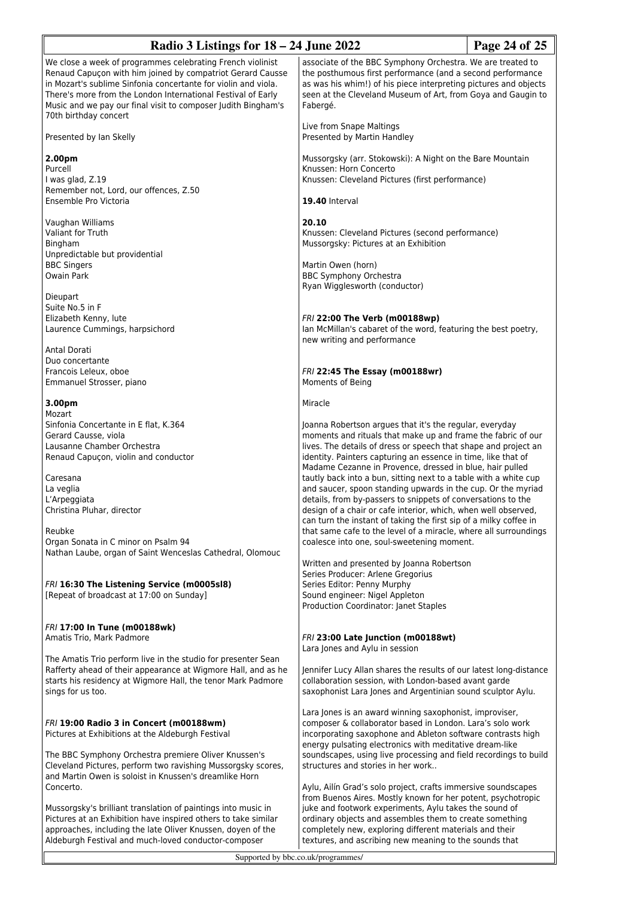| Radio 3 Listings for 18 – 24 June 2022                                                                                                                                                                                                                                                                                                                                                                                                                                                                                                                |                                                                                                                                                                                                                                                                                                                                                                                                                                                                                                                                                                                                                                                                                                                                                                                                                                                                                                                                                                                             | Page 24 of 25 |
|-------------------------------------------------------------------------------------------------------------------------------------------------------------------------------------------------------------------------------------------------------------------------------------------------------------------------------------------------------------------------------------------------------------------------------------------------------------------------------------------------------------------------------------------------------|---------------------------------------------------------------------------------------------------------------------------------------------------------------------------------------------------------------------------------------------------------------------------------------------------------------------------------------------------------------------------------------------------------------------------------------------------------------------------------------------------------------------------------------------------------------------------------------------------------------------------------------------------------------------------------------------------------------------------------------------------------------------------------------------------------------------------------------------------------------------------------------------------------------------------------------------------------------------------------------------|---------------|
| We close a week of programmes celebrating French violinist<br>Renaud Capuçon with him joined by compatriot Gerard Causse<br>in Mozart's sublime Sinfonia concertante for violin and viola.<br>There's more from the London International Festival of Early<br>Music and we pay our final visit to composer Judith Bingham's<br>70th birthday concert                                                                                                                                                                                                  | associate of the BBC Symphony Orchestra. We are treated to<br>the posthumous first performance (and a second performance<br>as was his whim!) of his piece interpreting pictures and objects<br>seen at the Cleveland Museum of Art, from Goya and Gaugin to<br>Fabergé.                                                                                                                                                                                                                                                                                                                                                                                                                                                                                                                                                                                                                                                                                                                    |               |
| Presented by Ian Skelly                                                                                                                                                                                                                                                                                                                                                                                                                                                                                                                               | Live from Snape Maltings<br>Presented by Martin Handley                                                                                                                                                                                                                                                                                                                                                                                                                                                                                                                                                                                                                                                                                                                                                                                                                                                                                                                                     |               |
| 2.00pm<br>Purcell<br>I was glad, Z.19<br>Remember not, Lord, our offences, Z.50<br>Ensemble Pro Victoria                                                                                                                                                                                                                                                                                                                                                                                                                                              | Mussorgsky (arr. Stokowski): A Night on the Bare Mountain<br>Knussen: Horn Concerto<br>Knussen: Cleveland Pictures (first performance)<br>19.40 Interval                                                                                                                                                                                                                                                                                                                                                                                                                                                                                                                                                                                                                                                                                                                                                                                                                                    |               |
| Vaughan Williams<br>Valiant for Truth<br>Bingham<br>Unpredictable but providential<br><b>BBC Singers</b><br><b>Owain Park</b>                                                                                                                                                                                                                                                                                                                                                                                                                         | 20.10<br>Knussen: Cleveland Pictures (second performance)<br>Mussorgsky: Pictures at an Exhibition<br>Martin Owen (horn)<br><b>BBC Symphony Orchestra</b>                                                                                                                                                                                                                                                                                                                                                                                                                                                                                                                                                                                                                                                                                                                                                                                                                                   |               |
| Dieupart<br>Suite No.5 in F<br>Elizabeth Kenny, lute<br>Laurence Cummings, harpsichord<br>Antal Dorati                                                                                                                                                                                                                                                                                                                                                                                                                                                | Ryan Wigglesworth (conductor)<br>FRI 22:00 The Verb (m00188wp)<br>lan McMillan's cabaret of the word, featuring the best poetry,<br>new writing and performance                                                                                                                                                                                                                                                                                                                                                                                                                                                                                                                                                                                                                                                                                                                                                                                                                             |               |
| Duo concertante<br>Francois Leleux, oboe<br>Emmanuel Strosser, piano                                                                                                                                                                                                                                                                                                                                                                                                                                                                                  | FRI 22:45 The Essay (m00188wr)<br>Moments of Being                                                                                                                                                                                                                                                                                                                                                                                                                                                                                                                                                                                                                                                                                                                                                                                                                                                                                                                                          |               |
| 3.00pm<br>Mozart<br>Sinfonia Concertante in E flat, K.364<br>Gerard Causse, viola<br>Lausanne Chamber Orchestra<br>Renaud Capuçon, violin and conductor<br>Caresana<br>La veglia<br>L'Arpeggiata<br>Christina Pluhar, director<br>Reubke<br>Organ Sonata in C minor on Psalm 94<br>Nathan Laube, organ of Saint Wenceslas Cathedral, Olomouc<br>FRI 16:30 The Listening Service (m0005sl8)<br>[Repeat of broadcast at 17:00 on Sunday]                                                                                                                | Miracle<br>Joanna Robertson argues that it's the regular, everyday<br>moments and rituals that make up and frame the fabric of our<br>lives. The details of dress or speech that shape and project an<br>identity. Painters capturing an essence in time, like that of<br>Madame Cezanne in Provence, dressed in blue, hair pulled<br>tautly back into a bun, sitting next to a table with a white cup<br>and saucer, spoon standing upwards in the cup. Or the myriad<br>details, from by-passers to snippets of conversations to the<br>design of a chair or cafe interior, which, when well observed,<br>can turn the instant of taking the first sip of a milky coffee in<br>that same cafe to the level of a miracle, where all surroundings<br>coalesce into one, soul-sweetening moment.<br>Written and presented by Joanna Robertson<br>Series Producer: Arlene Gregorius<br>Series Editor: Penny Murphy<br>Sound engineer: Nigel Appleton<br>Production Coordinator: Janet Staples |               |
| FRI 17:00 In Tune (m00188wk)<br>Amatis Trio, Mark Padmore<br>The Amatis Trio perform live in the studio for presenter Sean<br>Rafferty ahead of their appearance at Wigmore Hall, and as he<br>starts his residency at Wigmore Hall, the tenor Mark Padmore<br>sings for us too.                                                                                                                                                                                                                                                                      | FRI 23:00 Late Junction (m00188wt)<br>Lara Jones and Aylu in session<br>Jennifer Lucy Allan shares the results of our latest long-distance<br>collaboration session, with London-based avant garde<br>saxophonist Lara Jones and Argentinian sound sculptor Aylu.                                                                                                                                                                                                                                                                                                                                                                                                                                                                                                                                                                                                                                                                                                                           |               |
| FRI 19:00 Radio 3 in Concert (m00188wm)<br>Pictures at Exhibitions at the Aldeburgh Festival<br>The BBC Symphony Orchestra premiere Oliver Knussen's<br>Cleveland Pictures, perform two ravishing Mussorgsky scores,<br>and Martin Owen is soloist in Knussen's dreamlike Horn<br>Concerto.<br>Mussorgsky's brilliant translation of paintings into music in<br>Pictures at an Exhibition have inspired others to take similar<br>approaches, including the late Oliver Knussen, doyen of the<br>Aldeburgh Festival and much-loved conductor-composer | Lara Jones is an award winning saxophonist, improviser,<br>composer & collaborator based in London. Lara's solo work<br>incorporating saxophone and Ableton software contrasts high<br>energy pulsating electronics with meditative dream-like<br>soundscapes, using live processing and field recordings to build<br>structures and stories in her work<br>Aylu, Ailín Grad's solo project, crafts immersive soundscapes<br>from Buenos Aires. Mostly known for her potent, psychotropic<br>juke and footwork experiments, Aylu takes the sound of<br>ordinary objects and assembles them to create something<br>completely new, exploring different materials and their<br>textures, and ascribing new meaning to the sounds that                                                                                                                                                                                                                                                         |               |